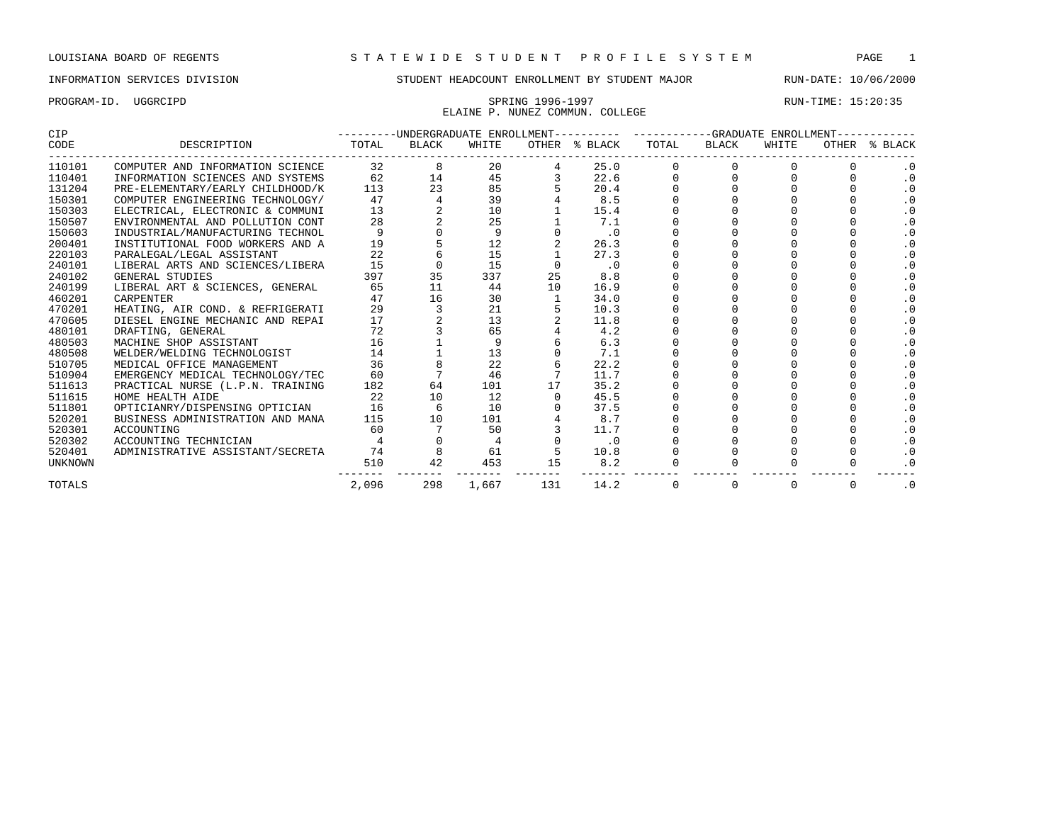PROGRAM-ID. UGGRCIPD SPRING 1996-1997 RUN-TIME: 15:20:35 ELAINE P. NUNEZ COMMUN. COLLEGE

| <b>CIP</b>     |                                  |       | ---------UNDERGRADUATE ENROLLMENT---------- |       |     |               |       |       | -GRADUATE ENROLLMENT- |       |           |
|----------------|----------------------------------|-------|---------------------------------------------|-------|-----|---------------|-------|-------|-----------------------|-------|-----------|
| CODE           | DESCRIPTION                      | TOTAL | <b>BLACK</b>                                | WHITE |     | OTHER % BLACK | TOTAL | BLACK | WHITE                 | OTHER | % BLACK   |
| 110101         | COMPUTER AND INFORMATION SCIENCE | 32    |                                             | 20    |     | 25.0          |       |       |                       |       |           |
| 110401         | INFORMATION SCIENCES AND SYSTEMS | 62    | 14                                          | 45    |     | 22.6          |       |       |                       |       | $\cdot$ 0 |
| 131204         | PRE-ELEMENTARY/EARLY CHILDHOOD/K | 113   | 23                                          | 85    |     | 20.4          |       |       |                       |       | $\cdot$ 0 |
| 150301         | COMPUTER ENGINEERING TECHNOLOGY/ | 47    |                                             | 39    |     | 8.5           |       |       |                       |       |           |
| 150303         | ELECTRICAL, ELECTRONIC & COMMUNI | 13    |                                             | 10    |     | 15.4          |       |       |                       |       | $\cdot$ 0 |
| 150507         | ENVIRONMENTAL AND POLLUTION CONT | 28    |                                             | 25    |     | 7.1           |       |       |                       |       | $\cdot$ 0 |
| 150603         | INDUSTRIAL/MANUFACTURING TECHNOL | 9     |                                             | 9     |     | $\cdot$ 0     |       |       |                       |       | $\cdot$ 0 |
| 200401         | INSTITUTIONAL FOOD WORKERS AND A | 19    |                                             | 12    |     | 26.3          |       |       |                       |       | $\cdot$ 0 |
| 220103         | PARALEGAL/LEGAL ASSISTANT        | 22    |                                             | 15    |     | 27.3          |       |       |                       |       |           |
| 240101         | LIBERAL ARTS AND SCIENCES/LIBERA | 15    |                                             | 15    |     | $\cdot$ 0     |       |       |                       |       | . 0       |
| 240102         | GENERAL STUDIES                  | 397   | 35                                          | 337   | 25  | 8.8           |       |       |                       |       | . 0       |
| 240199         | LIBERAL ART & SCIENCES, GENERAL  | 65    | 11                                          | 44    | 10  | 16.9          |       |       |                       |       | $\cdot$ 0 |
| 460201         | <b>CARPENTER</b>                 | 47    | 16                                          | 30    |     | 34.0          |       |       |                       |       |           |
| 470201         | HEATING, AIR COND. & REFRIGERATI | 29    |                                             | 21    |     | 10.3          |       |       |                       |       | $\cdot$ 0 |
| 470605         | DIESEL ENGINE MECHANIC AND REPAI | 17    |                                             | 13    |     | 11.8          |       |       |                       |       | $\cdot$ 0 |
| 480101         | DRAFTING, GENERAL                | 72    |                                             | 65    |     | 4.2           |       |       |                       |       | $\cdot$ 0 |
| 480503         | MACHINE SHOP ASSISTANT           | 16    |                                             |       |     | 6.3           |       |       |                       |       |           |
| 480508         | WELDER/WELDING TECHNOLOGIST      | 14    |                                             | 13    |     | 7.1           |       |       |                       |       | $\cdot$ 0 |
| 510705         | MEDICAL OFFICE MANAGEMENT        | 36    |                                             | 22    |     | 22.2          |       |       |                       |       | $\cdot$ 0 |
| 510904         | EMERGENCY MEDICAL TECHNOLOGY/TEC | 60    |                                             | 46    |     | 11.7          |       |       |                       |       | $\cdot$ 0 |
| 511613         | PRACTICAL NURSE (L.P.N. TRAINING | 182   | 64                                          | 101   | 17  | 35.2          |       |       |                       |       |           |
| 511615         | HOME HEALTH AIDE                 | 22    | 10                                          | 12    |     | 45.5          |       |       |                       |       | . 0       |
| 511801         | OPTICIANRY/DISPENSING OPTICIAN   | 16    |                                             | 10    |     | 37.5          |       |       |                       |       | $\cdot$ 0 |
| 520201         | BUSINESS ADMINISTRATION AND MANA | 115   | 10                                          | 101   |     | 8.7           |       |       |                       |       | $\cdot$ 0 |
| 520301         | ACCOUNTING                       | 60    |                                             | 50    |     | 11.7          |       |       |                       |       |           |
| 520302         | ACCOUNTING TECHNICIAN            |       |                                             |       |     | $\cdot$ 0     |       |       |                       |       | $\cdot$ 0 |
| 520401         | ADMINISTRATIVE ASSISTANT/SECRETA | 74    |                                             | 61    |     | 10.8          |       |       |                       |       | . 0       |
| <b>UNKNOWN</b> |                                  | 510   | 42                                          | 453   | 15  | 8.2           |       |       |                       |       | $\cdot$ 0 |
| TOTALS         |                                  | 2,096 | 298                                         | 1,667 | 131 | 14.2          |       |       | 0                     | 0     | $\cdot$ 0 |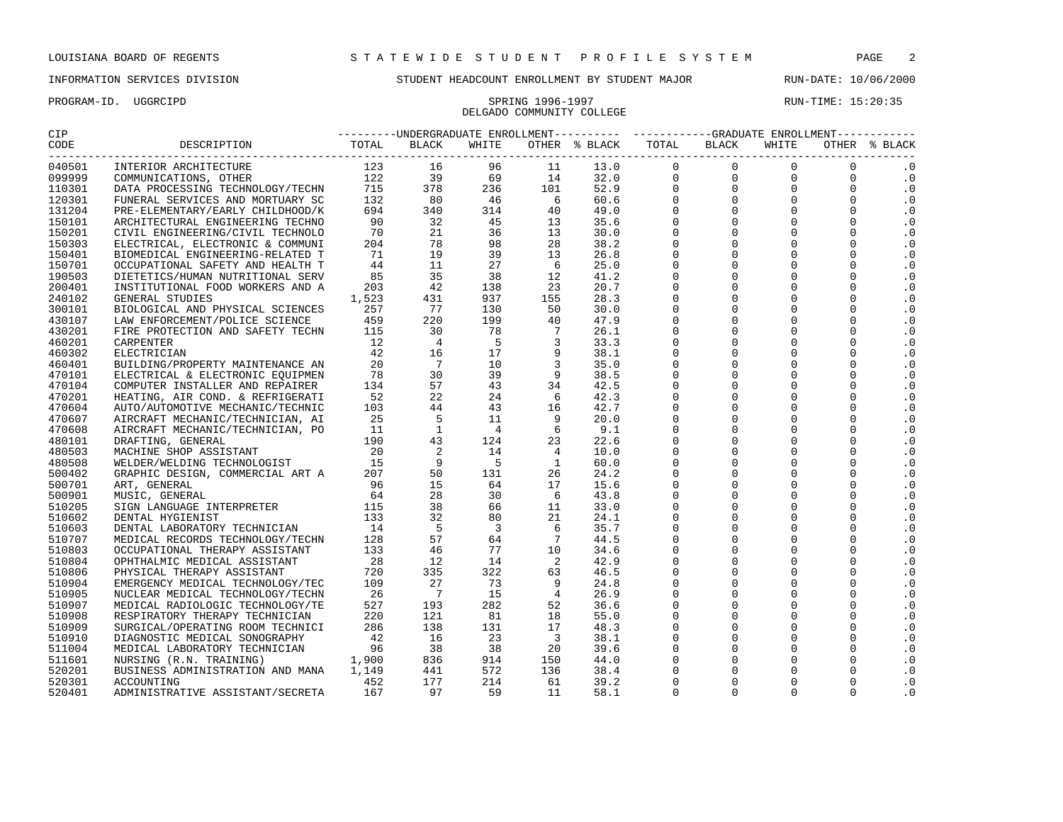## DELGADO COMMUNITY COLLEGE

PROGRAM-ID. UGGRCIPD SPRING 1996-1997 SPRING 1996-1997 RUN-TIME: 15:20:35

| CIP               |                                                                                                                                             | ---------UNDERGRADUATE ENROLLMENT---------- ----------GRADUATE ENROLLMENT----------- |                                                                                                               |                                |                                                     |                                                |                     |                     |                                                                   |                                                                 |               |
|-------------------|---------------------------------------------------------------------------------------------------------------------------------------------|--------------------------------------------------------------------------------------|---------------------------------------------------------------------------------------------------------------|--------------------------------|-----------------------------------------------------|------------------------------------------------|---------------------|---------------------|-------------------------------------------------------------------|-----------------------------------------------------------------|---------------|
| CODE<br>--------- | DESCRIPTION                                                                                                                                 | TOTAL                                                                                | BLACK                                                                                                         | WHITE                          |                                                     | OTHER % BLACK TOTAL BLACK                      |                     |                     | WHITE                                                             |                                                                 | OTHER % BLACK |
| 040501            | INTERIOR ARCHITECTURE                                                                                                                       |                                                                                      |                                                                                                               | 96                             | $\begin{array}{c} 11 \\ 14 \\ 101 \\ 6 \end{array}$ | $13.0$<br>$32.0$<br>$52.9$<br>$60.6$<br>$49.0$ | $\mathbf{0}$        | --------<br>-<br>-  | $\begin{bmatrix} 0 \\ 0 \\ 0 \\ 0 \\ 0 \end{bmatrix}$<br>$\Omega$ | $\Omega$                                                        | $\cdot$ 0     |
| 099999            | COMMUNICATIONS, OTHER                                                                                                                       |                                                                                      |                                                                                                               | $69$<br>$236$<br>$46$<br>$314$ |                                                     |                                                | $\mathbf 0$         |                     |                                                                   | $\begin{bmatrix} 0 \\ 0 \\ 0 \\ 0 \end{bmatrix}$<br>$\mathbf 0$ | $\cdot$ 0     |
| 110301            | DATA PROCESSING TECHNOLOGY/TECHN                                                                                                            |                                                                                      |                                                                                                               |                                |                                                     |                                                | $\mathbf{0}$        |                     |                                                                   | $\mathbf 0$                                                     | $\cdot$ 0     |
| 120301            | FUNERAL SERVICES AND MORTUARY SC                                                                                                            |                                                                                      |                                                                                                               |                                | 6                                                   |                                                | $\mathbf 0$         |                     |                                                                   | $\Omega$                                                        | $\cdot$ 0     |
| 131204            | PRE-ELEMENTARY/EARLY CHILDHOOD/K                                                                                                            |                                                                                      |                                                                                                               |                                | 40                                                  |                                                | $\mathbf 0$         |                     |                                                                   | $\Omega$                                                        | $\cdot$ 0     |
| 150101            | ARCHITECTURAL ENGINEERING TECHNO                                                                                                            |                                                                                      |                                                                                                               | 45                             | 13                                                  | 35.6                                           | $\mathbf 0$         | $\mathbf 0$         | $\mathbf 0$                                                       | $\Omega$                                                        | $\cdot$ 0     |
| 150201            | CIVIL ENGINEERING/CIVIL TECHNOLO                                                                                                            |                                                                                      |                                                                                                               | 36                             | 13                                                  | 30.0                                           | $\mathsf{O}\xspace$ | $\mathbf 0$         | $\mathbf 0$                                                       | $\Omega$                                                        | $\cdot$ 0     |
| 150303            | ELECTRICAL, ELECTRONIC & COMMUNI                                                                                                            | 204                                                                                  | 78                                                                                                            | 98                             | 28                                                  | 38.2                                           | $\mathsf 0$         | $\mathbf 0$         | $\mathbf 0$                                                       | $\Omega$                                                        | $\cdot$ 0     |
| 150401            | BIOMEDICAL ENGINEERING-RELATED T                                                                                                            | 71                                                                                   | 19                                                                                                            | 39                             | 13                                                  | 26.8                                           | $\Omega$            | $\Omega$            | $\Omega$                                                          | $\Omega$                                                        | $\cdot$ 0     |
| 150701            | OCCUPATIONAL SAFETY AND HEALTH T                                                                                                            | 44                                                                                   | 11                                                                                                            | 27                             | 6                                                   | 25.0                                           | $\overline{0}$      | $\mathbf 0$         | $\overline{0}$                                                    | $\Omega$                                                        | $\cdot$ 0     |
| 190503            | DIETETICS/HUMAN NUTRITIONAL SERV                                                                                                            | 85                                                                                   | 35                                                                                                            | 38                             | 12                                                  | 41.2                                           | $\mathsf 0$         | $\mathbf 0$         | $\mathsf 0$                                                       | $\Omega$                                                        | $\cdot$ 0     |
| 200401            | INSTITUTIONAL FOOD WORKERS AND A                                                                                                            | 203                                                                                  | 42                                                                                                            | 138                            | 23                                                  | 20.7                                           | $\mathbf 0$         | $\mathsf 0$         | $\mathsf 0$                                                       | $\Omega$                                                        | $\cdot$ 0     |
| 240102            | GENERAL STUDIES                                                                                                                             | 1,523                                                                                | 431                                                                                                           | 937                            | 155                                                 | 28.3                                           | $\mathbf 0$         | $\Omega$            | $\mathbf 0$                                                       | $\Omega$                                                        | $\cdot$ 0     |
| 300101            | BIOLOGICAL AND PHYSICAL SCIENCES<br>BIOLOGICAL AND PHISICAL SCIENCE<br>LAW ENFORCEMENT/POLICE SCIENCE 459<br>--------- AND SAFETY TECHN 115 |                                                                                      | $\frac{77}{220}$<br>220<br>30                                                                                 | 130                            | 50                                                  | 30.0                                           | $\mathbf 0$         | $\Omega$            | $\mathbf 0$                                                       | $\Omega$                                                        | $\cdot$ 0     |
| 430107            |                                                                                                                                             |                                                                                      |                                                                                                               | 199                            | 40                                                  | 47.9                                           | $\mathsf 0$         | $\mathbf 0$         | $\mathsf{O}\xspace$                                               | $\Omega$                                                        | $\cdot$ 0     |
| 430201            |                                                                                                                                             |                                                                                      |                                                                                                               | 78                             |                                                     | 26.1                                           | $\mathbf 0$         | $\Omega$            | $\mathbf 0$                                                       | $\Omega$                                                        | $\cdot$ 0     |
| 460201            | CARPENTER                                                                                                                                   | 12                                                                                   | $\overline{4}$                                                                                                | -5                             | $\frac{7}{3}$                                       | 33.3                                           | $\mathbf 0$         | $\mathbf 0$         | $\mathbf 0$                                                       | $\Omega$                                                        | $\cdot$ 0     |
| 460302            | ELECTRICIAN                                                                                                                                 | 42                                                                                   | 16                                                                                                            | 17                             | 9                                                   | 38.1                                           | $\overline{0}$      | $\Omega$            | $\Omega$                                                          | $\Omega$                                                        | $\cdot$ 0     |
| 460401            | BUILDING/PROPERTY MAINTENANCE AN                                                                                                            | 20                                                                                   | $\overline{7}$                                                                                                | 10                             | $\overline{3}$                                      | 35.0                                           | $\overline{0}$      | $\mathbf 0$         | $\mathbf 0$                                                       | $\Omega$                                                        | $\cdot$ 0     |
| 470101            | ELECTRICAL & ELECTRONIC EOUIPMEN                                                                                                            | 78                                                                                   | 30                                                                                                            | 39                             | 9                                                   | 38.5                                           | $\mathsf 0$         | $\mathbf 0$         | $\mathbf 0$                                                       | $\Omega$                                                        | $\cdot$ 0     |
| 470104            | COMPUTER INSTALLER AND REPAIRER                                                                                                             | 134                                                                                  | 57                                                                                                            | 43                             | 34                                                  | 42.5                                           | $\mathsf 0$         | $\mathbf 0$         | $\mathbf 0$                                                       | $\Omega$                                                        | $\cdot$ 0     |
| 470201            | HEATING, AIR COND. & REFRIGERATI                                                                                                            | 52                                                                                   | 22                                                                                                            | 24                             | 6                                                   | 42.3                                           | $\mathsf{O}\xspace$ | $\mathsf 0$         | $\mathsf{O}\xspace$                                               | $\Omega$                                                        | $\cdot$ 0     |
| 470604            | AUTO/AUTOMOTIVE MECHANIC/TECHNIC                                                                                                            | 103                                                                                  |                                                                                                               | 43                             | 16                                                  | 42.7                                           | $\mathbf 0$         | $\mathbf 0$         | $\mathbf 0$                                                       | $\Omega$                                                        | $\cdot$ 0     |
| 470607            | AIRCRAFT MECHANIC/TECHNICIAN, AI                                                                                                            | 25                                                                                   | $\begin{array}{r} 22 \ 4 \ 4 \ 5 \ 5 \ 1 \ 4 \ 3 \ 2 \ 2 \ 9 \ 9 \ 1 \ 1 \ 5 \ 2 \ 8 \ 3 \ 3 \ 2 \end{array}$ | 11                             | 9                                                   | 20.0                                           | $\mathsf 0$         | $\mathbf 0$         | $\mathbf 0$                                                       | $\Omega$                                                        | $\cdot$ 0     |
| 470608            | AIRCRAFT MECHANIC/TECHNICIAN, PO<br>DRAFTING, GENERAL 190<br>MACHINE SHOP ASSISTANT 20<br>WELDER/WELDING TECHNOLOGIST 15                    |                                                                                      |                                                                                                               | $\overline{4}$                 | $6^{\circ}$                                         | 9.1                                            | $\mathbf 0$         | $\Omega$            | $\mathbf 0$                                                       | $\Omega$                                                        | $\cdot$ 0     |
| 480101            |                                                                                                                                             |                                                                                      |                                                                                                               | 124                            | 23                                                  | 22.6                                           | $\mathbf 0$         | $\mathbf 0$         | $\mathbf 0$                                                       | $\Omega$                                                        | $\cdot$ 0     |
| 480503            |                                                                                                                                             |                                                                                      |                                                                                                               | 14                             | $\overline{4}$                                      | 10.0                                           | $\mathsf 0$         | $\mathsf{O}\xspace$ | $\mathsf 0$                                                       | $\mathbf 0$                                                     | $\cdot$ 0     |
| 480508            |                                                                                                                                             |                                                                                      |                                                                                                               | $5^{\circ}$                    | $\overline{1}$                                      | 60.0                                           | $\mathsf 0$         | $\mathbf 0$         | $\mathbf 0$                                                       | $\Omega$                                                        | $\cdot$ 0     |
| 500402            | WELLEN, WELLING ISLAMOND PROPERTY AND ART A<br>ART, GENERAL 96<br>MUSIC, GENERAL 64<br>SIGN LANGUAGE INTERPRETER 115                        |                                                                                      |                                                                                                               | 131                            | 26                                                  | 24.2                                           | $\mathsf 0$         | $\mathbf 0$         | $\mathbf 0$                                                       | $\Omega$                                                        | $\cdot$ 0     |
| 500701            |                                                                                                                                             |                                                                                      |                                                                                                               | 64                             | 17                                                  | 15.6                                           | $\mathbf 0$         | $\mathbf 0$         | $\mathbf 0$                                                       | $\Omega$                                                        | $\cdot$ 0     |
| 500901            |                                                                                                                                             |                                                                                      |                                                                                                               | 30                             | - 6                                                 | 43.8                                           | $\mathsf 0$         | $\mathsf 0$         | $\mathsf 0$                                                       | $\Omega$                                                        | $\cdot$ 0     |
| 510205            |                                                                                                                                             |                                                                                      |                                                                                                               | 66                             | 11                                                  | 33.0                                           | $\mathbf 0$         | $\mathbf 0$         | $\mathbf 0$                                                       | $\Omega$                                                        | $\cdot$ 0     |
| 510602            | DENTAL HYGIENIST                                                                                                                            | 133                                                                                  | 32                                                                                                            | 80                             | 21                                                  | 24.1                                           | $\Omega$            | $\Omega$            | $\Omega$                                                          | $\Omega$                                                        | $\cdot$ 0     |
| 510603            |                                                                                                                                             |                                                                                      |                                                                                                               | $\overline{\mathbf{3}}$        | 6                                                   | 35.7                                           | $\mathbf 0$         | $\mathbf 0$         | $\mathbf 0$                                                       | $\Omega$                                                        | $\cdot$ 0     |
| 510707            | DENTAL LABORATORY TECHNICIAN 14<br>MEDICAL RECORDS TECHNOLOGY/TECHN 128                                                                     |                                                                                      |                                                                                                               | 64                             | $7\phantom{.0}$                                     | 44.5                                           | $\mathsf 0$         | $\mathbf 0$         | $\mathbf 0$                                                       | $\Omega$                                                        | $\cdot$ 0     |
| 510803            | OCCUPATIONAL THERAPY ASSISTANT                                                                                                              | 133                                                                                  | $32$<br>$57$<br>$46$<br>$12$<br>$335$<br>$27$                                                                 | 77                             | 10                                                  | 34.6                                           | $\mathsf{O}\xspace$ | $\mathbf 0$         | $\mathsf 0$                                                       | $\Omega$                                                        | $\cdot$ 0     |
| 510804            | OPHTHALMIC MEDICAL ASSISTANT                                                                                                                | 28                                                                                   |                                                                                                               | 14                             | $\overline{\phantom{0}}^2$                          | 42.9                                           | $\mathbf 0$         | $\mathbf 0$         | $\mathbf 0$                                                       | $\Omega$                                                        | $\cdot$ 0     |
| 510806            | PHYSICAL THERAPY ASSISTANT                                                                                                                  | 720                                                                                  |                                                                                                               | 322                            | 63                                                  | 46.5                                           | $\mathsf 0$         | $\mathbf 0$         | $\mathbf 0$                                                       | $\Omega$                                                        | $\cdot$ 0     |
| 510904            | EMERGENCY MEDICAL TECHNOLOGY/TEC                                                                                                            | 109                                                                                  |                                                                                                               | 73                             | -9                                                  | 24.8                                           | $\mathbf 0$         | $\Omega$            | $\mathbf 0$                                                       | $\Omega$                                                        | $\cdot$ 0     |
| 510905            | NUCLEAR MEDICAL TECHNOLOGY/TECHN                                                                                                            | 26                                                                                   | $\overline{7}$                                                                                                | 15                             | $\overline{4}$                                      | 26.9                                           | $\mathbf 0$         | $\Omega$            | $\mathbf 0$                                                       | $\Omega$                                                        | $\cdot$ 0     |
| 510907            | MEDICAL RADIOLOGIC TECHNOLOGY/TE                                                                                                            | 527                                                                                  | 193                                                                                                           | 282                            | 52                                                  | 36.6                                           | $\mathbf 0$         | $\mathbf 0$         | $\mathbf 0$                                                       | $\Omega$                                                        | $\cdot$ 0     |
| 510908            | RESPIRATORY THERAPY TECHNICIAN                                                                                                              | 220                                                                                  | 121                                                                                                           | 81                             | 18                                                  | 55.0                                           | $\mathbf 0$         | $\mathbf 0$         | $\mathbf 0$                                                       | $\Omega$                                                        | $\cdot$ 0     |
| 510909            | SURGICAL/OPERATING ROOM TECHNICI                                                                                                            | 286                                                                                  |                                                                                                               | 131                            | 17                                                  | 48.3                                           | $\mathsf 0$         | $\mathbf 0$         | $\mathsf 0$                                                       | $\Omega$                                                        | $\cdot$ 0     |
| 510910            | DIAGNOSTIC MEDICAL SONOGRAPHY                                                                                                               | 42                                                                                   |                                                                                                               | 23                             | $\overline{\phantom{a}}$                            | 38.1                                           | $\mathsf 0$         | $\mathbf 0$         | $\mathbf 0$                                                       | $\Omega$                                                        | $\cdot$ 0     |
| 511004            | MEDICAL LABORATORY TECHNICIAN                                                                                                               |                                                                                      |                                                                                                               | 38                             | 20                                                  | 39.6                                           | $\mathsf 0$         | $\mathbf 0$         | $\mathbf 0$                                                       | $\Omega$                                                        | $\cdot$ 0     |
| 511601            | NURSING (R.N. TRAINING)                                                                                                                     | APHY 42<br>CIAN 96<br>1,900                                                          | $\begin{array}{r} 138 \\ 16 \\ 38 \\ 836 \end{array}$                                                         | 914                            | 150                                                 | 44.0                                           | $\mathsf 0$         | $\mathbf 0$         | $\mathbf 0$                                                       | $\Omega$                                                        | $\cdot$ 0     |
| 520201            | BUSINESS ADMINISTRATION AND MANA 1,149                                                                                                      |                                                                                      | 441                                                                                                           | 572                            | 136                                                 | 38.4                                           | $\mathbf 0$         | $\Omega$            | $\Omega$                                                          | $\Omega$                                                        | $\cdot$ 0     |
| 520301            | 452<br>ACCOUNTING                                                                                                                           |                                                                                      | 177                                                                                                           | 214                            | 61                                                  | 39.2                                           | $\Omega$            | $\Omega$            | $\Omega$                                                          | $\Omega$                                                        | $\cdot$ 0     |
| 520401            |                                                                                                                                             |                                                                                      | 97                                                                                                            | 59                             | 11                                                  | 58.1                                           | $\Omega$            | $\Omega$            | $\Omega$                                                          | $\Omega$                                                        | $\cdot$ 0     |
|                   | ADMINISTRATIVE ASSISTANT/SECRETA 167                                                                                                        |                                                                                      |                                                                                                               |                                |                                                     |                                                |                     |                     |                                                                   |                                                                 |               |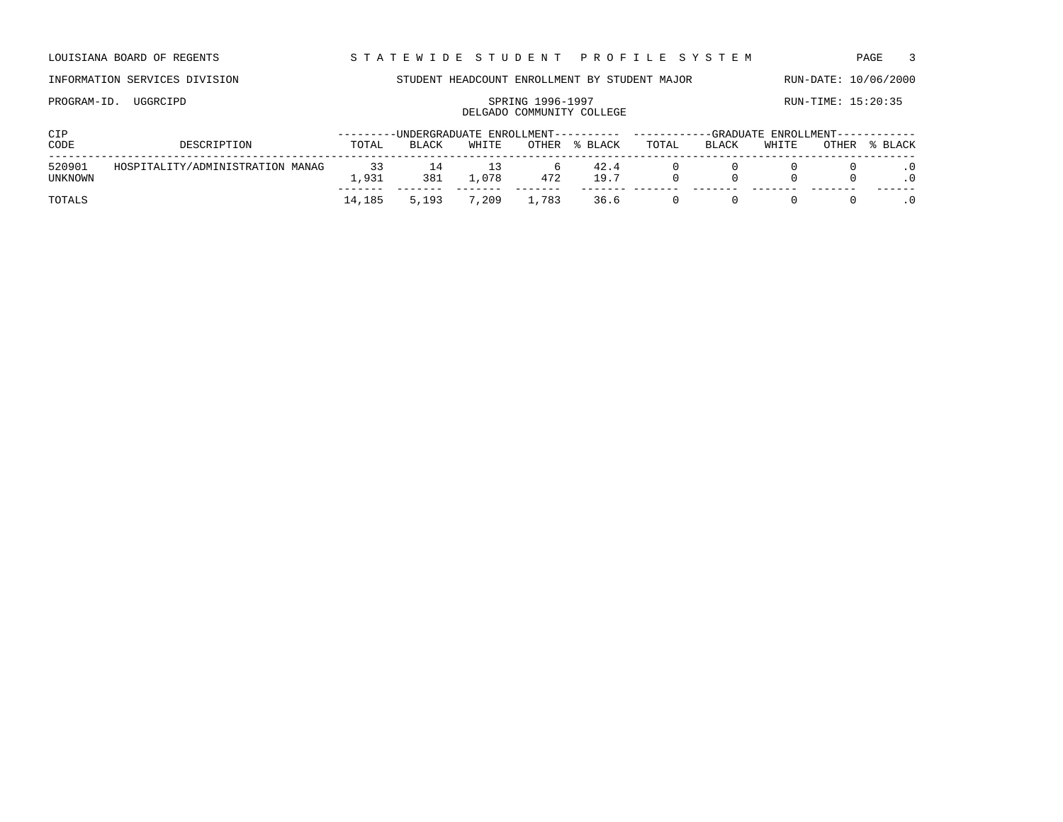LOUISIANA BOARD OF REGENTS STA TEWIDE STUDENT PROFILE SYSTEM PAGE 3

### INFORMATION SERVICES DIVISION STUDENT HEADCOUNT ENROLLMENT BY STUDENT MAJOR RUN-DATE: 10/06/2000

# PROGRAM-ID. UGGRCIPD SPRING 1996-1997 SPRING 1996-1997

## DELGADO COMMUNITY COLLEGE

| <b>CIP</b>        |                                  |               |                       |       |       |              | ---------UNDERGRADUATE ENROLLMENT---------- ----------GRADUATE ENROLLMENT----------- |       |       |       |         |  |
|-------------------|----------------------------------|---------------|-----------------------|-------|-------|--------------|--------------------------------------------------------------------------------------|-------|-------|-------|---------|--|
| CODE              | DESCRIPTION                      | TOTAL         | <b>BLACK</b>          | WHITE | OTHER | % BLACK      | TOTAL                                                                                | BLACK | WHITE | OTHER | % BLACK |  |
| 520901<br>UNKNOWN | HOSPITALITY/ADMINISTRATION MANAG | 33<br>. . 931 | $\frac{14}{1}$<br>381 | .078  | 472   | 42.4<br>19.7 |                                                                                      |       |       |       |         |  |
| TOTALS            |                                  | 14,185        | 5,193                 | 7,209 | ⊥,783 | 36.6         |                                                                                      |       |       |       |         |  |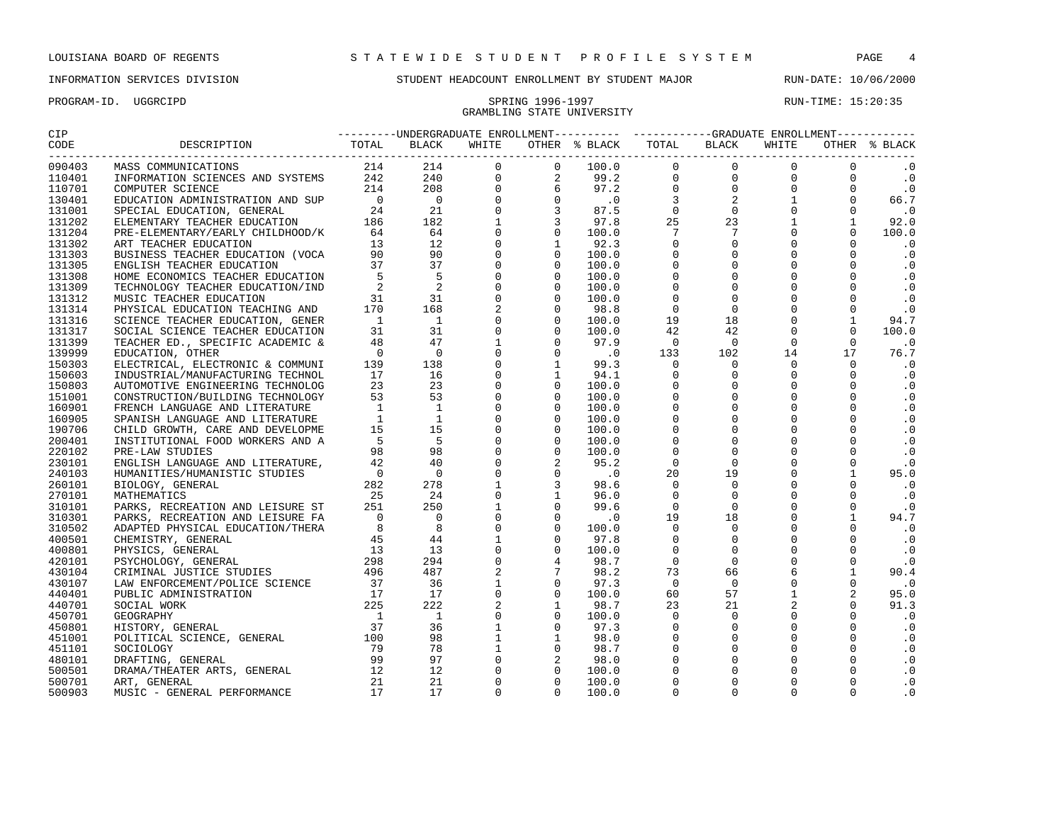## GRAMBLING STATE UNIVERSITY

| 090403           |  |  |  |  |  |  |  |  |  |
|------------------|--|--|--|--|--|--|--|--|--|
| 110401           |  |  |  |  |  |  |  |  |  |
| 110701           |  |  |  |  |  |  |  |  |  |
| 130401           |  |  |  |  |  |  |  |  |  |
| 131001           |  |  |  |  |  |  |  |  |  |
| 131202           |  |  |  |  |  |  |  |  |  |
| 131204           |  |  |  |  |  |  |  |  |  |
| 131302           |  |  |  |  |  |  |  |  |  |
| 131303           |  |  |  |  |  |  |  |  |  |
| 131305           |  |  |  |  |  |  |  |  |  |
| 131308           |  |  |  |  |  |  |  |  |  |
| 131309           |  |  |  |  |  |  |  |  |  |
| 131312           |  |  |  |  |  |  |  |  |  |
| 131314           |  |  |  |  |  |  |  |  |  |
| 131316           |  |  |  |  |  |  |  |  |  |
| 131317           |  |  |  |  |  |  |  |  |  |
| 131399           |  |  |  |  |  |  |  |  |  |
| 139999           |  |  |  |  |  |  |  |  |  |
| 150303           |  |  |  |  |  |  |  |  |  |
| 150603           |  |  |  |  |  |  |  |  |  |
| 150803           |  |  |  |  |  |  |  |  |  |
| 151001           |  |  |  |  |  |  |  |  |  |
| 160901           |  |  |  |  |  |  |  |  |  |
| 160905           |  |  |  |  |  |  |  |  |  |
| 190706           |  |  |  |  |  |  |  |  |  |
| 200401           |  |  |  |  |  |  |  |  |  |
| 220102           |  |  |  |  |  |  |  |  |  |
| 230101           |  |  |  |  |  |  |  |  |  |
| 240103           |  |  |  |  |  |  |  |  |  |
| 260101           |  |  |  |  |  |  |  |  |  |
|                  |  |  |  |  |  |  |  |  |  |
| 270101<br>310101 |  |  |  |  |  |  |  |  |  |
| 310301           |  |  |  |  |  |  |  |  |  |
| 310502           |  |  |  |  |  |  |  |  |  |
| 400501           |  |  |  |  |  |  |  |  |  |
|                  |  |  |  |  |  |  |  |  |  |
| 400801           |  |  |  |  |  |  |  |  |  |
| 420101           |  |  |  |  |  |  |  |  |  |
| 430104           |  |  |  |  |  |  |  |  |  |
| 430107           |  |  |  |  |  |  |  |  |  |
| 440401           |  |  |  |  |  |  |  |  |  |
| 440701           |  |  |  |  |  |  |  |  |  |
| 450701           |  |  |  |  |  |  |  |  |  |
| 450801           |  |  |  |  |  |  |  |  |  |
| 451001           |  |  |  |  |  |  |  |  |  |
| 451101           |  |  |  |  |  |  |  |  |  |
| 480101           |  |  |  |  |  |  |  |  |  |
| 500501           |  |  |  |  |  |  |  |  |  |
| 500701           |  |  |  |  |  |  |  |  |  |
| 500903           |  |  |  |  |  |  |  |  |  |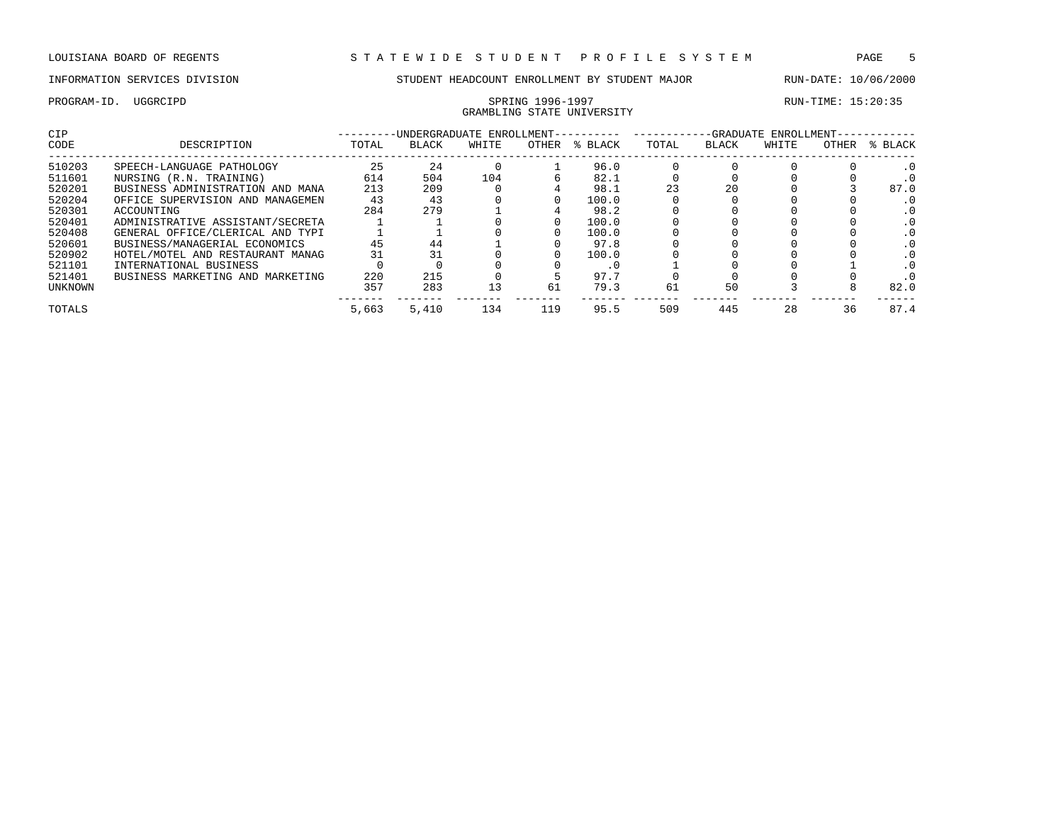## GRAMBLING STATE UNIVERSITY

| <b>CIP</b> |                                  |       | -UNDERGRADUATE ENROLLMENT- |       |       |         | -GRADUATE ENROLLMENT- |       |       |       |         |
|------------|----------------------------------|-------|----------------------------|-------|-------|---------|-----------------------|-------|-------|-------|---------|
| CODE       | DESCRIPTION                      | TOTAL | <b>BLACK</b>               | WHITE | OTHER | % BLACK | TOTAL                 | BLACK | WHITE | OTHER | % BLACK |
| 510203     | SPEECH-LANGUAGE PATHOLOGY        | 25    | 24                         |       |       | 96.0    |                       |       |       |       |         |
| 511601     | NURSING (R.N. TRAINING)          | 614   | 504                        | 104   |       | 82.1    |                       |       |       |       |         |
| 520201     | BUSINESS ADMINISTRATION AND MANA | 213   | 209                        |       |       | 98.1    | 23                    | 20    |       |       | 87.0    |
| 520204     | OFFICE SUPERVISION AND MANAGEMEN | 43    | 43                         |       |       | 100.0   |                       |       |       |       |         |
| 520301     | ACCOUNTING                       | 284   | 279                        |       |       | 98.2    |                       |       |       |       |         |
| 520401     | ADMINISTRATIVE ASSISTANT/SECRETA |       |                            |       |       | 100.0   |                       |       |       |       |         |
| 520408     | GENERAL OFFICE/CLERICAL AND TYPI |       |                            |       |       | 100.0   |                       |       |       |       |         |
| 520601     | BUSINESS/MANAGERIAL ECONOMICS    | 45    | 44                         |       |       | 97.8    |                       |       |       |       |         |
| 520902     | HOTEL/MOTEL AND RESTAURANT MANAG | 31    |                            |       |       | 100.0   |                       |       |       |       |         |
| 521101     | INTERNATIONAL BUSINESS           |       |                            |       |       | . L     |                       |       |       |       |         |
| 521401     | BUSINESS MARKETING AND MARKETING | 220   | 215                        |       |       | 97.7    |                       |       |       |       |         |
| UNKNOWN    |                                  | 357   | 283                        | 13    | 61    | 79.3    | 61                    | 50    |       |       | 82.0    |
| TOTALS     |                                  | 5,663 | 5.410                      | 134   | 119   | 95.5    | 509                   | 445   | 28    | 36    | 87.4    |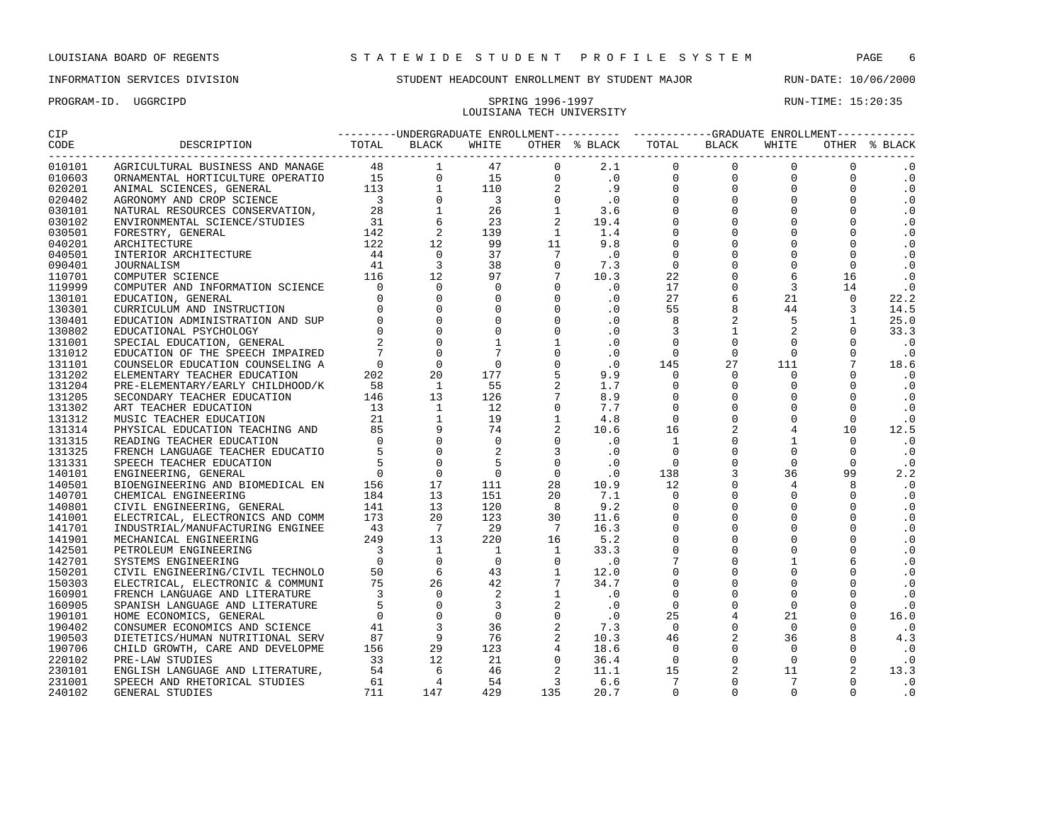### PROGRAM-ID. UGGRCIPD SPRING 1996-1997 SPRING 1996-1997 LOUISIANA TECH UNIVERSITY

| CIP    |                                                                                                                                                                                                                                  | ---------UNDERGRADUATE ENROLLMENT---------- ----------GRADUATE ENROLLMENT----------- |  |  |  |  |  |  |  |  |               |
|--------|----------------------------------------------------------------------------------------------------------------------------------------------------------------------------------------------------------------------------------|--------------------------------------------------------------------------------------|--|--|--|--|--|--|--|--|---------------|
|        | مستخدم المستخدم المستخدم المستخدم المستخدم المستخدم المستخدم المستخدم المستخدم المستخدم المستخدم المستخدم المس<br>2 BLACK TOTAL BLACK TOTAL BLACK BLACK BLACK BLACK BLACK BLACK BLACK BLACK TOTAL BLACK TOTHER & B باستخدام المس |                                                                                      |  |  |  |  |  |  |  |  | OTHER % BLACK |
| 010101 |                                                                                                                                                                                                                                  |                                                                                      |  |  |  |  |  |  |  |  |               |
| 010603 |                                                                                                                                                                                                                                  |                                                                                      |  |  |  |  |  |  |  |  | $\cdot$ 0     |
| 020201 |                                                                                                                                                                                                                                  |                                                                                      |  |  |  |  |  |  |  |  | .0            |
| 020402 |                                                                                                                                                                                                                                  |                                                                                      |  |  |  |  |  |  |  |  | $\cdot$ 0     |
| 030101 |                                                                                                                                                                                                                                  |                                                                                      |  |  |  |  |  |  |  |  | $\cdot$ 0     |
| 030102 |                                                                                                                                                                                                                                  |                                                                                      |  |  |  |  |  |  |  |  | $\cdot$ 0     |
| 030501 |                                                                                                                                                                                                                                  |                                                                                      |  |  |  |  |  |  |  |  | $\cdot$ 0     |
| 040201 |                                                                                                                                                                                                                                  |                                                                                      |  |  |  |  |  |  |  |  | $\cdot$ 0     |
| 040501 |                                                                                                                                                                                                                                  |                                                                                      |  |  |  |  |  |  |  |  | $\cdot$ 0     |
| 090401 |                                                                                                                                                                                                                                  |                                                                                      |  |  |  |  |  |  |  |  | $\cdot$ 0     |
| 110701 |                                                                                                                                                                                                                                  |                                                                                      |  |  |  |  |  |  |  |  | $\cdot$ 0     |
| 119999 |                                                                                                                                                                                                                                  |                                                                                      |  |  |  |  |  |  |  |  | .0            |
| 130101 |                                                                                                                                                                                                                                  |                                                                                      |  |  |  |  |  |  |  |  | 22.2          |
| 130301 |                                                                                                                                                                                                                                  |                                                                                      |  |  |  |  |  |  |  |  | 14.5          |
| 130401 |                                                                                                                                                                                                                                  |                                                                                      |  |  |  |  |  |  |  |  | 25.0          |
| 130802 |                                                                                                                                                                                                                                  |                                                                                      |  |  |  |  |  |  |  |  | 33.3          |
| 131001 |                                                                                                                                                                                                                                  |                                                                                      |  |  |  |  |  |  |  |  | $\cdot$ 0     |
| 131012 |                                                                                                                                                                                                                                  |                                                                                      |  |  |  |  |  |  |  |  | $\cdot$ 0     |
| 131101 |                                                                                                                                                                                                                                  |                                                                                      |  |  |  |  |  |  |  |  | 18.6          |
| 131202 |                                                                                                                                                                                                                                  |                                                                                      |  |  |  |  |  |  |  |  | $\cdot$ 0     |
| 131204 |                                                                                                                                                                                                                                  |                                                                                      |  |  |  |  |  |  |  |  | $\cdot$ 0     |
| 131205 |                                                                                                                                                                                                                                  |                                                                                      |  |  |  |  |  |  |  |  | $\cdot$ 0     |
| 131302 |                                                                                                                                                                                                                                  |                                                                                      |  |  |  |  |  |  |  |  | $\cdot$ 0     |
| 131312 |                                                                                                                                                                                                                                  |                                                                                      |  |  |  |  |  |  |  |  | $\cdot$ 0     |
| 131314 |                                                                                                                                                                                                                                  |                                                                                      |  |  |  |  |  |  |  |  | 12.5          |
| 131315 |                                                                                                                                                                                                                                  |                                                                                      |  |  |  |  |  |  |  |  | $\cdot$ 0     |
| 131325 |                                                                                                                                                                                                                                  |                                                                                      |  |  |  |  |  |  |  |  | $\cdot$ 0     |
| 131331 |                                                                                                                                                                                                                                  |                                                                                      |  |  |  |  |  |  |  |  | $\cdot$ 0     |
| 140101 |                                                                                                                                                                                                                                  |                                                                                      |  |  |  |  |  |  |  |  | 2.2           |
| 140501 |                                                                                                                                                                                                                                  |                                                                                      |  |  |  |  |  |  |  |  | $\cdot$ .0    |
| 140701 |                                                                                                                                                                                                                                  |                                                                                      |  |  |  |  |  |  |  |  | $\cdot$ 0     |
| 140801 |                                                                                                                                                                                                                                  |                                                                                      |  |  |  |  |  |  |  |  | $\cdot$ 0     |
| 141001 |                                                                                                                                                                                                                                  |                                                                                      |  |  |  |  |  |  |  |  | $\cdot$ 0     |
| 141701 |                                                                                                                                                                                                                                  |                                                                                      |  |  |  |  |  |  |  |  | $\cdot$ 0     |
| 141901 |                                                                                                                                                                                                                                  |                                                                                      |  |  |  |  |  |  |  |  | $\cdot$ 0     |
| 142501 |                                                                                                                                                                                                                                  |                                                                                      |  |  |  |  |  |  |  |  | $\cdot$ 0     |
| 142701 |                                                                                                                                                                                                                                  |                                                                                      |  |  |  |  |  |  |  |  | $\cdot$ 0     |
| 150201 |                                                                                                                                                                                                                                  |                                                                                      |  |  |  |  |  |  |  |  | $\cdot$ 0     |
| 150303 |                                                                                                                                                                                                                                  |                                                                                      |  |  |  |  |  |  |  |  | $\cdot$ 0     |
| 160901 |                                                                                                                                                                                                                                  |                                                                                      |  |  |  |  |  |  |  |  | $\cdot$ 0     |
| 160905 |                                                                                                                                                                                                                                  |                                                                                      |  |  |  |  |  |  |  |  | $\cdot$ 0     |
| 190101 |                                                                                                                                                                                                                                  |                                                                                      |  |  |  |  |  |  |  |  | 16.0          |
| 190402 |                                                                                                                                                                                                                                  |                                                                                      |  |  |  |  |  |  |  |  | $\cdot$ 0     |
| 190503 |                                                                                                                                                                                                                                  |                                                                                      |  |  |  |  |  |  |  |  | 4.3           |
| 190706 |                                                                                                                                                                                                                                  |                                                                                      |  |  |  |  |  |  |  |  | $\cdot$ 0     |
| 220102 |                                                                                                                                                                                                                                  |                                                                                      |  |  |  |  |  |  |  |  | $\cdot$ 0     |
| 230101 |                                                                                                                                                                                                                                  |                                                                                      |  |  |  |  |  |  |  |  | 13.3          |
| 231001 |                                                                                                                                                                                                                                  |                                                                                      |  |  |  |  |  |  |  |  | $\cdot$ 0     |
| 240102 |                                                                                                                                                                                                                                  |                                                                                      |  |  |  |  |  |  |  |  | $\cdot$ 0     |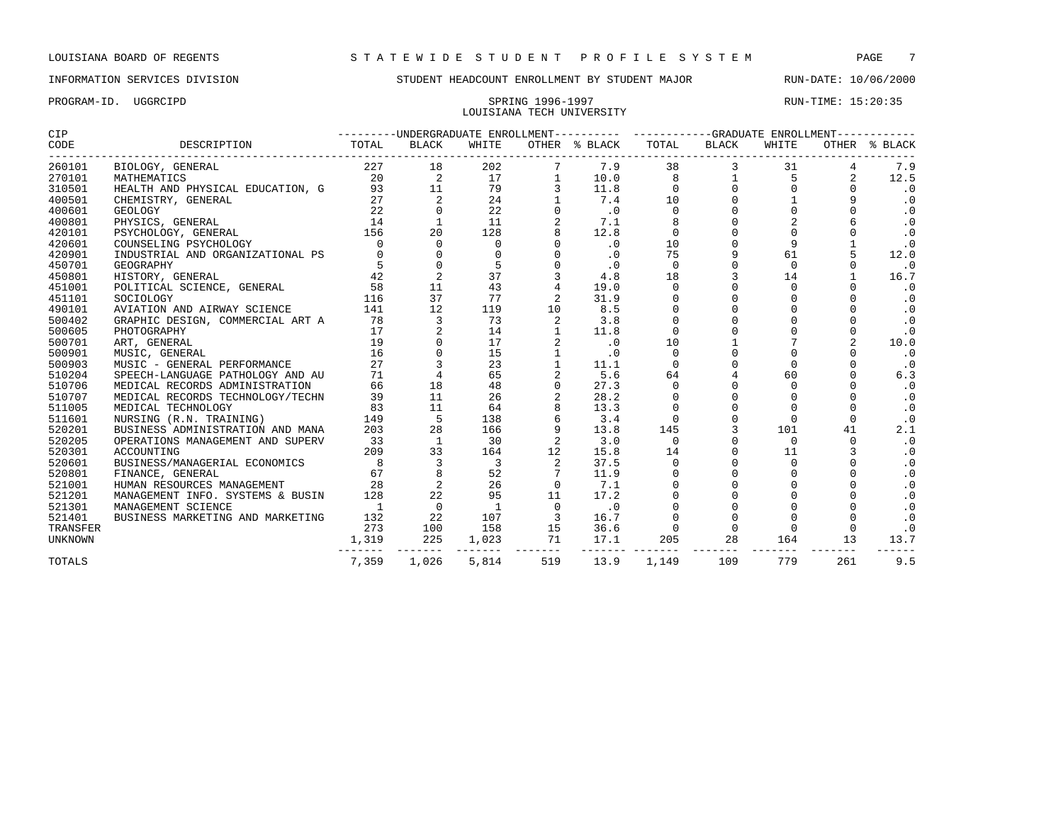### PROGRAM-ID. UGGRCIPD SPRING 1996-1997 RUN-TIME: 15:20:35 LOUISIANA TECH UNIVERSITY

| CIP      |                                                                                       | --------UNDERGRADUATE ENROLLMENT---------- ----------GRADUATE ENROLLMENT---------- |                                                        |                          |                         |               |                                      |                   |                                  |                 |               |
|----------|---------------------------------------------------------------------------------------|------------------------------------------------------------------------------------|--------------------------------------------------------|--------------------------|-------------------------|---------------|--------------------------------------|-------------------|----------------------------------|-----------------|---------------|
| CODE     |                                                                                       |                                                                                    | BLACK                                                  | WHITE                    |                         | OTHER % BLACK | ------------------------------------ | TOTAL BLACK       | WHITE                            | --------------- | OTHER % BLACK |
| 260101   | BIOLOGY, GENERAL                                                                      | 227 18                                                                             |                                                        | 202                      |                         | 7.9           | 38                                   |                   | 31                               | 4               | 7.9           |
| 270101   | MATHEMATICS                                                                           |                                                                                    |                                                        | 17                       | 1                       | 10.0          | 8                                    |                   | $1 \qquad \qquad$<br>$5^{\circ}$ | 2               | 12.5          |
| 310501   | HEALTH AND PHYSICAL EDUCATION, G                                                      |                                                                                    | $\begin{array}{ccc} 20 & & 2 \\ 93 & & 11 \end{array}$ | 79                       | 3                       | 11.8          | $\Omega$                             | $0 \qquad \qquad$ | 0                                | $\Omega$        | $\cdot$ 0     |
| 400501   | CHEMISTRY, GENERAL                                                                    | 27                                                                                 | 2                                                      | 24                       |                         | 7.4           | 10                                   | $\mathsf{O}$      |                                  | 9               | $\cdot$ 0     |
| 400601   | CHEMISTRY, GENERAL 27<br>GEOLOGY 22<br>PHYSICS, GENERAL 14<br>PSYCHOLOGY, GENERAL 156 |                                                                                    | $\mathbf 0$                                            | 22                       | $\mathbf 0$             | $\cdot$ 0     | $\mathbf 0$                          | $\mathsf{O}$      |                                  | $\mathbf 0$     | $\cdot$ 0     |
| 400801   |                                                                                       |                                                                                    | <sup>1</sup>                                           | 11                       | $\overline{a}$          | 7.1           | 8                                    | $\mathsf{O}$      | $\overline{a}$                   |                 | $\cdot$ 0     |
| 420101   |                                                                                       |                                                                                    | 20                                                     | 128                      | 8                       | 12.8          | $\mathbf 0$                          | $\Omega$          |                                  |                 | $\cdot$ 0     |
| 420601   | COUNSELING PSYCHOLOGY                                                                 | $\Omega$                                                                           | $\mathbf 0$                                            | 0                        |                         | $\cdot$ 0     | 10                                   |                   | 9                                |                 | $\cdot$ 0     |
| 420901   | INDUSTRIAL AND ORGANIZATIONAL PS                                                      |                                                                                    |                                                        | 0                        |                         | $\cdot$ 0     | 75                                   |                   | 61                               | 5               | 12.0          |
| 450701   | GEOGRAPHY                                                                             |                                                                                    |                                                        | 5                        |                         | .0            | $\Omega$                             | $\Omega$          | $\cap$                           | $\Omega$        | $\cdot$ 0     |
| 450801   | HISTORY, GENERAL                                                                      | 42                                                                                 | 2                                                      | 37                       |                         | 4.8           | 18                                   | $\overline{3}$    | 14                               |                 | 16.7          |
| 451001   | POLITICAL SCIENCE, GENERAL                                                            | 58                                                                                 | 11                                                     | 43                       |                         | 19.0          | $\mathbf 0$                          | $\mathbf 0$       | $\Omega$                         | $\Omega$        | $\cdot$ 0     |
| 451101   | SOCIOLOGY                                                                             | 116                                                                                | 37                                                     | 77                       |                         | 31.9          | $\mathbf 0$                          | 0                 |                                  | $\Omega$        | $\cdot$ 0     |
| 490101   | AVIATION AND AIRWAY SCIENCE                                                           | 141                                                                                | 12                                                     | 119                      | 10                      | 8.5           | $\mathsf 0$                          | $\mathbf 0$       | $\mathbf 0$                      |                 | $\cdot$ 0     |
| 500402   | GRAPHIC DESIGN, COMMERCIAL ART A                                                      | 78                                                                                 | 3                                                      | 73                       | 2                       | 3.8           | $\Omega$                             | $\Omega$          |                                  |                 | $\cdot$ 0     |
| 500605   | PHOTOGRAPHY                                                                           | 17                                                                                 |                                                        | 14                       |                         | 11.8          |                                      |                   |                                  |                 | $\cdot$ 0     |
| 500701   | ART, GENERAL                                                                          | 19                                                                                 |                                                        | 17                       |                         | .0            | 10                                   |                   |                                  | $\overline{2}$  | 10.0          |
| 500901   | MUSIC, GENERAL                                                                        | $\frac{16}{27}$                                                                    |                                                        | 15                       |                         | .0            | $\Omega$                             | $\Omega$          |                                  | $\Omega$        | $\cdot$ 0     |
| 500903   | MUSIC - GENERAL PERFORMANCE                                                           |                                                                                    | $\overline{3}$                                         | 23                       | $\mathbf{1}$            | 11.1          | $\Omega$                             |                   | $\Omega$                         | $\Omega$        | $\cdot$ 0     |
| 510204   | SPEECH-LANGUAGE PATHOLOGY AND AU                                                      | 71                                                                                 | $\overline{4}$                                         | 65                       |                         | 5.6           | 64                                   |                   | 60                               |                 | 6.3           |
| 510706   | MEDICAL RECORDS ADMINISTRATION                                                        | 66                                                                                 | 18                                                     | 48                       | $\mathbf 0$             | 27.3          | $\mathsf 0$                          |                   | $\Omega$                         |                 | $\cdot$ 0     |
| 510707   | MEDICAL RECORDS TECHNOLOGY/TECHN                                                      | 39                                                                                 | 11                                                     | 26                       |                         | 28.2          | $\mathbf 0$                          | $\Omega$          |                                  |                 | $\cdot$ 0     |
| 511005   | MEDICAL TECHNOLOGY                                                                    | 83                                                                                 | 11                                                     | 64                       |                         | 13.3          | $\mathbf 0$                          |                   |                                  |                 | $\cdot$ 0     |
| 511601   | NURSING (R.N. TRAINING)                                                               | 149                                                                                | $5^{\circ}$                                            | 138                      |                         | 3.4           | $\Omega$                             |                   |                                  | $\Omega$        | $\cdot$ 0     |
| 520201   | BUSINESS ADMINISTRATION AND MANA                                                      | 203                                                                                | 28                                                     | 166                      |                         | 13.8          | 145                                  |                   | 101                              | 41              | 2.1           |
| 520205   | OPERATIONS MANAGEMENT AND SUPERV                                                      | 33                                                                                 | $\overline{1}$                                         | 30                       |                         | 3.0           | $\Omega$                             | $\Omega$          | $\Omega$                         | $\Omega$        | $\cdot$ 0     |
| 520301   | ACCOUNTING                                                                            | 209                                                                                | 33                                                     | 164                      | 12                      | 15.8          | 14                                   | $\mathbf 0$       | 11                               | 3               | $\cdot$ 0     |
| 520601   | BUSINESS/MANAGERIAL ECONOMICS                                                         | $57$<br>$8$<br>$8$                                                                 | $\overline{\mathbf{3}}$                                | $\overline{\phantom{a}}$ | 2                       | 37.5          | $\Omega$                             | $\mathbf 0$       | $\Omega$                         | $\Omega$        | $\cdot$ 0     |
| 520801   | FINANCE, GENERAL                                                                      |                                                                                    | $\frac{8}{2}$                                          | 52                       | $7\phantom{.0}$         | 11.9          | $\mathbf 0$                          | 0                 |                                  | $\Omega$        | $\cdot$ 0     |
| 521001   | HUMAN RESOURCES MANAGEMENT                                                            | 28                                                                                 |                                                        | 26                       | $\mathbf 0$             | 7.1           |                                      | $\Omega$          |                                  |                 | $\cdot$ 0     |
| 521201   | MANAGEMENT INFO. SYSTEMS & BUSIN                                                      | 128                                                                                | 22                                                     | 95                       | 11                      | 17.2          |                                      |                   |                                  |                 | $\cdot$ 0     |
| 521301   | MANAGEMENT SCIENCE                                                                    | $\overline{1}$                                                                     | $\overline{0}$                                         | $\overline{\phantom{0}}$ | $\overline{0}$          | .0            |                                      |                   |                                  |                 | $\cdot$ 0     |
| 521401   | BUSINESS MARKETING AND MARKETING                                                      | 132                                                                                | 22                                                     | 107                      | $\overline{\mathbf{3}}$ | 16.7          |                                      |                   |                                  |                 | $\cdot$ 0     |
| TRANSFER |                                                                                       | 273                                                                                | 100                                                    | 158                      | 15                      | 36.6          | $\Omega$                             | $\Omega$          | $\Omega$                         | $\Omega$        | $\cdot$ 0     |
| UNKNOWN  |                                                                                       | 1,319                                                                              | 225                                                    | 1,023                    | 71                      | 17.1          | 205<br>------- --------              | 28                | 164                              | 13              | 13.7          |
| TOTALS   |                                                                                       | 7,359                                                                              | 1,026                                                  | 5,814                    | 519                     | 13.9          | 1,149                                | 109               | 779                              | 261             | 9.5           |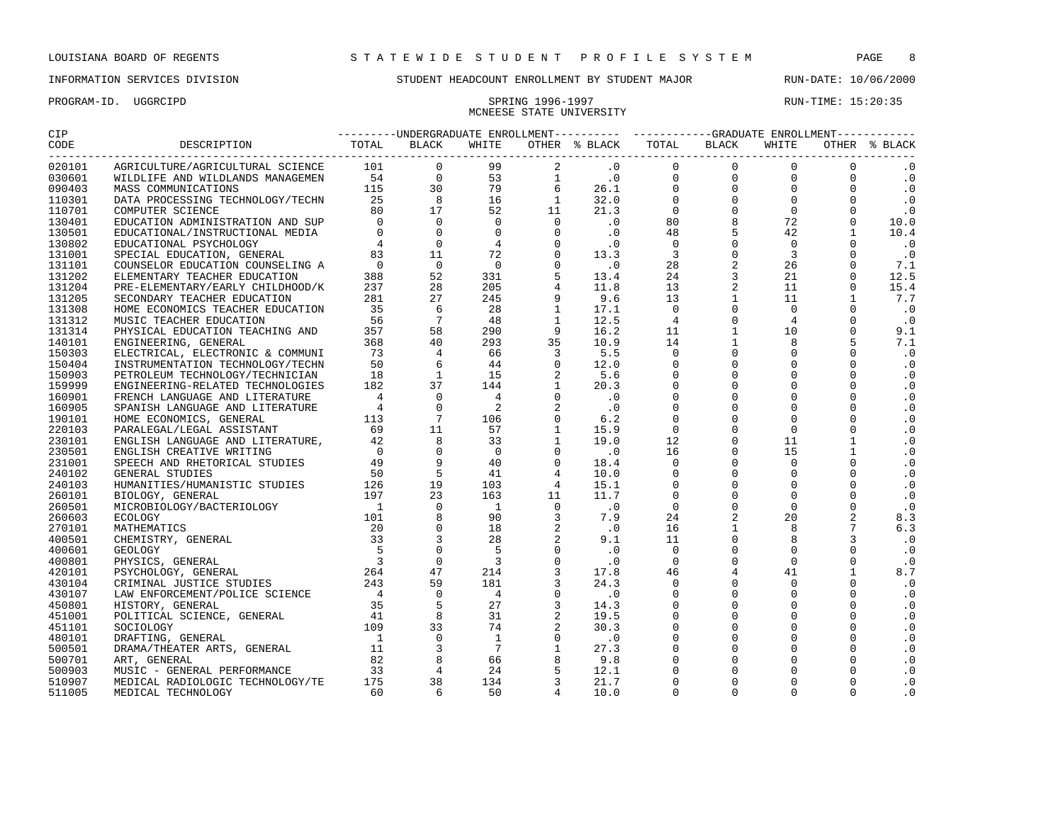PROGRAM-ID. UGGRCIPD SPRING 1996-1997 RUN-TIME: 15:20:35

## INFORMATION SERVICES DIVISION SUNDENT HEADCOUNT ENROLLMENT BY STUDENT MAJOR RUN-DATE: 10/06/2000

# MCNEESE STATE UNIVERSITY

| CIP                 |                              |  | ---------UNDERGRADUATE ENROLLMENT---------- -----------GRADUATE ENROLLMENT----------- |  |  |  |       |                |               |
|---------------------|------------------------------|--|---------------------------------------------------------------------------------------|--|--|--|-------|----------------|---------------|
|                     | CODE DESCRIPTION TOTAL BLACK |  | WHITE                                                                                 |  |  |  | WHITE |                | OTHER % BLACK |
| ---------<br>020101 |                              |  |                                                                                       |  |  |  |       | $\Omega$       | $\cdot$ 0     |
| 030601              |                              |  |                                                                                       |  |  |  |       | $\Omega$       | $\cdot$ 0     |
| 090403              |                              |  |                                                                                       |  |  |  |       | $\Omega$       | $\cdot$ 0     |
| 110301              |                              |  |                                                                                       |  |  |  |       | $\Omega$       | $\cdot$ 0     |
| 110701              |                              |  |                                                                                       |  |  |  |       | $\mathbf 0$    | $\cdot$ 0     |
| 130401              |                              |  |                                                                                       |  |  |  |       | $\mathbf 0$    | 10.0          |
| 130501              |                              |  |                                                                                       |  |  |  |       | $\mathbf{1}$   | 10.4          |
| 130802              |                              |  |                                                                                       |  |  |  |       | $\Omega$       | $\cdot$ 0     |
| 131001              |                              |  |                                                                                       |  |  |  |       | $\Omega$       | $\cdot$ 0     |
| 131101              |                              |  |                                                                                       |  |  |  |       | $\Omega$       | 7.1           |
| 131202              |                              |  |                                                                                       |  |  |  |       | $\Omega$       | 12.5          |
| 131204              |                              |  |                                                                                       |  |  |  |       | $\mathbf 0$    | 15.4          |
| 131205              |                              |  |                                                                                       |  |  |  |       | $\mathbf{1}$   | 7.7           |
| 131308              |                              |  |                                                                                       |  |  |  |       | $\Omega$       | $\cdot$ 0     |
| 131312              |                              |  |                                                                                       |  |  |  |       | $\Omega$       | $\cdot$ 0     |
| 131314              |                              |  |                                                                                       |  |  |  |       | $\Omega$       | 9.1           |
| 140101              |                              |  |                                                                                       |  |  |  |       | 5              | 7.1           |
| 150303              |                              |  |                                                                                       |  |  |  |       | $\Omega$       | $\cdot$ 0     |
| 150404              |                              |  |                                                                                       |  |  |  |       | $\Omega$       | $\cdot$ 0     |
| 150903              |                              |  |                                                                                       |  |  |  |       | $\Omega$       | $\cdot$ 0     |
| 159999              |                              |  |                                                                                       |  |  |  |       | $\Omega$       | $\cdot$ 0     |
| 160901              |                              |  |                                                                                       |  |  |  |       | $\Omega$       | $\cdot$ 0     |
| 160905              |                              |  |                                                                                       |  |  |  |       | $\Omega$       | $\cdot$ 0     |
| 190101              |                              |  |                                                                                       |  |  |  |       | $\Omega$       | $\cdot$ 0     |
| 220103              |                              |  |                                                                                       |  |  |  |       | $\Omega$       | $\cdot$ 0     |
| 230101              |                              |  |                                                                                       |  |  |  |       | $\mathbf{1}$   | $\cdot$ 0     |
| 230501              |                              |  |                                                                                       |  |  |  |       | $\mathbf{1}$   | $\cdot$ 0     |
| 231001              |                              |  |                                                                                       |  |  |  |       | $\Omega$       | $\cdot$ 0     |
| 240102              |                              |  |                                                                                       |  |  |  |       | $\Omega$       | $\cdot$ 0     |
| 240103              |                              |  |                                                                                       |  |  |  |       | $\Omega$       | $\cdot$ 0     |
| 260101              |                              |  |                                                                                       |  |  |  |       | $\Omega$       | $\cdot$ 0     |
| 260501              |                              |  |                                                                                       |  |  |  |       | $\Omega$       | $\cdot$ 0     |
| 260603              |                              |  |                                                                                       |  |  |  |       | $\overline{2}$ | 8.3           |
| 270101              |                              |  |                                                                                       |  |  |  |       | 7              | 6.3           |
| 400501              |                              |  |                                                                                       |  |  |  |       | $\overline{3}$ | $\cdot$ 0     |
| 400601              |                              |  |                                                                                       |  |  |  |       | $\Omega$       | $\cdot$ 0     |
| 400801              |                              |  |                                                                                       |  |  |  |       | $\mathbf 0$    | $\cdot$ 0     |
| 420101              |                              |  |                                                                                       |  |  |  |       | $\mathbf{1}$   | 8.7           |
| 430104              |                              |  |                                                                                       |  |  |  |       | $\Omega$       | $\cdot$ 0     |
| 430107              |                              |  |                                                                                       |  |  |  |       | $\Omega$       | $\cdot$ 0     |
| 450801              |                              |  |                                                                                       |  |  |  |       | $\Omega$       | $\cdot$ 0     |
| 451001              |                              |  |                                                                                       |  |  |  |       | $\Omega$       | $\cdot$ 0     |
| 451101              |                              |  |                                                                                       |  |  |  |       | $\Omega$       | $\cdot$ 0     |
| 480101              |                              |  |                                                                                       |  |  |  |       | $\mathbf 0$    | $\cdot$ 0     |
| 500501              |                              |  |                                                                                       |  |  |  |       | $\Omega$       | $\cdot$ 0     |
| 500701              |                              |  |                                                                                       |  |  |  |       |                | $\cdot$ 0     |
| 500903              |                              |  |                                                                                       |  |  |  |       |                | $\cdot$ 0     |
| 510907              |                              |  |                                                                                       |  |  |  |       | $\Omega$       | $\cdot$ 0     |
| 511005              |                              |  |                                                                                       |  |  |  |       | $\Omega$       | $\cdot$ 0     |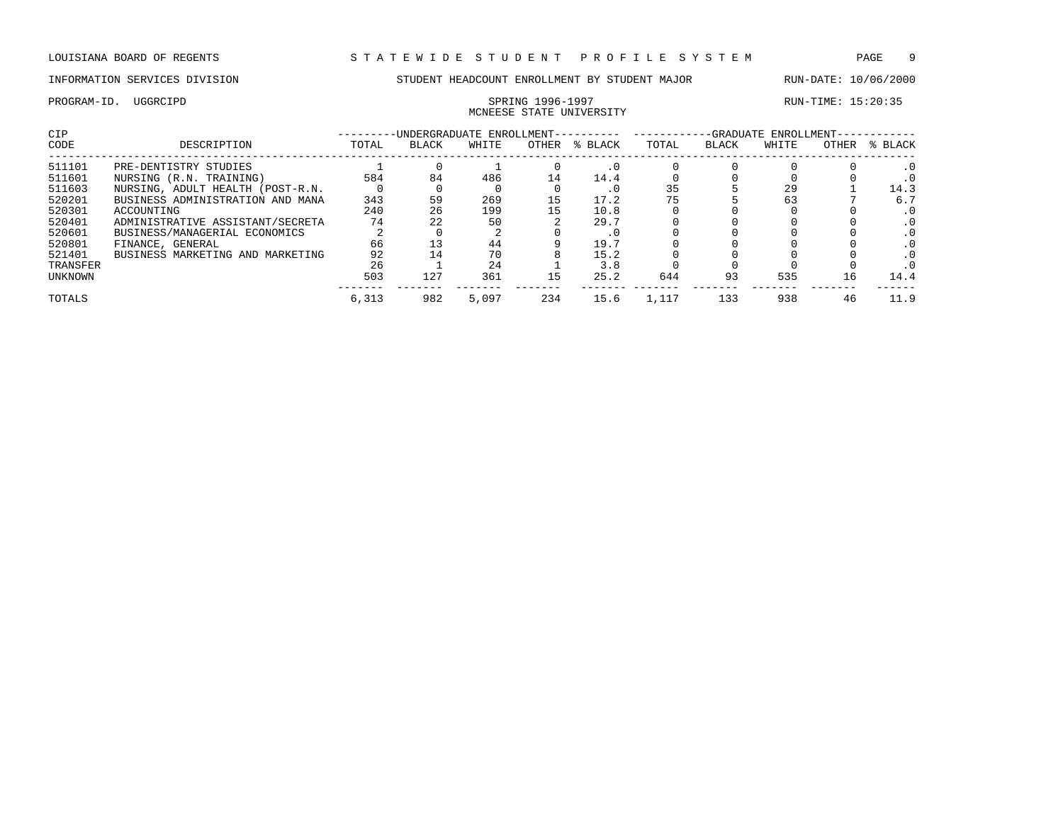# MCNEESE STATE UNIVERSITY

| CIP      |                                  |       | -UNDERGRADUATE ENROLLMENT- |       |       |         |       |       | -GRADUATE ENROLLMENT- |       |           |
|----------|----------------------------------|-------|----------------------------|-------|-------|---------|-------|-------|-----------------------|-------|-----------|
| CODE     | DESCRIPTION                      | TOTAL | BLACK                      | WHITE | OTHER | % BLACK | TOTAL | BLACK | WHITE                 | OTHER | % BLACK   |
| 511101   | PRE-DENTISTRY STUDIES            |       |                            |       |       |         |       |       |                       |       |           |
| 511601   | NURSING (R.N. TRAINING)          | 584   | 84                         | 486   | 14    | 14.4    |       |       |                       |       |           |
| 511603   | NURSING, ADULT HEALTH (POST-R.N. |       |                            |       |       | . 0     | 35    |       | 29                    |       | 14.3      |
| 520201   | BUSINESS ADMINISTRATION AND MANA | 343   | 59                         | 269   | 15    | 17.2    |       |       | 63                    |       | 6.7       |
| 520301   | ACCOUNTING                       | 240   | 26                         | 199   |       | 10.8    |       |       |                       |       |           |
| 520401   | ADMINISTRATIVE ASSISTANT/SECRETA | 74    | 22                         | 50    |       | 29.7    |       |       |                       |       |           |
| 520601   | BUSINESS/MANAGERIAL ECONOMICS    |       |                            |       |       | . 0     |       |       |                       |       | $\cdot$ 0 |
| 520801   | FINANCE, GENERAL                 | 66    |                            | 44    |       | 19.7    |       |       |                       |       |           |
| 521401   | BUSINESS MARKETING AND MARKETING | 92    | 14                         | 70    |       | 15.2    |       |       |                       |       |           |
| TRANSFER |                                  | 26    |                            | 24    |       | 3.8     |       |       |                       |       |           |
| UNKNOWN  |                                  | 503   | 127                        | 361   | 15    | 25.2    | 644   | 93    | 535                   | 16    | 14.4      |
| TOTALS   |                                  | 6,313 | 982                        | 5,097 | 234   | 15.6    | 1,117 | 133   | 938                   |       | 11.9      |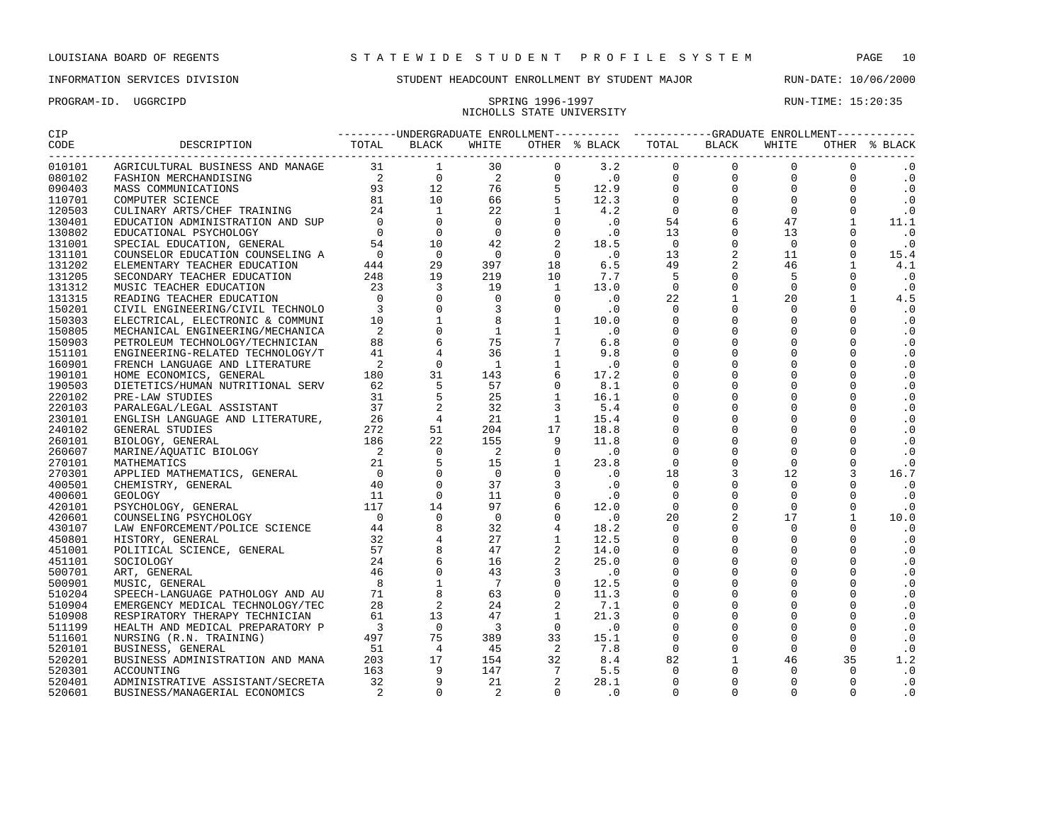## NICHOLLS STATE UNIVERSITY

| CIP                |                                                                             |  |  |  |  |  |  |  |  |                             |  |
|--------------------|-----------------------------------------------------------------------------|--|--|--|--|--|--|--|--|-----------------------------|--|
| CODE<br>---------- |                                                                             |  |  |  |  |  |  |  |  |                             |  |
| 010101             |                                                                             |  |  |  |  |  |  |  |  |                             |  |
| 080102             |                                                                             |  |  |  |  |  |  |  |  | $\overline{0}$<br>$\cdot$ 0 |  |
| 090403             |                                                                             |  |  |  |  |  |  |  |  | $\cdot$ 0                   |  |
| 110701             |                                                                             |  |  |  |  |  |  |  |  | $\cdot$ 0                   |  |
| 120503             |                                                                             |  |  |  |  |  |  |  |  | $\ddotsc 0$                 |  |
| 130401             |                                                                             |  |  |  |  |  |  |  |  | 11.1                        |  |
| 130802             |                                                                             |  |  |  |  |  |  |  |  | $\cdot$ 0                   |  |
| 131001             |                                                                             |  |  |  |  |  |  |  |  | $\cdot$ 0                   |  |
| 131101             |                                                                             |  |  |  |  |  |  |  |  | 15.4                        |  |
| 131202             |                                                                             |  |  |  |  |  |  |  |  | 4.1                         |  |
| 131205             |                                                                             |  |  |  |  |  |  |  |  | $\cdot$ 0                   |  |
| 131312             |                                                                             |  |  |  |  |  |  |  |  | $\cdot$ 0                   |  |
| 131315             |                                                                             |  |  |  |  |  |  |  |  | 4.5                         |  |
| 150201             |                                                                             |  |  |  |  |  |  |  |  | $\cdot$ 0                   |  |
| 150303             |                                                                             |  |  |  |  |  |  |  |  | $\cdot$ 0                   |  |
| 150805             |                                                                             |  |  |  |  |  |  |  |  | $\cdot$ 0                   |  |
| 150903             |                                                                             |  |  |  |  |  |  |  |  | $\cdot$ 0                   |  |
| 151101             |                                                                             |  |  |  |  |  |  |  |  | $\cdot$ 0                   |  |
| 160901             |                                                                             |  |  |  |  |  |  |  |  | $\boldsymbol{\cdot}$ 0      |  |
| 190101             |                                                                             |  |  |  |  |  |  |  |  | $\cdot$ 0                   |  |
| 190503             |                                                                             |  |  |  |  |  |  |  |  | $\cdot$ 0                   |  |
| 220102             |                                                                             |  |  |  |  |  |  |  |  | $\cdot$ 0                   |  |
| 220103             |                                                                             |  |  |  |  |  |  |  |  | $\cdot$ 0                   |  |
| 230101             |                                                                             |  |  |  |  |  |  |  |  | $\cdot$ 0                   |  |
| 240102             |                                                                             |  |  |  |  |  |  |  |  | $\cdot$ 0                   |  |
| 260101             |                                                                             |  |  |  |  |  |  |  |  | $\cdot$ 0                   |  |
| 260607             |                                                                             |  |  |  |  |  |  |  |  | $\cdot$ 0                   |  |
| 270101             |                                                                             |  |  |  |  |  |  |  |  | $\cdot$ 0                   |  |
| 270301             |                                                                             |  |  |  |  |  |  |  |  | 16.7                        |  |
| 400501             |                                                                             |  |  |  |  |  |  |  |  | $\cdot$ 0                   |  |
| 400601             |                                                                             |  |  |  |  |  |  |  |  | $\cdot$ 0                   |  |
| 420101             |                                                                             |  |  |  |  |  |  |  |  | $\cdot$ 0                   |  |
| 420601             |                                                                             |  |  |  |  |  |  |  |  | 10.0                        |  |
| 430107             |                                                                             |  |  |  |  |  |  |  |  | $\cdot$ 0                   |  |
| 450801             |                                                                             |  |  |  |  |  |  |  |  | $\cdot$ 0                   |  |
| 451001             |                                                                             |  |  |  |  |  |  |  |  | $\cdot$ 0                   |  |
| 451101             |                                                                             |  |  |  |  |  |  |  |  | $\cdot$ 0                   |  |
| 500701             |                                                                             |  |  |  |  |  |  |  |  | $\cdot$ 0                   |  |
|                    |                                                                             |  |  |  |  |  |  |  |  | $\cdot$ 0                   |  |
| 500901             |                                                                             |  |  |  |  |  |  |  |  | $\cdot$ 0                   |  |
| 510204             |                                                                             |  |  |  |  |  |  |  |  |                             |  |
| 510904             |                                                                             |  |  |  |  |  |  |  |  | $\cdot$ 0                   |  |
| 510908             |                                                                             |  |  |  |  |  |  |  |  | $\cdot$ 0                   |  |
| 511199             |                                                                             |  |  |  |  |  |  |  |  | $\cdot$ 0                   |  |
| 511601             |                                                                             |  |  |  |  |  |  |  |  | $\cdot$ 0                   |  |
| 520101             |                                                                             |  |  |  |  |  |  |  |  | $\cdot$ 0                   |  |
| 520201             |                                                                             |  |  |  |  |  |  |  |  | 1.2                         |  |
| 520301             | 163<br>ADMINISTRATIVE ASSISTANT/SECRETA 32<br>BUSINESS/MANAGERIAL ECONOMICS |  |  |  |  |  |  |  |  | $\cdot$ 0                   |  |
| 520401             |                                                                             |  |  |  |  |  |  |  |  | $\cdot$ 0                   |  |
| 520601             |                                                                             |  |  |  |  |  |  |  |  | $\cdot$ 0                   |  |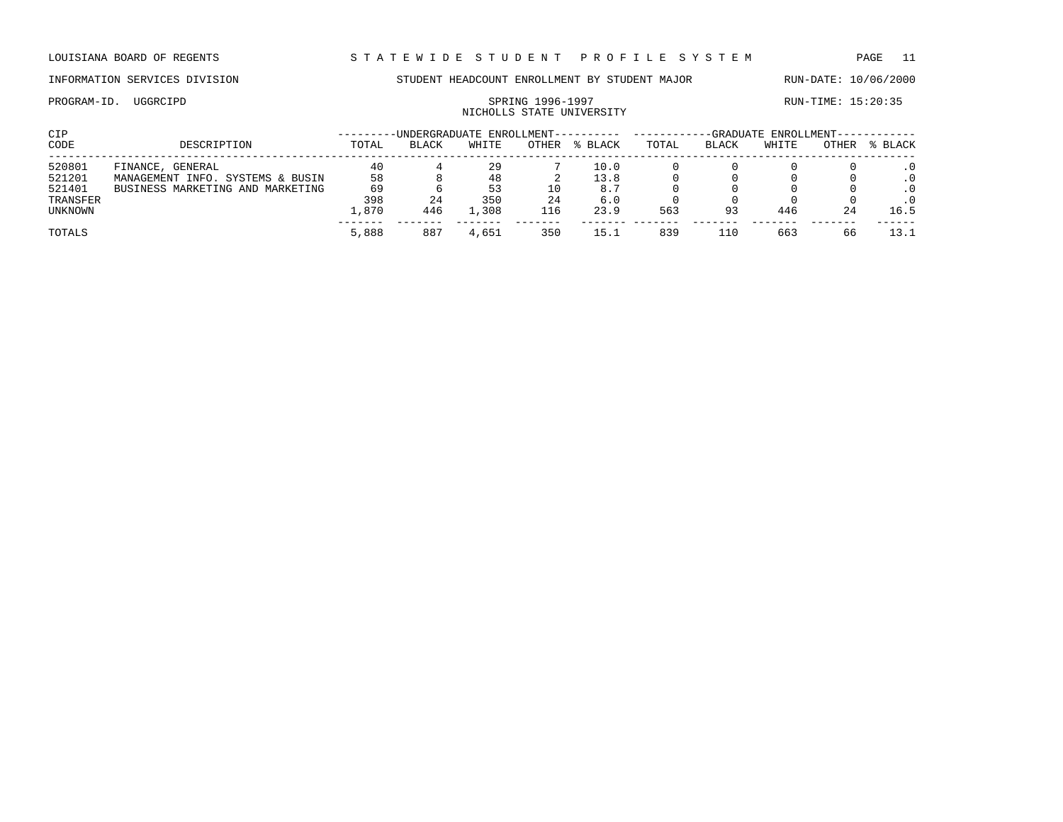## NICHOLLS STATE UNIVERSITY

| CIP      |                                  |       | -UNDERGRADUATE ENROLLMENT---------- |       |       |         | -GRADUATE ENROLLMENT-- |       |       |       |         |  |
|----------|----------------------------------|-------|-------------------------------------|-------|-------|---------|------------------------|-------|-------|-------|---------|--|
| CODE     | DESCRIPTION                      | TOTAL | <b>BLACK</b>                        | WHITE | OTHER | % BLACK | TOTAL                  | BLACK | WHITE | OTHER | % BLACK |  |
| 520801   | FINANCE, GENERAL                 | 40    |                                     | 29    |       | 10.0    |                        |       |       |       |         |  |
| 521201   | MANAGEMENT INFO. SYSTEMS & BUSIN | 58    |                                     | 48    |       | 13.8    |                        |       |       |       |         |  |
| 521401   | BUSINESS MARKETING AND MARKETING | 69    |                                     | 53    | 10    | 8.7     |                        |       |       |       |         |  |
| TRANSFER |                                  | 398   | 24                                  | 350   | 24    | 6.0     |                        |       |       |       |         |  |
| UNKNOWN  |                                  | 1,870 | 446                                 | L,308 | 116   | 23.9    | 563                    | 93    | 446   | 24    | 16.5    |  |
| TOTALS   |                                  | 5,888 | 887                                 | 4,651 | 350   | 15.1    | 839                    | 110   | 663   | 66    |         |  |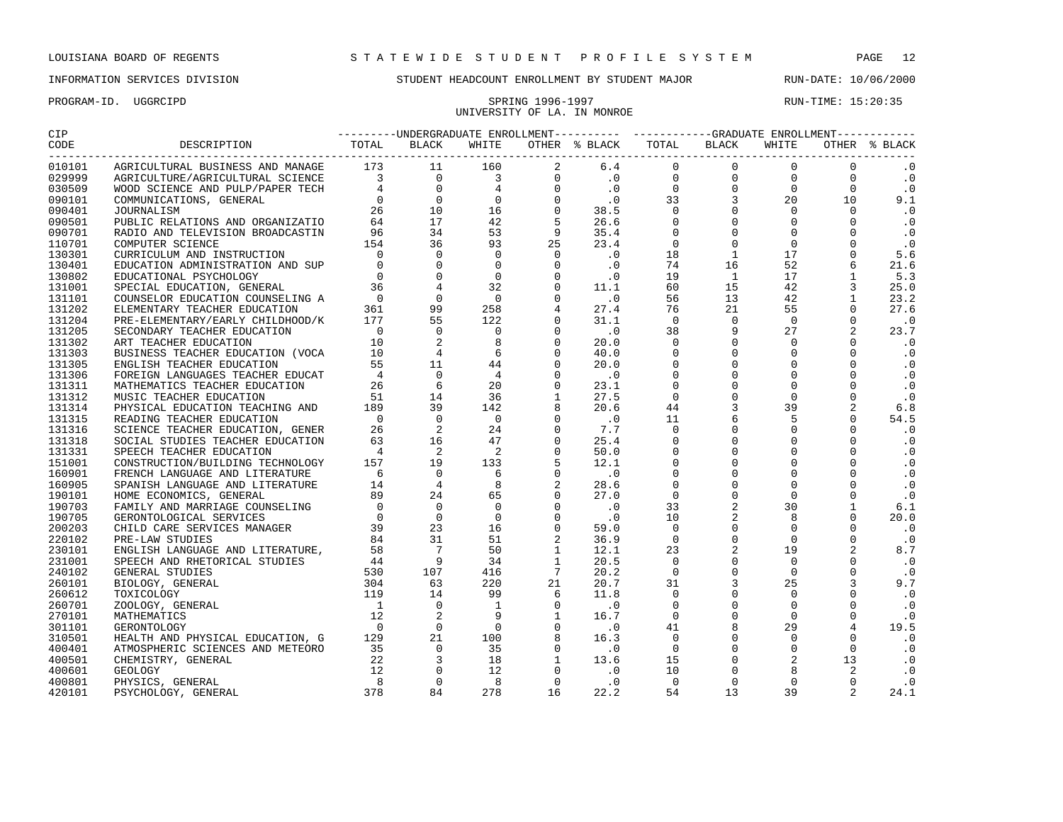PROGRAM-ID. UGGRCIPD SPRING 1996-1997 RUN-TIME: 15:20:35

### INFORMATION SERVICES DIVISION STUDENT HEADCOUNT ENROLLMENT BY STUDENT MAJOR RUN-DATE: 10/06/2000

UNIVERSITY OF LA. IN MONROE

### CIP ---------UNDERGRADUATE ENROLLMENT---------- ------------GRADUATE ENROLLMENT------------ CODE DESCRIPTION TOTAL BLACK WHITE OTHER % BLACK TOTAL BLACK WHITE OTHER % BLACK ------------------------------------------------------------------------------------------------------------------------------------ 010101 AGRICULTURAL BUSINESS AND MANAGE 173 11 160 2 6.4 0 0 0 0 .0<br>029999 AGRICULTURE/AGRICULTURAL SCIENCE 3 0 3 0 .0 0 0 0 .0<br>030509 WOOD SCIENCE AND PULP/PAPER TECH 4 0 4 0 .0 0 0 0 0 .0 029999 AGRICULTURE/AGRICULTURAL SCIENCE 3 0 3 0 .0 0 0 0 0 .0<br>030509 WOOD SCIENCE AND PULP/PAPER TECH 4 0 4 0 .0 0 0 0 0 0 .0 030509 WOOD SCIENCE AND PULP/PAPER TECH  $\begin{array}{cccccccc} 4 & 0 & 4 & 0 & .0 & 0 & 0 & 0 & 0 & .0 \ 0 & 0 & 0 & 0 & 0 & 0 & .1 & .0 \end{array}$  COMMUNICATIONS, GENERAL 0 0 0 0 .0 33 3 20 10 9.1 JOURNALISM 26 10 16 0 38.5 0 0 0 0 .0 PUBLIC RELATIONS AND ORGANIZATIO 64 17 42 5 26.6 0 0 0 0 .0 RADIO AND TELEVISION BROADCASTIN 96 34 53 9 35.4 0 0 0 0 .0 110701 COMPUTER SCIENCE 154 36 93 25 23.4 0 0 0 0 0 .0<br>130301 CURRICULUMANDINSTRUCTION 10 0 0 0 0 .0 18 1 17 0 5.6 CURRICULUM AND INSTRUCTION 0 0 0 0 .0 18 1 17 0 5.6 EDUCATION ADMINISTRATION AND SUP 0 0 0 0 .0 74 16 52 6 21.6 EDUCATIONAL PSYCHOLOGY 0 0 0 0 .0 19 1 17 1 5.3 130401 EDUCATION ADMINISTRATION AND SUP to the control of the control of the control of the control of the cont<br>130802 EDUCATIONAL PSYCHOLOGY 0 0 0 0 0 0 0 10 15 42 3 25.0<br>131101 COUNSELOR EDUCATION COUNSELING A 0 0 0 0 0 COUNSELOR EDUCATION COUNSELING A 0 0 0 0 .0 56 13 42 1 23.2 ELEMENTARY TEACHER EDUCATION 361 99 258 4 27.4 76 21 55 0 27.6 PRE-ELEMENTARY/EARLY CHILDHOOD/K 177 55 122 0 31.1 0 0 0 0 .0 SECONDARY TEACHER EDUCATION 0 0 0 0 .0 38 9 27 2 23.7 131302 ART TEACHER EDUCATION 10 2 8 0 20.0 0 0 0 0 .0<br>131303 BUSINESS TEACHER EDUCATION (VOCA 10 4 6 0 40.0 0 0 0 0 .0<br>131305 ENGLISH TEACHER EDUCATION 55 11 44 0 20.0 0 0 0 0 .0 BUSINESS TEACHER EDUCATION (VOCA 10 4 6 0 40.0 0 0 0 0 .0 ENGLISH TEACHER EDUCATION 55 11 44 0 20.0 0 0 0 0 .0 131306 FOREIGN LANGUAGES TEACHER EDUCAT  $\begin{array}{cccccccc} 4 & 0 & 4 & 0 & .0 & 0 & 0 & 0 & .0 \\ 14.14 & 0 & 4 & 0 & .0 & 0 & 0 & 0 & .0 \\ 15.14 & 0 & 0 & 0 & 0 & .0 & .0 \\ 16.14 & 0 & 0 & 0 & .0 & .0 & .0 \end{array}$ 131311 MATHEMATICS TEACHER EDUCATION 26 6 20 0 23.1 0 0 0 0<br>131312 MIISTC TEACHER EDUCATION 51 14 36 1 27.5 0 0 0 0 MUSIC TEACHER EDUCATION 51 14 36 1 27.5 0 0 0 0 .0 PHYSICAL EDUCATION TEACHING AND 189 39 142 8 20.6 44 3 39 2 6.8 131315 READING TEACHER EDUCATION 0 0 0 0 0 0 11 6 5 0 54.5<br>131316 SCIENCE TEACHER EDUCATION, GENER 26 2 24 0 7.7 0 0 0 0 0 0 131316 SCIENCE TEACHER EDUCATION, GENER 26 2 24 0 7.7 0 0 0 0 0 .0<br>131318 SOCIAL STUDIES TEACHER EDUCATION 63 16 47 0 25.4 0 0 0 0 0 .0 SOCIAL STUDIES TEACHER EDUCATION 63 16 47 0 25.4 0 0 0 0 .0 SPEECH TEACHER EDUCATION 4 2 2 0 50.0 0 0 0 0 .0 CONSTRUCTION/BUILDING TECHNOLOGY 157 19 133 5 12.1 0 0 0 0 .0 160901 FRENCH LANGUAGE AND LITERATURE  $\begin{array}{cccccccc} 6 & 0 & 6 & 0 & .0 & 0 & 0 & 0 & .0 \\ 160905 & SPMNISH LANGUAGE AND LITERATURE & 14 & 4 & 8 & 2 & 28.6 & 0 & 0 & 0 & 0 & .0 \end{array}$  SPANISH LANGUAGE AND LITERATURE 14 4 8 2 28.6 0 0 0 0 .0 190101 HOME ECONOMICS, GENERAL 89 24 65 0 27.0 0 0 0 0 0 .0<br>190703 FAMILY AND MARRIAGE COUNSELING 0 0 0 0 .0 33 2 30 1 6.1<br>190705 GERONTOLOGICAL SERVICES FAMILY AND MARRIAGE COUNSELING 0 0 0 0 .0 33 2 30 1 6.1 GERONTOLOGICAL SERVICES 0 0 0 0 .0 10 2 8 0 20.0 CHILD CARE SERVICES MANAGER 39 23 16 0 59.0 0 0 0 0 .0 PRE-LAW STUDIES 84 31 51 2 36.9 0 0 0 0 .0 ENGLISH LANGUAGE AND LITERATURE, 58 7 50 1 12.1 23 2 19 2 8.7 SPEECH AND RHETORICAL STUDIES 44 9 34 1 20.5 0 0 0 0 .0 GENERAL STUDIES 530 107 416 7 20.2 0 0 0 0 .0 BIOLOGY, GENERAL 304 63 220 21 20.7 31 3 25 3 9.7 TOXICOLOGY 119 14 99 6 11.8 0 0 0 0 .0 ZOOLOGY, GENERAL 1 0 1 0 .0 0 0 0 0 .0 MATHEMATICS 12 2 9 1 16.7 0 0 0 0 .0 GERONTOLOGY 0 0 0 0 .0 41 8 29 4 19.5 HEALTH AND PHYSICAL EDUCATION, G 129 21 100 8 16.3 0 0 0 0 .0 ATMOSPHERIC SCIENCES AND METEORO 35 0 35 0 .0 0 0 0 0 .0 100 CHEMISTRY, GENERAL 22 3 18 1 13.6 15 0 2 13 .0<br>12 0 12 0 .0 10 0 8 2 .0 GEOLOGY 12 0 12 0 .0 10 0 8 2 .0 PHYSICS, GENERAL 8 0 8 0 .0 0 0 0 0 .0

PSYCHOLOGY, GENERAL 378 84 278 16 22.2 54 13 39 2 24.1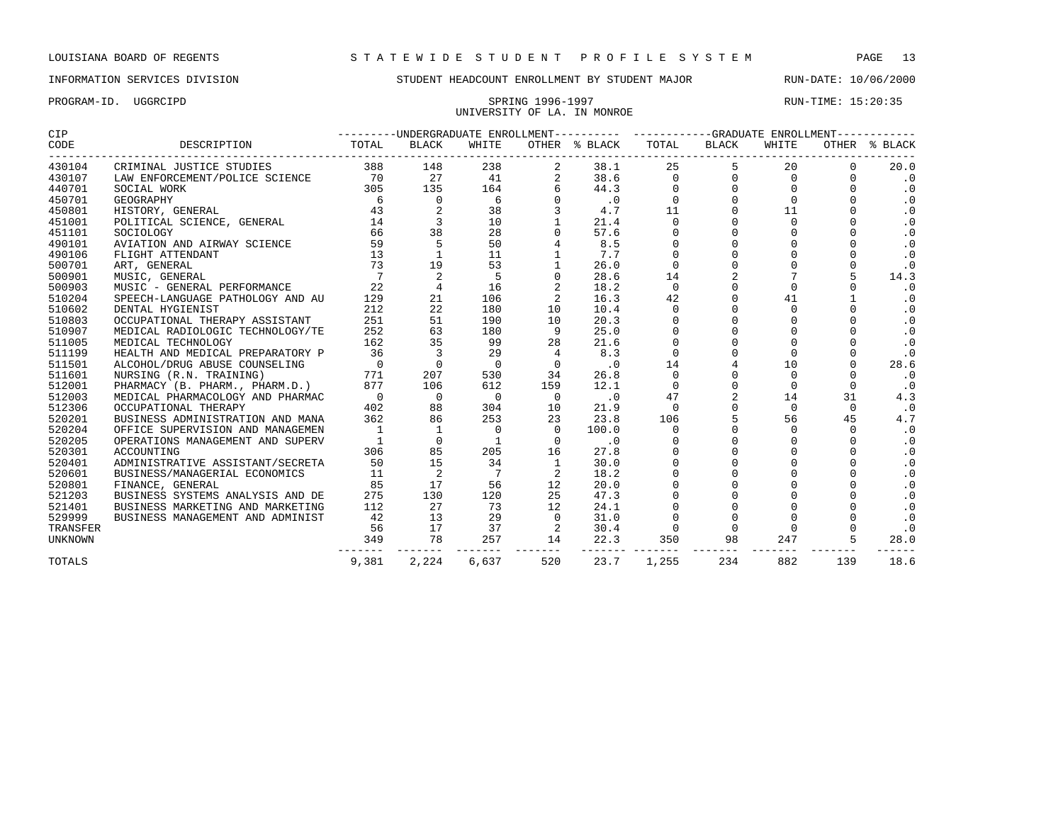# UNIVERSITY OF LA. IN MONROE

| CIP      |                                  |                |                |             |                | ---------UNDERGRADUATE ENROLLMENT---------- ----------GRADUATE ENROLLMENT----------- |                        |                  |          |              |               |
|----------|----------------------------------|----------------|----------------|-------------|----------------|--------------------------------------------------------------------------------------|------------------------|------------------|----------|--------------|---------------|
| CODE     | DESCRIPTION                      | TOTAL          | BLACK          | WHITE       |                | OTHER % BLACK                                                                        | TOTAL                  | BLACK            | WHITE    |              | OTHER % BLACK |
| 430104   | CRIMINAL JUSTICE STUDIES         | 388            | 148            | 238         | 2              | 38.1                                                                                 | 25                     | ---------------- | 20       | <sup>0</sup> | 20.0          |
| 430107   | LAW ENFORCEMENT/POLICE SCIENCE   | 70             | 27             | 41          |                | 38.6                                                                                 | $\Omega$               |                  | $\Omega$ | <sup>0</sup> | $\cdot$ 0     |
| 440701   | SOCIAL WORK                      | 305            | 135            | 164         |                | 44.3                                                                                 | $\Omega$               |                  | $\cap$   |              | $\cdot$ 0     |
| 450701   |                                  |                | 0              | 6           |                | $\cdot$ 0                                                                            | $\mathbf 0$            |                  | $\Omega$ | $\Omega$     | $\cdot$ 0     |
| 450801   |                                  |                | 2              | 38          |                | 4.7                                                                                  | 11                     |                  | 11       |              | $\cdot$ 0     |
| 451001   |                                  |                |                | 10          |                | 21.4                                                                                 | $\mathbf 0$            |                  | $\Omega$ |              | $\cdot$ 0     |
| 451101   |                                  |                | 38             | 28          |                | 57.6                                                                                 | $\mathbf 0$            |                  | $\Omega$ |              | $\cdot$ 0     |
| 490101   |                                  |                | 5              | 50          |                | 8.5                                                                                  | $\mathbf 0$            |                  | $\Omega$ |              | $\cdot$ 0     |
| 490106   | FLIGHT ATTENDANT                 | 13             | $\mathbf{1}$   | 11          |                | 7.7                                                                                  | $\Omega$               |                  | $\Omega$ |              | $\cdot$ 0     |
| 500701   | ART, GENERAL                     | 73             | 19             | 53          |                | 26.0                                                                                 | $\Omega$               |                  | $\Omega$ | $\Omega$     | $\cdot$ 0     |
| 500901   | MUSIC, GENERAL                   | $\overline{7}$ | 2              | 5           |                | 28.6                                                                                 | 14                     |                  | 7        |              | 14.3          |
| 500903   | MUSIC - GENERAL PERFORMANCE      | 22             | $\overline{4}$ | 16          |                | 18.2                                                                                 | $\Omega$               |                  | $\Omega$ | $\Omega$     | $\cdot$ 0     |
| 510204   | SPEECH-LANGUAGE PATHOLOGY AND AU | 129            | 21             | 106         |                | 16.3                                                                                 | 42                     |                  | 41       |              | $\cdot$ 0     |
| 510602   | DENTAL HYGIENIST                 | 212            | 22             | 180         | 10             | 10.4                                                                                 | $\mathbf 0$            |                  | $\Omega$ | $\Omega$     | $\cdot$ 0     |
| 510803   | OCCUPATIONAL THERAPY ASSISTANT   | 251            | 51             | 190         | 10             | 20.3                                                                                 | $\mathbf 0$            |                  | $\Omega$ |              | $\cdot$ 0     |
| 510907   | MEDICAL RADIOLOGIC TECHNOLOGY/TE | 252            | 63             | 180         | 9              | 25.0                                                                                 | $\mathbf 0$            |                  | $\Omega$ |              | $\cdot$ 0     |
| 511005   | MEDICAL TECHNOLOGY               | 162            | 35             | 99          | 28             | 21.6                                                                                 | $\Omega$               |                  | $\Omega$ |              | $\cdot$ 0     |
| 511199   | HEALTH AND MEDICAL PREPARATORY P | 36             | 3              | 29          | 4              | 8.3                                                                                  | $\Omega$               |                  | $\Omega$ |              | $\cdot$ 0     |
| 511501   | ALCOHOL/DRUG ABUSE COUNSELING    | $\overline{0}$ | $\Omega$       | $\Omega$    | $\Omega$       | $\cdot$ 0                                                                            | 14                     |                  | 10       |              | 28.6          |
| 511601   | NURSING (R.N. TRAINING)          | 771            | 207            | 530         | 34             | 26.8                                                                                 | $\mathbf 0$            |                  | $\Omega$ |              | $\cdot$ 0     |
| 512001   | PHARMACY (B. PHARM., PHARM.D.)   | 877            | 106            | 612         | 159            | 12.1                                                                                 | $\Omega$               |                  | $\Omega$ | $\Omega$     | $\cdot$ 0     |
| 512003   | MEDICAL PHARMACOLOGY AND PHARMAC | $\overline{0}$ | $\overline{0}$ | $\mathbf 0$ | $\mathbf{0}$   | $\overline{\phantom{0}}$ .0                                                          | 47                     |                  | 14       | 31           | 4.3           |
| 512306   | OCCUPATIONAL THERAPY             | 402            | 88             | 304         | 10             | 21.9                                                                                 | $\Omega$               |                  | $\Omega$ | $\Omega$     | .0            |
| 520201   | BUSINESS ADMINISTRATION AND MANA | 362            | 86             | 253         | 23             | 23.8                                                                                 | 106                    |                  | 56       | 45           | 4.7           |
| 520204   | OFFICE SUPERVISION AND MANAGEMEN | $\overline{1}$ | 1              | 0           | $\Omega$       | 100.0                                                                                | $\Omega$               |                  | $\Omega$ | $\Omega$     | $\cdot$ 0     |
| 520205   | OPERATIONS MANAGEMENT AND SUPERV | -1             | $\Omega$       | 1           | $\Omega$       | .0                                                                                   | $\Omega$               |                  | $\Omega$ | $\cap$       | $\cdot$ 0     |
| 520301   | ACCOUNTING                       | 306            | 85             | 205         | 16             | 27.8                                                                                 | $\Omega$               |                  | $\Omega$ |              | $\cdot$ 0     |
| 520401   | ADMINISTRATIVE ASSISTANT/SECRETA | 50             | 15             | 34          | 1              | 30.0                                                                                 | $\mathbf 0$            |                  | $\Omega$ |              | $\cdot$ 0     |
| 520601   | BUSINESS/MANAGERIAL ECONOMICS    | 11             | 2              | 7           |                | 18.2                                                                                 |                        |                  |          |              | $\cdot$ 0     |
| 520801   | FINANCE, GENERAL                 | 85             | 17             | 56          | 12             | 20.0                                                                                 | $\mathbf 0$            |                  | $\Omega$ |              | $\cdot$ 0     |
| 521203   | BUSINESS SYSTEMS ANALYSIS AND DE | 275            | 130            | 120         | 25             | 47.3                                                                                 |                        |                  |          |              | $\cdot$ 0     |
| 521401   | BUSINESS MARKETING AND MARKETING | 112            | 27             | 73          | 12             | 24.1                                                                                 |                        |                  |          |              | $\cdot$ 0     |
| 529999   | BUSINESS MANAGEMENT AND ADMINIST | 42             | 13             | 29          | $\Omega$       | 31.0                                                                                 | $\Omega$               |                  |          |              | $\cdot$ 0     |
| TRANSFER |                                  | 56             | 17             | 37          | $\overline{2}$ | 30.4                                                                                 | $\Omega$               |                  | $\Omega$ |              | $\cdot$ 0     |
| UNKNOWN  |                                  | 349            | 78<br>-------  | 257         | 14             | 22.3                                                                                 | 350<br>------- ------- | 98               | 247      | 5            | 28.0          |
| TOTALS   |                                  | 9,381          | 2,224          | 6,637       | 520            | 23.7                                                                                 | 1,255                  | 234              | 882      | 139          | 18.6          |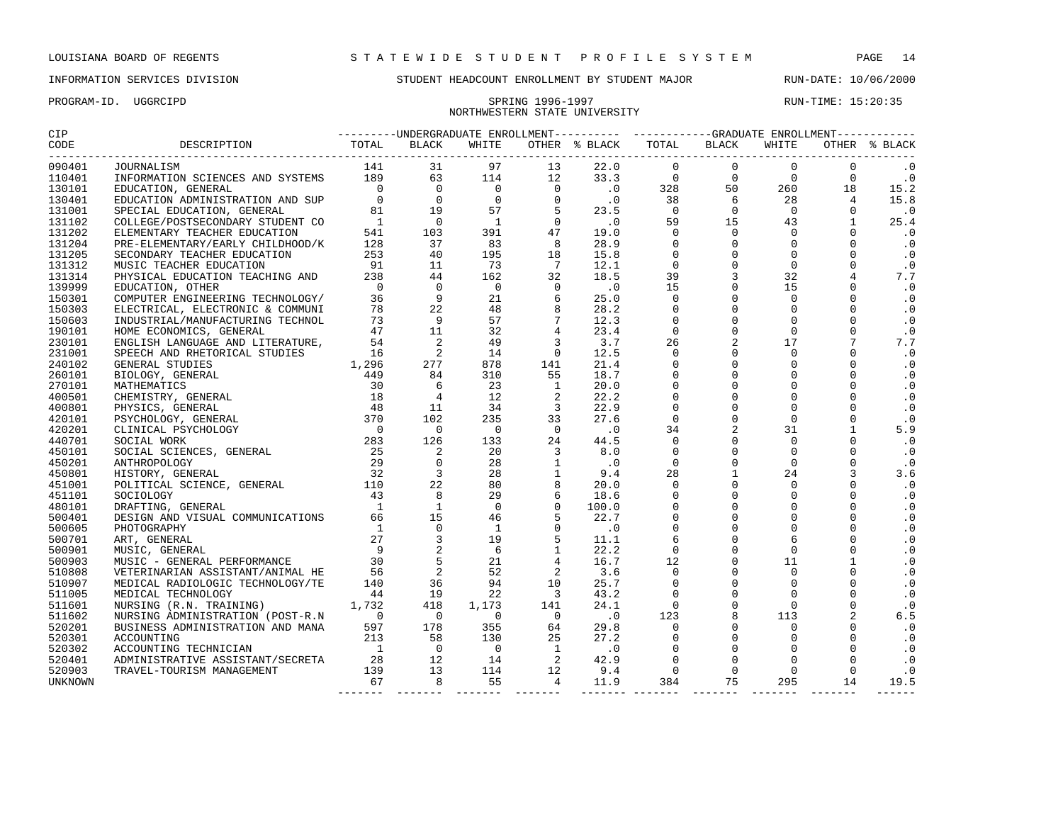# NORTHWESTERN STATE UNIVERSITY

PROGRAM-ID. UGGRCIPD SPRING 1996-1997 SPRING 1996-1997 RUN-TIME: 15:20:35

| 090401           |  |  |  |  |  |  |  |  |  |  |
|------------------|--|--|--|--|--|--|--|--|--|--|
| 110401           |  |  |  |  |  |  |  |  |  |  |
| 130101           |  |  |  |  |  |  |  |  |  |  |
| 130401           |  |  |  |  |  |  |  |  |  |  |
| 131001           |  |  |  |  |  |  |  |  |  |  |
| 131102           |  |  |  |  |  |  |  |  |  |  |
| 131202           |  |  |  |  |  |  |  |  |  |  |
| 131204           |  |  |  |  |  |  |  |  |  |  |
| 131205           |  |  |  |  |  |  |  |  |  |  |
| 131312           |  |  |  |  |  |  |  |  |  |  |
| 131314           |  |  |  |  |  |  |  |  |  |  |
| 139999           |  |  |  |  |  |  |  |  |  |  |
| 150301           |  |  |  |  |  |  |  |  |  |  |
| 150303           |  |  |  |  |  |  |  |  |  |  |
| 150603           |  |  |  |  |  |  |  |  |  |  |
| 190101           |  |  |  |  |  |  |  |  |  |  |
| 230101           |  |  |  |  |  |  |  |  |  |  |
| 231001           |  |  |  |  |  |  |  |  |  |  |
| 240102           |  |  |  |  |  |  |  |  |  |  |
| 260101           |  |  |  |  |  |  |  |  |  |  |
| 270101           |  |  |  |  |  |  |  |  |  |  |
| 400501           |  |  |  |  |  |  |  |  |  |  |
| 400801           |  |  |  |  |  |  |  |  |  |  |
| 420101           |  |  |  |  |  |  |  |  |  |  |
| 420201           |  |  |  |  |  |  |  |  |  |  |
| 440701           |  |  |  |  |  |  |  |  |  |  |
| 450101           |  |  |  |  |  |  |  |  |  |  |
| 450201           |  |  |  |  |  |  |  |  |  |  |
| 450801           |  |  |  |  |  |  |  |  |  |  |
| 451001           |  |  |  |  |  |  |  |  |  |  |
| 451101           |  |  |  |  |  |  |  |  |  |  |
| 480101           |  |  |  |  |  |  |  |  |  |  |
| 500401           |  |  |  |  |  |  |  |  |  |  |
| 500605           |  |  |  |  |  |  |  |  |  |  |
| 500701           |  |  |  |  |  |  |  |  |  |  |
| 500901           |  |  |  |  |  |  |  |  |  |  |
| 500903           |  |  |  |  |  |  |  |  |  |  |
| 510808           |  |  |  |  |  |  |  |  |  |  |
| 510907<br>511005 |  |  |  |  |  |  |  |  |  |  |
|                  |  |  |  |  |  |  |  |  |  |  |
| 511601<br>511602 |  |  |  |  |  |  |  |  |  |  |
| 520201           |  |  |  |  |  |  |  |  |  |  |
| 520301           |  |  |  |  |  |  |  |  |  |  |
| 520302           |  |  |  |  |  |  |  |  |  |  |
| 520401           |  |  |  |  |  |  |  |  |  |  |
| 520903           |  |  |  |  |  |  |  |  |  |  |
| UNKNOWN          |  |  |  |  |  |  |  |  |  |  |
|                  |  |  |  |  |  |  |  |  |  |  |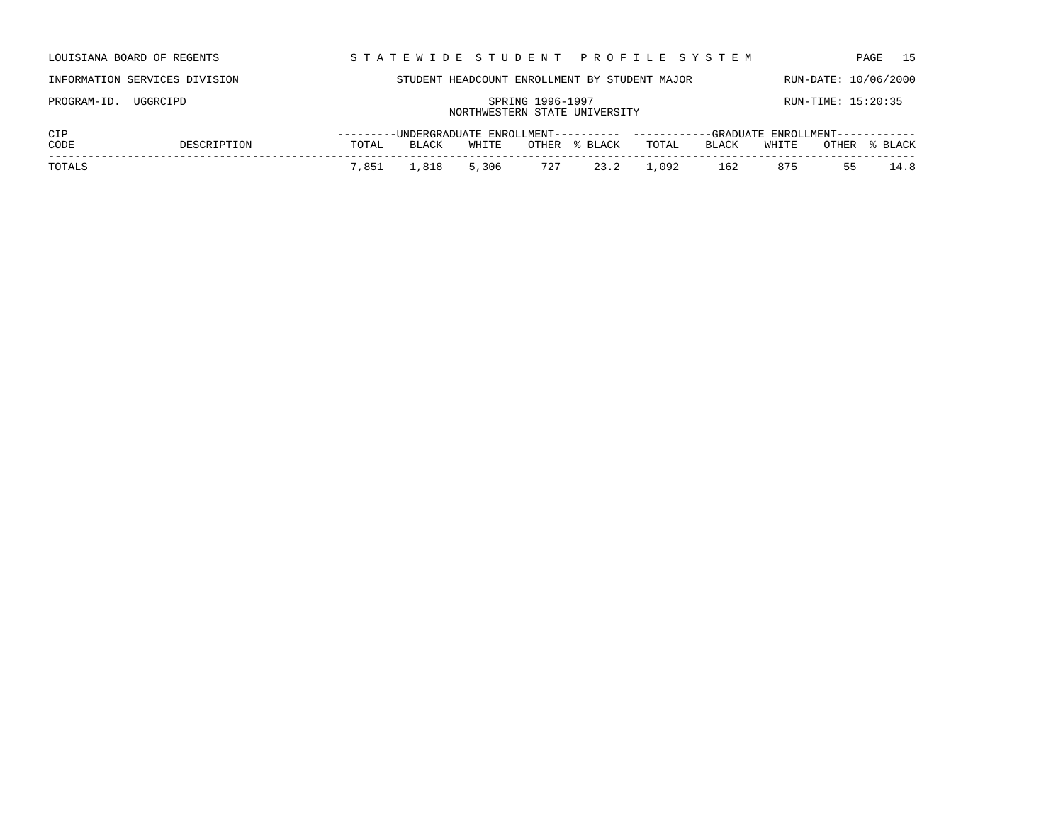| LOUISIANA BOARD OF REGENTS    |             |                                                   |       |       |       | STATEWIDE STUDENT PROFILE SYSTEM                                                     |       |       |                    |       | 15<br>PAGE           |  |
|-------------------------------|-------------|---------------------------------------------------|-------|-------|-------|--------------------------------------------------------------------------------------|-------|-------|--------------------|-------|----------------------|--|
| INFORMATION SERVICES DIVISION |             |                                                   |       |       |       | STUDENT HEADCOUNT ENROLLMENT BY STUDENT MAJOR                                        |       |       |                    |       | RUN-DATE: 10/06/2000 |  |
| UGGRCIPD<br>PROGRAM-ID.       |             | SPRING 1996-1997<br>NORTHWESTERN STATE UNIVERSITY |       |       |       |                                                                                      |       |       | RUN-TIME: 15:20:35 |       |                      |  |
| CIP                           |             |                                                   |       |       |       | ---------UNDERGRADUATE ENROLLMENT---------- ----------GRADUATE ENROLLMENT----------- |       |       |                    |       |                      |  |
| CODE                          | DESCRIPTION | TOTAL                                             | BLACK | WHITE | OTHER | % BLACK                                                                              | TOTAL | BLACK | WHITE              | OTHER | % BLACK              |  |
| TOTALS                        |             | 7,851                                             | 1,818 | 5,306 | 727   | 23.2                                                                                 | L,092 | 162   | 875                | 55    | 14.8                 |  |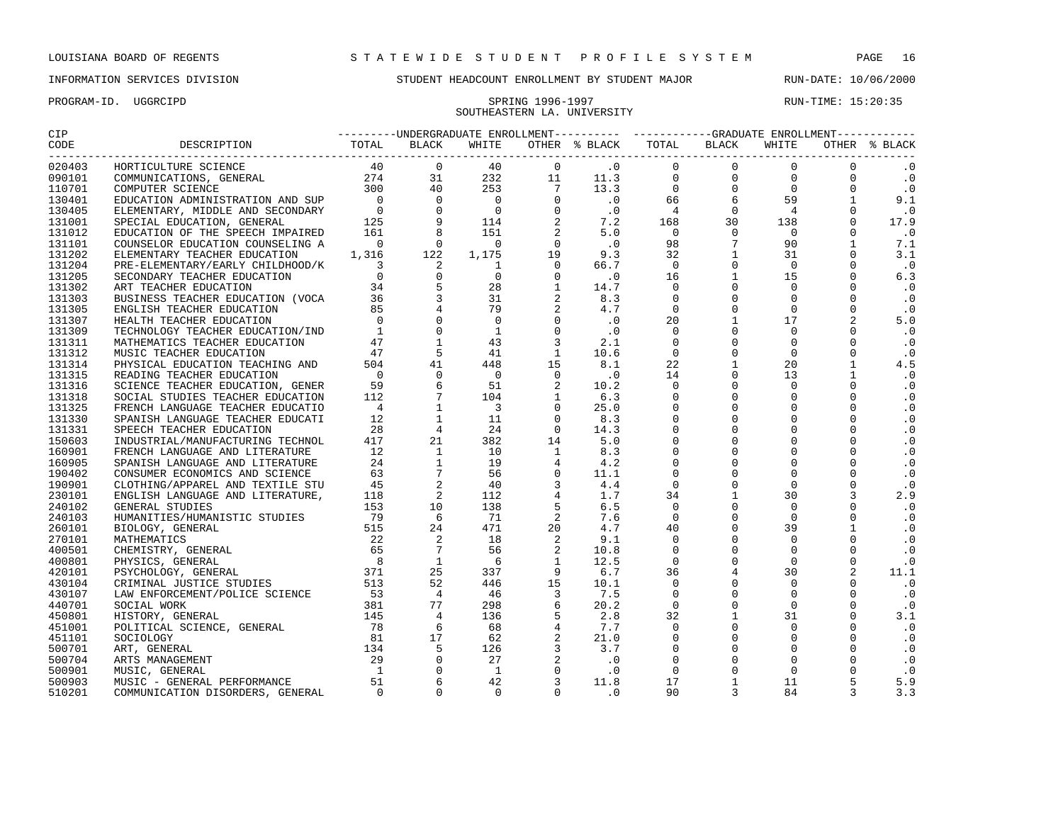# SOUTHEASTERN LA. UNIVERSITY

| CIP               |                                  |  |  |  |  |  |  |  |  |  |           |
|-------------------|----------------------------------|--|--|--|--|--|--|--|--|--|-----------|
| CODE<br>--------- |                                  |  |  |  |  |  |  |  |  |  |           |
| 020403            |                                  |  |  |  |  |  |  |  |  |  |           |
| 090101            |                                  |  |  |  |  |  |  |  |  |  | $\cdot$ 0 |
| 110701            |                                  |  |  |  |  |  |  |  |  |  | $\cdot$ 0 |
| 130401            |                                  |  |  |  |  |  |  |  |  |  | 9.1       |
| 130405            |                                  |  |  |  |  |  |  |  |  |  | $\cdot$ 0 |
| 131001            |                                  |  |  |  |  |  |  |  |  |  | 17.9      |
| 131012            |                                  |  |  |  |  |  |  |  |  |  | $\cdot$ 0 |
| 131101            |                                  |  |  |  |  |  |  |  |  |  | 7.1       |
| 131202            |                                  |  |  |  |  |  |  |  |  |  | 3.1       |
| 131204            |                                  |  |  |  |  |  |  |  |  |  | $\cdot$ 0 |
| 131205            |                                  |  |  |  |  |  |  |  |  |  | 6.3       |
| 131302            |                                  |  |  |  |  |  |  |  |  |  | $\cdot$ 0 |
| 131303            |                                  |  |  |  |  |  |  |  |  |  | $\cdot$ 0 |
| 131305            |                                  |  |  |  |  |  |  |  |  |  | $\cdot$ 0 |
| 131307            |                                  |  |  |  |  |  |  |  |  |  | 5.0       |
| 131309            |                                  |  |  |  |  |  |  |  |  |  | $\cdot$ 0 |
| 131311            |                                  |  |  |  |  |  |  |  |  |  | $\cdot$ 0 |
| 131312            |                                  |  |  |  |  |  |  |  |  |  | $\cdot$ 0 |
| 131314            |                                  |  |  |  |  |  |  |  |  |  | 4.5       |
| 131315            |                                  |  |  |  |  |  |  |  |  |  | $\cdot$ 0 |
| 131316            |                                  |  |  |  |  |  |  |  |  |  | $\cdot$ 0 |
| 131318            |                                  |  |  |  |  |  |  |  |  |  | $\cdot$ 0 |
| 131325            |                                  |  |  |  |  |  |  |  |  |  | $\cdot$ 0 |
| 131330            |                                  |  |  |  |  |  |  |  |  |  | $\cdot$ 0 |
| 131331            |                                  |  |  |  |  |  |  |  |  |  | $\cdot$ 0 |
| 150603            |                                  |  |  |  |  |  |  |  |  |  | $\cdot$ 0 |
| 160901            |                                  |  |  |  |  |  |  |  |  |  | $\cdot$ 0 |
| 160905            |                                  |  |  |  |  |  |  |  |  |  | $\cdot$ 0 |
| 190402            |                                  |  |  |  |  |  |  |  |  |  | $\cdot$ 0 |
| 190901            |                                  |  |  |  |  |  |  |  |  |  | $\cdot$ 0 |
| 230101            |                                  |  |  |  |  |  |  |  |  |  | 2.9       |
| 240102            |                                  |  |  |  |  |  |  |  |  |  | $\cdot$ 0 |
| 240103            |                                  |  |  |  |  |  |  |  |  |  | $\cdot$ 0 |
| 260101            |                                  |  |  |  |  |  |  |  |  |  | $\cdot$ 0 |
| 270101            |                                  |  |  |  |  |  |  |  |  |  | .0        |
| 400501            |                                  |  |  |  |  |  |  |  |  |  | $\cdot$ 0 |
| 400801            |                                  |  |  |  |  |  |  |  |  |  | $\cdot$ 0 |
| 420101            |                                  |  |  |  |  |  |  |  |  |  | 11.1      |
| 430104            |                                  |  |  |  |  |  |  |  |  |  | $\cdot$ 0 |
| 430107            |                                  |  |  |  |  |  |  |  |  |  | $\cdot$ 0 |
| 440701            |                                  |  |  |  |  |  |  |  |  |  | $\cdot$ 0 |
| 450801            |                                  |  |  |  |  |  |  |  |  |  | 3.1       |
| 451001            |                                  |  |  |  |  |  |  |  |  |  | $\cdot$ 0 |
| 451101            |                                  |  |  |  |  |  |  |  |  |  | $\cdot$ 0 |
| 500701            |                                  |  |  |  |  |  |  |  |  |  | $\cdot$ 0 |
| 500704            |                                  |  |  |  |  |  |  |  |  |  | $\cdot$ 0 |
| 500901            |                                  |  |  |  |  |  |  |  |  |  | $\cdot$ 0 |
| 500903            |                                  |  |  |  |  |  |  |  |  |  | 5.9       |
| 510201            | COMMUNICATION DISORDERS, GENERAL |  |  |  |  |  |  |  |  |  | 3.3       |
|                   |                                  |  |  |  |  |  |  |  |  |  |           |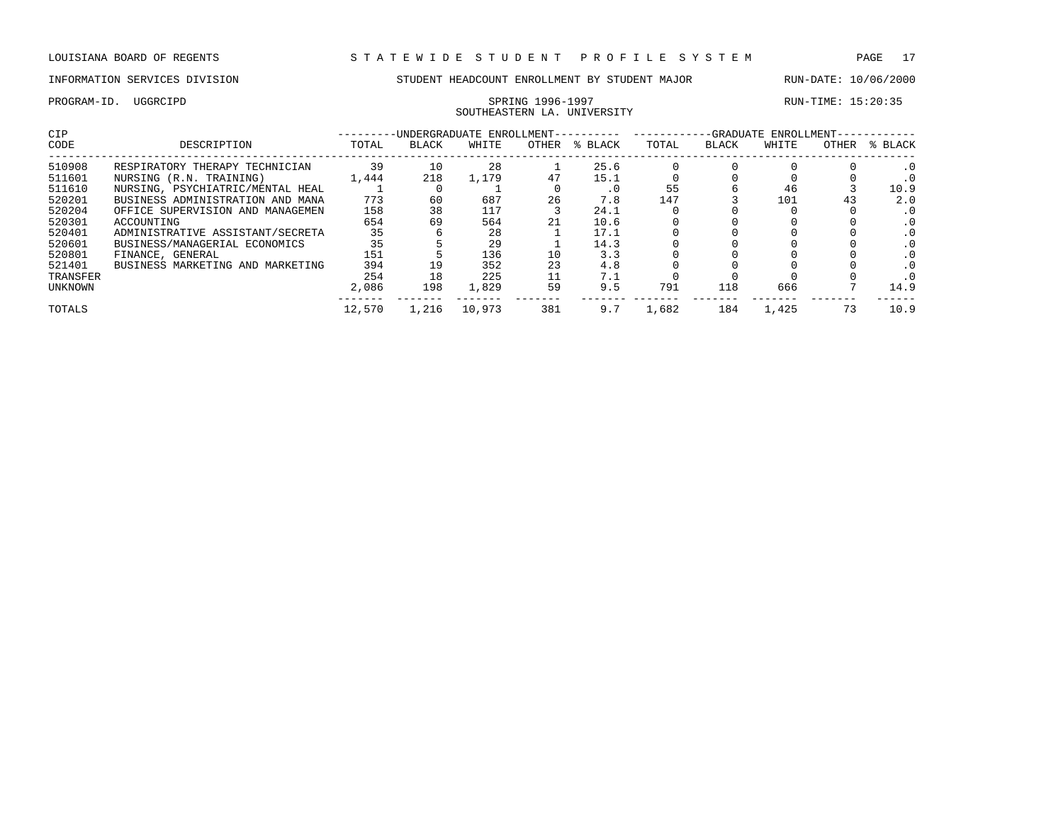## SOUTHEASTERN LA. UNIVERSITY

| CIP            |                                  |        |              | -UNDERGRADUATE ENROLLMENT-- |       |         | -GRADUATE<br>ENROLLMENT- |              |       |              |           |  |
|----------------|----------------------------------|--------|--------------|-----------------------------|-------|---------|--------------------------|--------------|-------|--------------|-----------|--|
| CODE           | DESCRIPTION                      | TOTAL  | <b>BLACK</b> | WHITE                       | OTHER | % BLACK | TOTAL                    | <b>BLACK</b> | WHITE | <b>OTHER</b> | % BLACK   |  |
| 510908         | RESPIRATORY THERAPY TECHNICIAN   | 39     | 10           | 28                          |       | 25.6    |                          |              |       |              |           |  |
| 511601         | NURSING (R.N. TRAINING)          | 1,444  | 218          | 1,179                       | 47    | 15.1    |                          |              |       |              |           |  |
| 511610         | NURSING, PSYCHIATRIC/MENTAL HEAL |        |              |                             |       | . 0     | 55                       |              | 46    |              | 10.9      |  |
| 520201         | BUSINESS ADMINISTRATION AND MANA | 773    | 60           | 687                         | 26    | 7.8     | 147                      |              | 101   | 43           | 2.0       |  |
| 520204         | OFFICE SUPERVISION AND MANAGEMEN | 158    | 38           | 117                         |       | 24.1    |                          |              |       |              |           |  |
| 520301         | ACCOUNTING                       | 654    | 69           | 564                         | 21    | 10.6    |                          |              |       |              | $\cdot$ 0 |  |
| 520401         | ADMINISTRATIVE ASSISTANT/SECRETA | 35     |              | 28                          |       | 17.1    |                          |              |       |              |           |  |
| 520601         | BUSINESS/MANAGERIAL ECONOMICS    | 35     |              | 29                          |       | 14.3    |                          |              |       |              |           |  |
| 520801         | FINANCE, GENERAL                 | 151    |              | 136                         | 10    | 3.3     |                          |              |       |              |           |  |
| 521401         | BUSINESS MARKETING AND MARKETING | 394    | 19           | 352                         | 23    | 4.8     |                          |              |       |              |           |  |
| TRANSFER       |                                  | 254    | 18           | 225                         |       | 7.1     |                          |              |       |              |           |  |
| <b>UNKNOWN</b> |                                  | 2,086  | 198          | 1,829                       | 59    | 9.5     | 791                      | 118          | 666   |              | 14.9      |  |
| TOTALS         |                                  | 12,570 | 1,216        | 10,973                      | 381   | 9.7     | 1,682                    | 184          | 1,425 |              | 10.9      |  |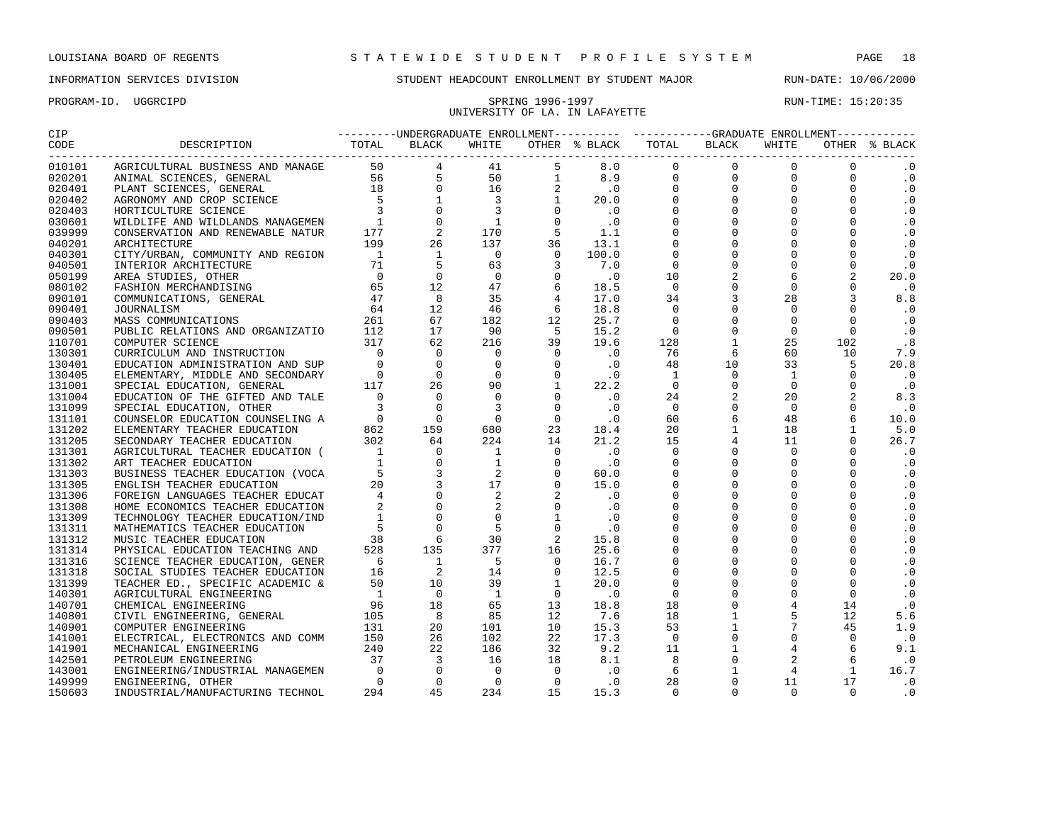## UNIVERSITY OF LA. IN LAFAYETTE

| CIP                |                                                                                                                                                                                                                                        |  |  |  |  |  |  |  |  |  |             |  |  |
|--------------------|----------------------------------------------------------------------------------------------------------------------------------------------------------------------------------------------------------------------------------------|--|--|--|--|--|--|--|--|--|-------------|--|--|
| CODE<br>---------- | 2002<br>1990<br>1990<br>1990<br>1990 - Holland Silva Andrea Andrea Andrea Andrea Andre III (1991 - 1990)<br>1990 - Holland Silva Andre III (1991 - 1991 - 1992 - 1992 - 1993 - 1993 - 1993 - 1993 - 1993 - 1993 - 1993 - 1993 - 1993 - |  |  |  |  |  |  |  |  |  |             |  |  |
|                    |                                                                                                                                                                                                                                        |  |  |  |  |  |  |  |  |  |             |  |  |
|                    |                                                                                                                                                                                                                                        |  |  |  |  |  |  |  |  |  | $\cdot$ 0   |  |  |
|                    |                                                                                                                                                                                                                                        |  |  |  |  |  |  |  |  |  | $\cdot$ 0   |  |  |
|                    |                                                                                                                                                                                                                                        |  |  |  |  |  |  |  |  |  | $\cdot$ 0   |  |  |
|                    |                                                                                                                                                                                                                                        |  |  |  |  |  |  |  |  |  | $\cdot$ 0   |  |  |
|                    |                                                                                                                                                                                                                                        |  |  |  |  |  |  |  |  |  | $\cdot$ 0   |  |  |
|                    |                                                                                                                                                                                                                                        |  |  |  |  |  |  |  |  |  | $\cdot$ 0   |  |  |
|                    |                                                                                                                                                                                                                                        |  |  |  |  |  |  |  |  |  | $\cdot$ 0   |  |  |
|                    |                                                                                                                                                                                                                                        |  |  |  |  |  |  |  |  |  | $\cdot$ 0   |  |  |
|                    |                                                                                                                                                                                                                                        |  |  |  |  |  |  |  |  |  | $\cdot$ 0   |  |  |
|                    |                                                                                                                                                                                                                                        |  |  |  |  |  |  |  |  |  | 20.0        |  |  |
|                    |                                                                                                                                                                                                                                        |  |  |  |  |  |  |  |  |  | $\cdot$ 0   |  |  |
|                    |                                                                                                                                                                                                                                        |  |  |  |  |  |  |  |  |  | 8.8         |  |  |
|                    |                                                                                                                                                                                                                                        |  |  |  |  |  |  |  |  |  | $\cdot$ 0   |  |  |
|                    |                                                                                                                                                                                                                                        |  |  |  |  |  |  |  |  |  | $\cdot$ 0   |  |  |
|                    |                                                                                                                                                                                                                                        |  |  |  |  |  |  |  |  |  | $\cdot$ 0   |  |  |
|                    |                                                                                                                                                                                                                                        |  |  |  |  |  |  |  |  |  | .8          |  |  |
|                    |                                                                                                                                                                                                                                        |  |  |  |  |  |  |  |  |  | 7.9         |  |  |
|                    |                                                                                                                                                                                                                                        |  |  |  |  |  |  |  |  |  | 20.8        |  |  |
|                    |                                                                                                                                                                                                                                        |  |  |  |  |  |  |  |  |  | $\cdot$ 0   |  |  |
|                    |                                                                                                                                                                                                                                        |  |  |  |  |  |  |  |  |  | $\cdot$ 0   |  |  |
|                    |                                                                                                                                                                                                                                        |  |  |  |  |  |  |  |  |  | 8.3         |  |  |
|                    |                                                                                                                                                                                                                                        |  |  |  |  |  |  |  |  |  | $\ddotsc 0$ |  |  |
|                    |                                                                                                                                                                                                                                        |  |  |  |  |  |  |  |  |  | 10.0        |  |  |
|                    |                                                                                                                                                                                                                                        |  |  |  |  |  |  |  |  |  | 5.0         |  |  |
|                    |                                                                                                                                                                                                                                        |  |  |  |  |  |  |  |  |  | 26.7        |  |  |
|                    |                                                                                                                                                                                                                                        |  |  |  |  |  |  |  |  |  | $\cdot$ 0   |  |  |
|                    |                                                                                                                                                                                                                                        |  |  |  |  |  |  |  |  |  | $\cdot$ 0   |  |  |
|                    |                                                                                                                                                                                                                                        |  |  |  |  |  |  |  |  |  | $\cdot$ 0   |  |  |
|                    |                                                                                                                                                                                                                                        |  |  |  |  |  |  |  |  |  | $\cdot$ 0   |  |  |
|                    |                                                                                                                                                                                                                                        |  |  |  |  |  |  |  |  |  | $\cdot$ 0   |  |  |
|                    |                                                                                                                                                                                                                                        |  |  |  |  |  |  |  |  |  | $\cdot$ 0   |  |  |
|                    |                                                                                                                                                                                                                                        |  |  |  |  |  |  |  |  |  | $\cdot$ 0   |  |  |
|                    |                                                                                                                                                                                                                                        |  |  |  |  |  |  |  |  |  | $\cdot$ 0   |  |  |
|                    |                                                                                                                                                                                                                                        |  |  |  |  |  |  |  |  |  | $\cdot$ 0   |  |  |
|                    |                                                                                                                                                                                                                                        |  |  |  |  |  |  |  |  |  | $\cdot$ 0   |  |  |
|                    |                                                                                                                                                                                                                                        |  |  |  |  |  |  |  |  |  | $\cdot$ 0   |  |  |
|                    |                                                                                                                                                                                                                                        |  |  |  |  |  |  |  |  |  | $\cdot$ 0   |  |  |
|                    |                                                                                                                                                                                                                                        |  |  |  |  |  |  |  |  |  | $\cdot$ 0   |  |  |
|                    |                                                                                                                                                                                                                                        |  |  |  |  |  |  |  |  |  | $\cdot$ 0   |  |  |
|                    |                                                                                                                                                                                                                                        |  |  |  |  |  |  |  |  |  | $\cdot$ 0   |  |  |
|                    |                                                                                                                                                                                                                                        |  |  |  |  |  |  |  |  |  | 5.6         |  |  |
|                    |                                                                                                                                                                                                                                        |  |  |  |  |  |  |  |  |  | 1.9         |  |  |
|                    |                                                                                                                                                                                                                                        |  |  |  |  |  |  |  |  |  | $\cdot$ 0   |  |  |
|                    |                                                                                                                                                                                                                                        |  |  |  |  |  |  |  |  |  | 9.1         |  |  |
|                    |                                                                                                                                                                                                                                        |  |  |  |  |  |  |  |  |  | $\cdot$ 0   |  |  |
|                    |                                                                                                                                                                                                                                        |  |  |  |  |  |  |  |  |  | 16.7        |  |  |
|                    |                                                                                                                                                                                                                                        |  |  |  |  |  |  |  |  |  | $\cdot$ 0   |  |  |
|                    |                                                                                                                                                                                                                                        |  |  |  |  |  |  |  |  |  | $\cdot$ 0   |  |  |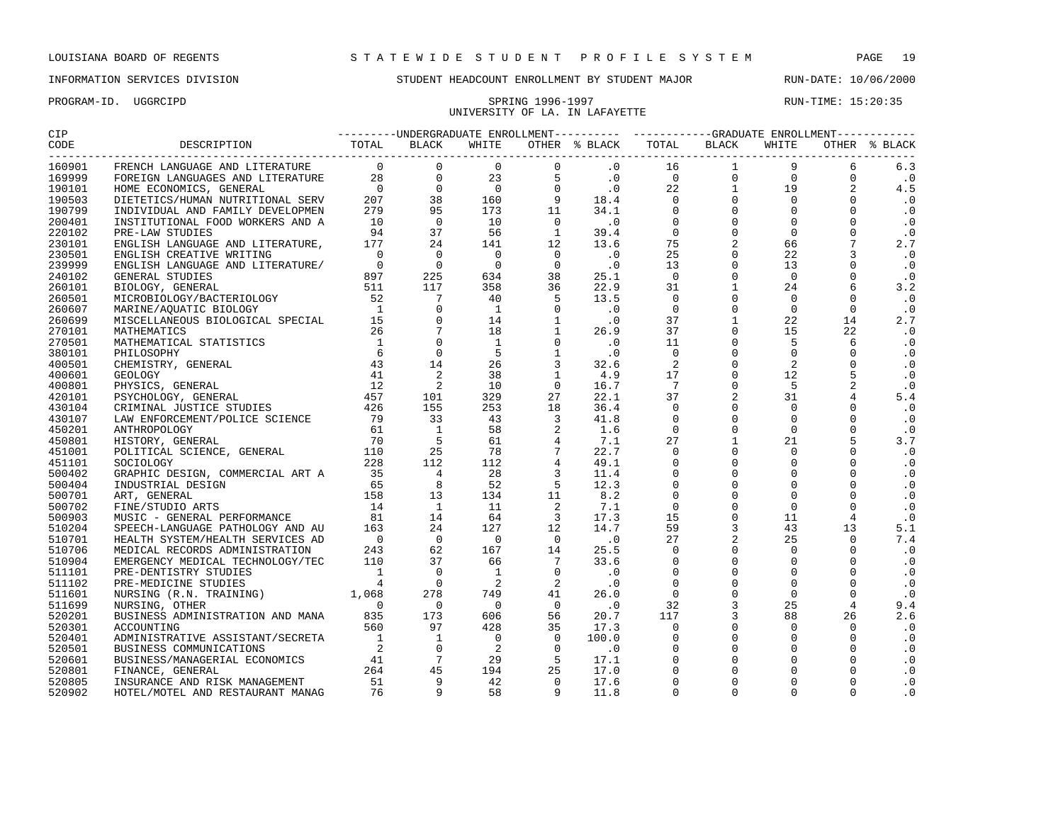### PROGRAM-ID. UGGRCIPD SPRING 1996-1997 RUN-TIME: 15:20:35 UNIVERSITY OF LA. IN LAFAYETTE

| CIP    |                         | --------UNDERGRADUATE ENROLLMENT---------- ----------GRADUATE ENROLLMENT----------- |  |       |  |  |                                                                                                                                     |  |  |  |               |
|--------|-------------------------|-------------------------------------------------------------------------------------|--|-------|--|--|-------------------------------------------------------------------------------------------------------------------------------------|--|--|--|---------------|
| CODE   | DESCRIPTION TOTAL BLACK |                                                                                     |  | WHITE |  |  | $\begin{tabular}{lllllll} \bf{OTHER} & \text{\$} & \texttt{BLACK} & \texttt{TOTAL} & \texttt{BLACK} & \texttt{WHITE} \end{tabular}$ |  |  |  | OTHER % BLACK |
| 160901 |                         |                                                                                     |  |       |  |  |                                                                                                                                     |  |  |  |               |
| 169999 |                         |                                                                                     |  |       |  |  |                                                                                                                                     |  |  |  |               |
| 190101 |                         |                                                                                     |  |       |  |  |                                                                                                                                     |  |  |  |               |
| 190503 |                         |                                                                                     |  |       |  |  |                                                                                                                                     |  |  |  |               |
| 190799 |                         |                                                                                     |  |       |  |  |                                                                                                                                     |  |  |  |               |
| 200401 |                         |                                                                                     |  |       |  |  |                                                                                                                                     |  |  |  |               |
| 220102 |                         |                                                                                     |  |       |  |  |                                                                                                                                     |  |  |  |               |
| 230101 |                         |                                                                                     |  |       |  |  |                                                                                                                                     |  |  |  |               |
| 230501 |                         |                                                                                     |  |       |  |  |                                                                                                                                     |  |  |  |               |
| 239999 |                         |                                                                                     |  |       |  |  |                                                                                                                                     |  |  |  |               |
| 240102 |                         |                                                                                     |  |       |  |  |                                                                                                                                     |  |  |  |               |
| 260101 |                         |                                                                                     |  |       |  |  |                                                                                                                                     |  |  |  |               |
| 260501 |                         |                                                                                     |  |       |  |  |                                                                                                                                     |  |  |  |               |
| 260607 |                         |                                                                                     |  |       |  |  |                                                                                                                                     |  |  |  |               |
| 260699 |                         |                                                                                     |  |       |  |  |                                                                                                                                     |  |  |  |               |
| 270101 |                         |                                                                                     |  |       |  |  |                                                                                                                                     |  |  |  |               |
| 270501 |                         |                                                                                     |  |       |  |  |                                                                                                                                     |  |  |  |               |
| 380101 |                         |                                                                                     |  |       |  |  |                                                                                                                                     |  |  |  |               |
| 400501 |                         |                                                                                     |  |       |  |  |                                                                                                                                     |  |  |  |               |
| 400601 |                         |                                                                                     |  |       |  |  |                                                                                                                                     |  |  |  |               |
| 400801 |                         |                                                                                     |  |       |  |  |                                                                                                                                     |  |  |  |               |
| 420101 |                         |                                                                                     |  |       |  |  |                                                                                                                                     |  |  |  |               |
| 430104 |                         |                                                                                     |  |       |  |  |                                                                                                                                     |  |  |  |               |
| 430107 |                         |                                                                                     |  |       |  |  |                                                                                                                                     |  |  |  |               |
| 450201 |                         |                                                                                     |  |       |  |  |                                                                                                                                     |  |  |  |               |
| 450801 |                         |                                                                                     |  |       |  |  |                                                                                                                                     |  |  |  |               |
| 451001 |                         |                                                                                     |  |       |  |  |                                                                                                                                     |  |  |  |               |
| 451101 |                         |                                                                                     |  |       |  |  |                                                                                                                                     |  |  |  |               |
| 500402 |                         |                                                                                     |  |       |  |  |                                                                                                                                     |  |  |  |               |
| 500404 |                         |                                                                                     |  |       |  |  |                                                                                                                                     |  |  |  |               |
| 500701 |                         |                                                                                     |  |       |  |  |                                                                                                                                     |  |  |  |               |
| 500702 |                         |                                                                                     |  |       |  |  |                                                                                                                                     |  |  |  |               |
| 500903 |                         |                                                                                     |  |       |  |  |                                                                                                                                     |  |  |  |               |
| 510204 |                         |                                                                                     |  |       |  |  |                                                                                                                                     |  |  |  |               |
| 510701 |                         |                                                                                     |  |       |  |  |                                                                                                                                     |  |  |  |               |
| 510706 |                         |                                                                                     |  |       |  |  |                                                                                                                                     |  |  |  |               |
| 510904 |                         |                                                                                     |  |       |  |  |                                                                                                                                     |  |  |  |               |
| 511101 |                         |                                                                                     |  |       |  |  |                                                                                                                                     |  |  |  |               |
| 511102 |                         |                                                                                     |  |       |  |  |                                                                                                                                     |  |  |  |               |
| 511601 |                         |                                                                                     |  |       |  |  |                                                                                                                                     |  |  |  |               |
| 511699 |                         |                                                                                     |  |       |  |  |                                                                                                                                     |  |  |  |               |
| 520201 |                         |                                                                                     |  |       |  |  |                                                                                                                                     |  |  |  |               |
| 520301 |                         |                                                                                     |  |       |  |  |                                                                                                                                     |  |  |  |               |
|        |                         |                                                                                     |  |       |  |  |                                                                                                                                     |  |  |  |               |
| 520401 |                         |                                                                                     |  |       |  |  |                                                                                                                                     |  |  |  |               |
| 520501 |                         |                                                                                     |  |       |  |  |                                                                                                                                     |  |  |  |               |
| 520601 |                         |                                                                                     |  |       |  |  |                                                                                                                                     |  |  |  |               |
| 520801 |                         |                                                                                     |  |       |  |  |                                                                                                                                     |  |  |  |               |
| 520805 |                         |                                                                                     |  |       |  |  |                                                                                                                                     |  |  |  |               |
| 520902 |                         |                                                                                     |  |       |  |  |                                                                                                                                     |  |  |  |               |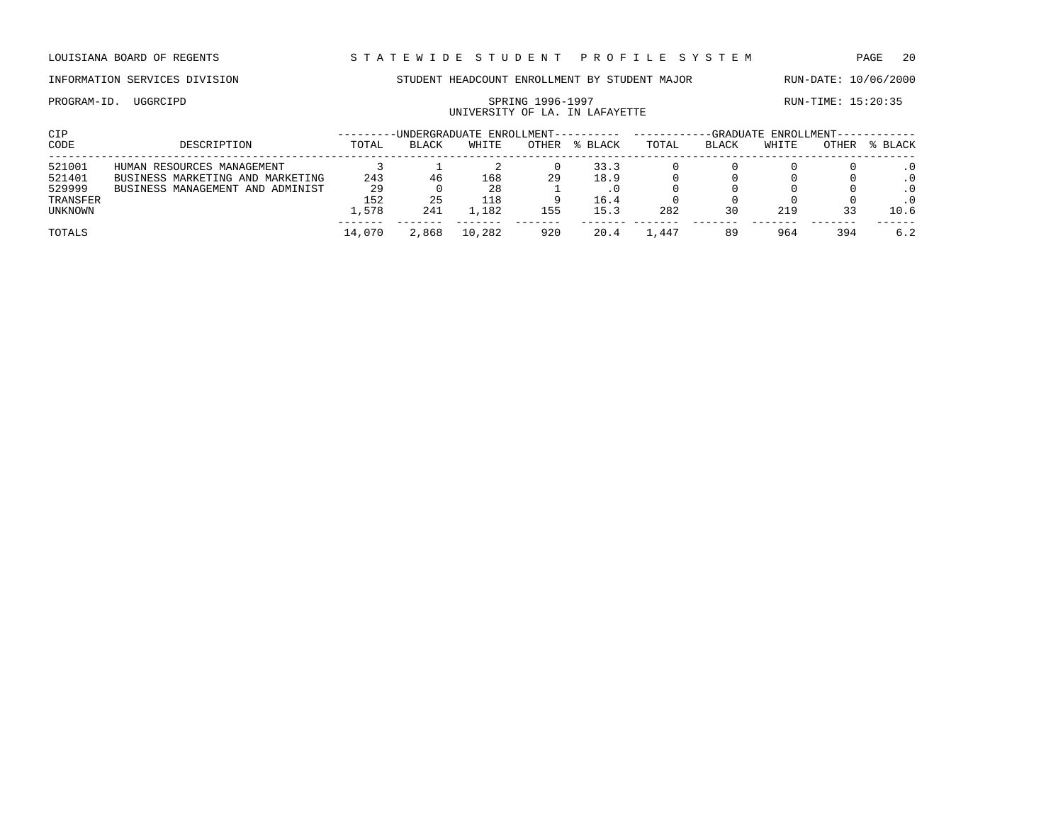## UNIVERSITY OF LA. IN LAFAYETTE

| CIP      |                                  |        |              | -UNDERGRADUATE ENROLLMENT-- |       |         | -GRADUATE ENROLLMENT- |       |       |       |         |  |
|----------|----------------------------------|--------|--------------|-----------------------------|-------|---------|-----------------------|-------|-------|-------|---------|--|
| CODE     | DESCRIPTION                      | TOTAL  | <b>BLACK</b> | WHITE                       | OTHER | % BLACK | TOTAL                 | BLACK | WHITE | OTHER | % BLACK |  |
| 521001   | HUMAN RESOURCES MANAGEMENT       |        |              |                             |       | 33.3    |                       |       |       |       |         |  |
| 521401   | BUSINESS MARKETING AND MARKETING | 243    | 46           | 168                         | 29    | 18.9    |                       |       |       |       |         |  |
| 529999   | BUSINESS MANAGEMENT AND ADMINIST | 29     |              | 28                          |       |         |                       |       |       |       |         |  |
| TRANSFER |                                  | 152    | 25           | 118                         |       | 16.4    |                       |       |       |       |         |  |
| UNKNOWN  |                                  | 1,578  | 241          | .182                        | 155   | 15.3    | 282                   | 30    | 219   |       | 10.6    |  |
| TOTALS   |                                  | 14,070 | 2,868        | 10,282                      | 920   | 20.4    | .,447                 |       | 964   | 394   | 6.2     |  |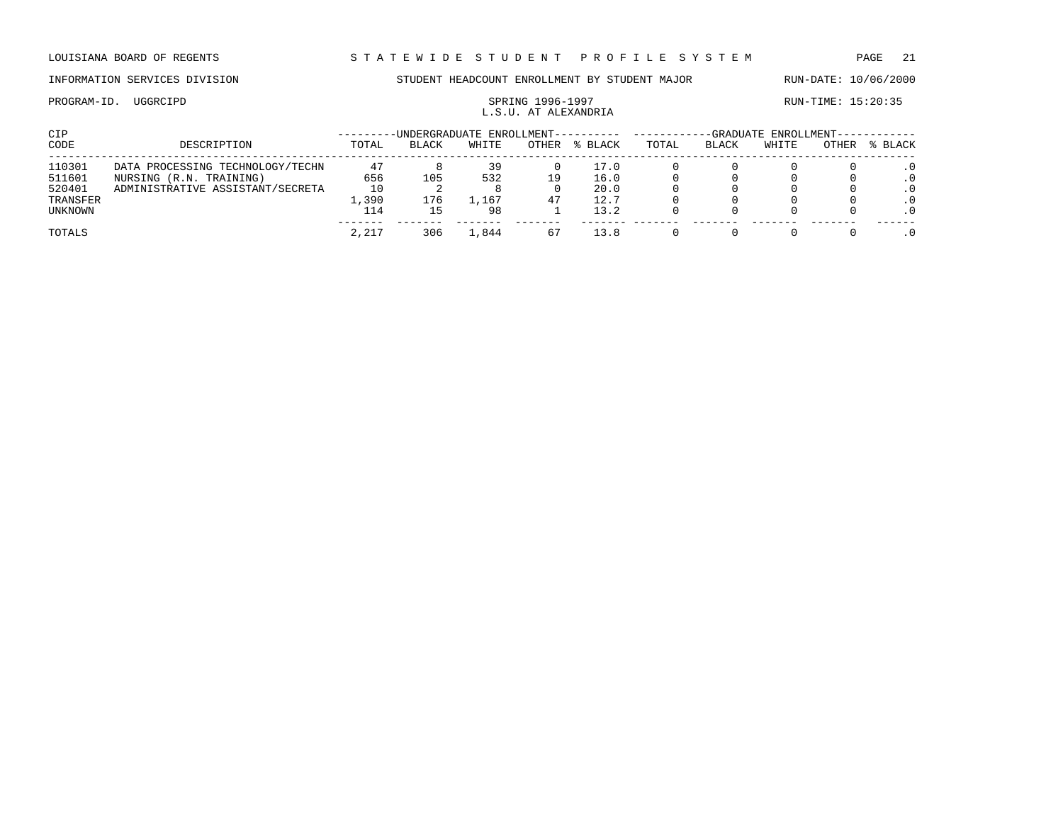PROGRAM-ID. UGGRCIPD SPRING 1996-1997 SPRING 1996-1997

### INFORMATION SERVICES DIVISION STUDENT HEADCOUNT ENROLLMENT BY STUDENT MAJOR RUN-DATE: 10/06/2000

# L.S.U. AT ALEXANDRIA

| CIP      |                                  |       | -UNDERGRADUATE ENROLLMENT---------- |         |       |         | -GRADUATE ENROLLMENT- |       |       |              |           |  |
|----------|----------------------------------|-------|-------------------------------------|---------|-------|---------|-----------------------|-------|-------|--------------|-----------|--|
| CODE     | DESCRIPTION                      | TOTAL | <b>BLACK</b>                        | WHITE   | OTHER | % BLACK | TOTAL                 | BLACK | WHITE | <b>OTHER</b> | % BLACK   |  |
| 110301   | DATA PROCESSING TECHNOLOGY/TECHN | 47    |                                     | 39      |       | 17.0    |                       |       |       |              |           |  |
| 511601   | NURSING (R.N. TRAINING)          | 656   | 105                                 | 532     | 19    | 16.0    |                       |       |       |              | $\cdot$ 0 |  |
| 520401   | ADMINISTRATIVE ASSISTANT/SECRETA | 10    |                                     |         |       | 20.0    |                       |       |       |              |           |  |
| TRANSFER |                                  | ,390  | 176                                 | . . 167 | 47    | 12.7    |                       |       |       |              |           |  |
| UNKNOWN  |                                  | 14    |                                     | 98      |       | 13.2    |                       |       |       |              | $\cdot$ 0 |  |
| TOTALS   |                                  | 2,217 | 306                                 | .844    | 67    | 13.8    |                       |       |       |              |           |  |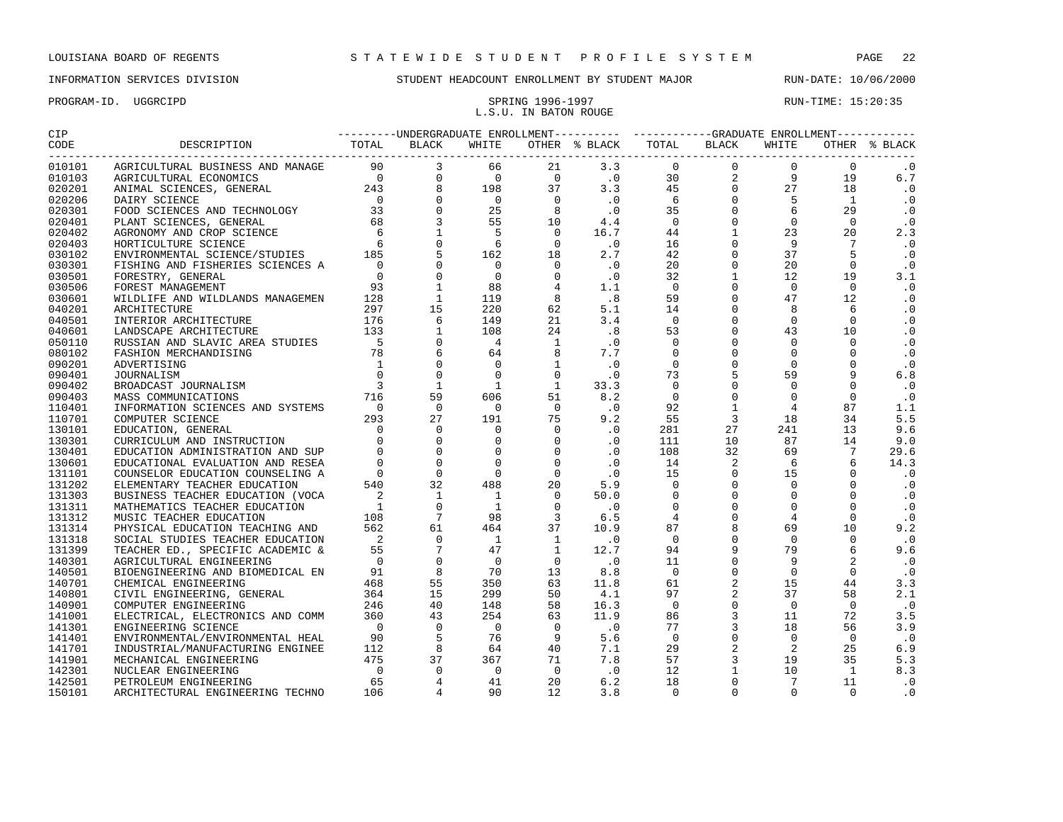### PROGRAM-ID. UGGRCIPD SPRING 1996-1997 SPRING 1996-1997 L.S.U. IN BATON ROUGE

| CIP                |  |  |  |  |  |  |  |  |                 |           |  |
|--------------------|--|--|--|--|--|--|--|--|-----------------|-----------|--|
| CODE<br>---------- |  |  |  |  |  |  |  |  |                 |           |  |
| 010101             |  |  |  |  |  |  |  |  | $\Omega$        | . 0       |  |
| 010103             |  |  |  |  |  |  |  |  | 19              | 6.7       |  |
| 020201             |  |  |  |  |  |  |  |  | 18              | $\cdot$ 0 |  |
| 020206             |  |  |  |  |  |  |  |  | $\mathbf{1}$    | $\cdot$ 0 |  |
| 020301             |  |  |  |  |  |  |  |  | 29              | $\cdot$ 0 |  |
| 020401             |  |  |  |  |  |  |  |  | $\Omega$        | $\cdot$ 0 |  |
| 020402             |  |  |  |  |  |  |  |  | 20              | 2.3       |  |
| 020403             |  |  |  |  |  |  |  |  | $7\overline{ }$ | $\cdot$ 0 |  |
| 030102             |  |  |  |  |  |  |  |  | 5               | $\cdot$ 0 |  |
| 030301             |  |  |  |  |  |  |  |  | $\Omega$        | $\cdot$ 0 |  |
| 030501             |  |  |  |  |  |  |  |  | 19              | 3.1       |  |
| 030506             |  |  |  |  |  |  |  |  | $\Omega$        | $\cdot$ 0 |  |
| 030601             |  |  |  |  |  |  |  |  | 12              | $\cdot$ 0 |  |
| 040201             |  |  |  |  |  |  |  |  | 6               | $\cdot$ 0 |  |
| 040501             |  |  |  |  |  |  |  |  | $\Omega$        | $\cdot$ 0 |  |
| 040601             |  |  |  |  |  |  |  |  | 10 <sup>°</sup> | $\cdot$ 0 |  |
| 050110             |  |  |  |  |  |  |  |  | $\Omega$        | $\cdot$ 0 |  |
| 080102             |  |  |  |  |  |  |  |  | $\Omega$        | $\cdot$ 0 |  |
| 090201             |  |  |  |  |  |  |  |  | $\Omega$        | $\cdot$ 0 |  |
| 090401             |  |  |  |  |  |  |  |  | 9               | 6.8       |  |
| 090402             |  |  |  |  |  |  |  |  | $\Omega$        | $\cdot$ 0 |  |
| 090403             |  |  |  |  |  |  |  |  | $\overline{0}$  | $\cdot$ 0 |  |
| 110401             |  |  |  |  |  |  |  |  | 87              | 1.1       |  |
| 110701             |  |  |  |  |  |  |  |  | 34              | 5.5       |  |
| 130101             |  |  |  |  |  |  |  |  | 13              | 9.6       |  |
| 130301             |  |  |  |  |  |  |  |  | 14              | 9.0       |  |
| 130401             |  |  |  |  |  |  |  |  | $7\overline{ }$ | 29.6      |  |
| 130601             |  |  |  |  |  |  |  |  | 6               | 14.3      |  |
| 131101             |  |  |  |  |  |  |  |  | $\Omega$        | $\cdot$ 0 |  |
| 131202             |  |  |  |  |  |  |  |  | $\Omega$        | $\cdot$ 0 |  |
| 131303             |  |  |  |  |  |  |  |  | $\Omega$        | $\cdot$ 0 |  |
| 131311             |  |  |  |  |  |  |  |  | $\Omega$        | $\cdot$ 0 |  |
| 131312             |  |  |  |  |  |  |  |  | $\Omega$        | $\cdot$ 0 |  |
| 131314             |  |  |  |  |  |  |  |  | 10              | 9.2       |  |
| 131318             |  |  |  |  |  |  |  |  | $\Omega$        | $\cdot$ 0 |  |
| 131399             |  |  |  |  |  |  |  |  | 6               | 9.6       |  |
| 140301             |  |  |  |  |  |  |  |  | 2               | $\cdot$ 0 |  |
| 140501             |  |  |  |  |  |  |  |  | $\Omega$        | $\cdot$ 0 |  |
| 140701             |  |  |  |  |  |  |  |  | 44              | 3.3       |  |
| 140801             |  |  |  |  |  |  |  |  | 58              | 2.1       |  |
| 140901             |  |  |  |  |  |  |  |  | $\Omega$        | $\cdot$ 0 |  |
| 141001             |  |  |  |  |  |  |  |  | 72              | 3.5       |  |
| 141301             |  |  |  |  |  |  |  |  | 56              | 3.9       |  |
| 141401             |  |  |  |  |  |  |  |  | $\Omega$        | $\cdot$ 0 |  |
| 141701             |  |  |  |  |  |  |  |  | 25              | 6.9       |  |
| 141901             |  |  |  |  |  |  |  |  | 35              | 5.3       |  |
| 142301             |  |  |  |  |  |  |  |  | $\mathbf{1}$    | 8.3       |  |
| 142501             |  |  |  |  |  |  |  |  | 11              | $\cdot$ 0 |  |
| 150101             |  |  |  |  |  |  |  |  | $\Omega$        | $\cdot$ 0 |  |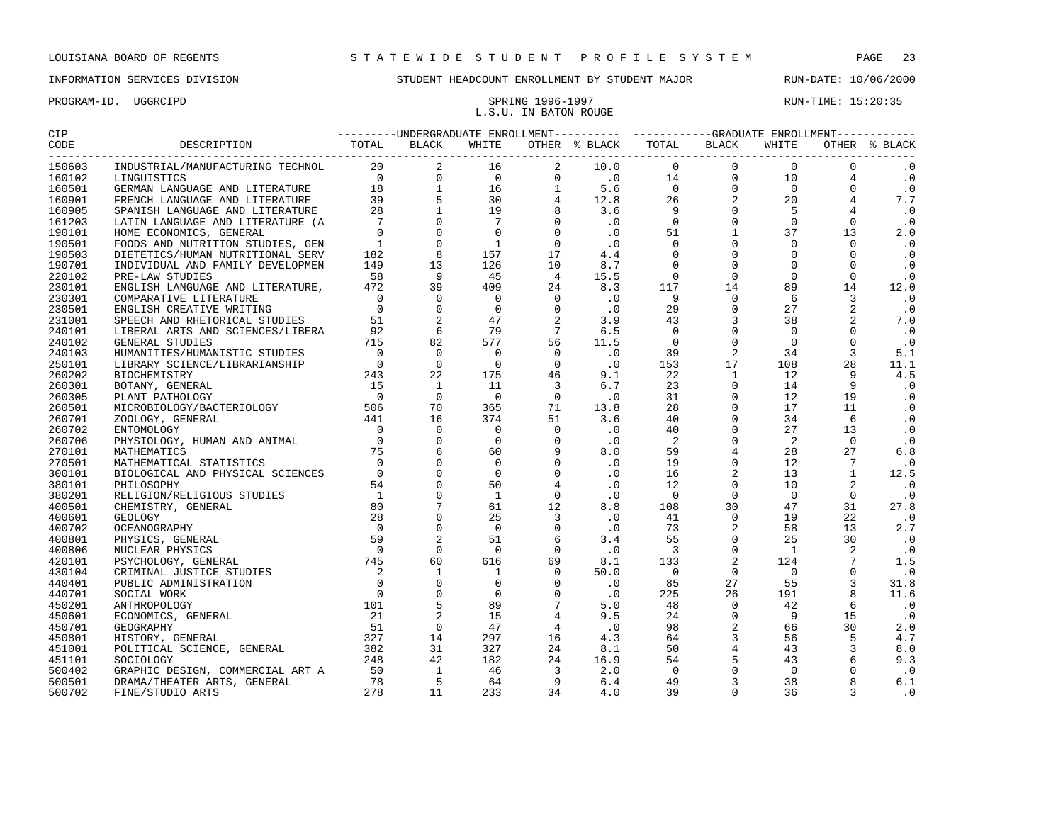### PROGRAM-ID. UGGRCIPD SPRING 1996-1997 SPRING 1996-1997 RUN-TIME: 15:20:35

# L.S.U. IN BATON ROUGE

| 150603<br>$\cdot$ 0<br>160102<br>$\cdot$ 0<br>$\cdot$ 0<br>160501<br>7.7<br>160901<br>$\overline{\phantom{0}}$ .0<br>160905<br>161203<br>$\cdot$ 0<br>2.0<br>$\cdot$ 0<br>190501<br>190503<br>$\cdot$ 0<br>$\cdot$ 0<br>190701<br>220102<br>$\cdot$ 0<br>230101<br>12.0<br>230301<br>$\cdot$ 0<br>$\cdot$ 0<br>230501<br>231001<br>7.0<br>$\cdot$ 0<br>240101<br>240102<br>$\cdot$ 0<br>5.1<br>240103<br>250101<br>11.1<br>4.5<br>260202<br>$\cdot$ 0<br>260301<br>$\cdot$ 0<br>260305<br>$\cdot$ 0<br>260501<br>$\cdot$ 0<br>260701<br>$\cdot$ 0<br>260702<br>$\cdot$ 0<br>260706<br>6.8<br>270101<br>270501<br>$\cdot$ 0<br>300101<br>12.5<br>$\cdot$ 0<br>380101<br>380201<br>$\cdot$ 0<br>27.8<br>400501<br>400601<br>$\cdot$ 0<br>2.7<br>400702<br>$\cdot$ 0<br>400801<br>400806<br>$\cdot$ 0<br>420101<br>1.5<br>$\cdot$ 0<br>430104<br>31.8<br>440401<br>11.6<br>440701<br>$\cdot$ 0<br>450201<br>$\cdot$ 0<br>450601<br>450701<br>2.0<br>4.7<br>450801<br>8.0<br>451001<br>9.3<br>451101<br>500402<br>$\cdot$ 0<br>6.1<br>500501<br>500702<br>$\cdot$ 0 |        |  |  |  |  |  |  |  |  |  |  |  |
|-----------------------------------------------------------------------------------------------------------------------------------------------------------------------------------------------------------------------------------------------------------------------------------------------------------------------------------------------------------------------------------------------------------------------------------------------------------------------------------------------------------------------------------------------------------------------------------------------------------------------------------------------------------------------------------------------------------------------------------------------------------------------------------------------------------------------------------------------------------------------------------------------------------------------------------------------------------------------------------------------------------------------------------------------------------------|--------|--|--|--|--|--|--|--|--|--|--|--|
|                                                                                                                                                                                                                                                                                                                                                                                                                                                                                                                                                                                                                                                                                                                                                                                                                                                                                                                                                                                                                                                                 |        |  |  |  |  |  |  |  |  |  |  |  |
|                                                                                                                                                                                                                                                                                                                                                                                                                                                                                                                                                                                                                                                                                                                                                                                                                                                                                                                                                                                                                                                                 |        |  |  |  |  |  |  |  |  |  |  |  |
|                                                                                                                                                                                                                                                                                                                                                                                                                                                                                                                                                                                                                                                                                                                                                                                                                                                                                                                                                                                                                                                                 |        |  |  |  |  |  |  |  |  |  |  |  |
|                                                                                                                                                                                                                                                                                                                                                                                                                                                                                                                                                                                                                                                                                                                                                                                                                                                                                                                                                                                                                                                                 |        |  |  |  |  |  |  |  |  |  |  |  |
|                                                                                                                                                                                                                                                                                                                                                                                                                                                                                                                                                                                                                                                                                                                                                                                                                                                                                                                                                                                                                                                                 |        |  |  |  |  |  |  |  |  |  |  |  |
|                                                                                                                                                                                                                                                                                                                                                                                                                                                                                                                                                                                                                                                                                                                                                                                                                                                                                                                                                                                                                                                                 |        |  |  |  |  |  |  |  |  |  |  |  |
|                                                                                                                                                                                                                                                                                                                                                                                                                                                                                                                                                                                                                                                                                                                                                                                                                                                                                                                                                                                                                                                                 |        |  |  |  |  |  |  |  |  |  |  |  |
|                                                                                                                                                                                                                                                                                                                                                                                                                                                                                                                                                                                                                                                                                                                                                                                                                                                                                                                                                                                                                                                                 | 190101 |  |  |  |  |  |  |  |  |  |  |  |
|                                                                                                                                                                                                                                                                                                                                                                                                                                                                                                                                                                                                                                                                                                                                                                                                                                                                                                                                                                                                                                                                 |        |  |  |  |  |  |  |  |  |  |  |  |
|                                                                                                                                                                                                                                                                                                                                                                                                                                                                                                                                                                                                                                                                                                                                                                                                                                                                                                                                                                                                                                                                 |        |  |  |  |  |  |  |  |  |  |  |  |
|                                                                                                                                                                                                                                                                                                                                                                                                                                                                                                                                                                                                                                                                                                                                                                                                                                                                                                                                                                                                                                                                 |        |  |  |  |  |  |  |  |  |  |  |  |
|                                                                                                                                                                                                                                                                                                                                                                                                                                                                                                                                                                                                                                                                                                                                                                                                                                                                                                                                                                                                                                                                 |        |  |  |  |  |  |  |  |  |  |  |  |
|                                                                                                                                                                                                                                                                                                                                                                                                                                                                                                                                                                                                                                                                                                                                                                                                                                                                                                                                                                                                                                                                 |        |  |  |  |  |  |  |  |  |  |  |  |
|                                                                                                                                                                                                                                                                                                                                                                                                                                                                                                                                                                                                                                                                                                                                                                                                                                                                                                                                                                                                                                                                 |        |  |  |  |  |  |  |  |  |  |  |  |
|                                                                                                                                                                                                                                                                                                                                                                                                                                                                                                                                                                                                                                                                                                                                                                                                                                                                                                                                                                                                                                                                 |        |  |  |  |  |  |  |  |  |  |  |  |
|                                                                                                                                                                                                                                                                                                                                                                                                                                                                                                                                                                                                                                                                                                                                                                                                                                                                                                                                                                                                                                                                 |        |  |  |  |  |  |  |  |  |  |  |  |
|                                                                                                                                                                                                                                                                                                                                                                                                                                                                                                                                                                                                                                                                                                                                                                                                                                                                                                                                                                                                                                                                 |        |  |  |  |  |  |  |  |  |  |  |  |
|                                                                                                                                                                                                                                                                                                                                                                                                                                                                                                                                                                                                                                                                                                                                                                                                                                                                                                                                                                                                                                                                 |        |  |  |  |  |  |  |  |  |  |  |  |
|                                                                                                                                                                                                                                                                                                                                                                                                                                                                                                                                                                                                                                                                                                                                                                                                                                                                                                                                                                                                                                                                 |        |  |  |  |  |  |  |  |  |  |  |  |
|                                                                                                                                                                                                                                                                                                                                                                                                                                                                                                                                                                                                                                                                                                                                                                                                                                                                                                                                                                                                                                                                 |        |  |  |  |  |  |  |  |  |  |  |  |
|                                                                                                                                                                                                                                                                                                                                                                                                                                                                                                                                                                                                                                                                                                                                                                                                                                                                                                                                                                                                                                                                 |        |  |  |  |  |  |  |  |  |  |  |  |
|                                                                                                                                                                                                                                                                                                                                                                                                                                                                                                                                                                                                                                                                                                                                                                                                                                                                                                                                                                                                                                                                 |        |  |  |  |  |  |  |  |  |  |  |  |
|                                                                                                                                                                                                                                                                                                                                                                                                                                                                                                                                                                                                                                                                                                                                                                                                                                                                                                                                                                                                                                                                 |        |  |  |  |  |  |  |  |  |  |  |  |
|                                                                                                                                                                                                                                                                                                                                                                                                                                                                                                                                                                                                                                                                                                                                                                                                                                                                                                                                                                                                                                                                 |        |  |  |  |  |  |  |  |  |  |  |  |
|                                                                                                                                                                                                                                                                                                                                                                                                                                                                                                                                                                                                                                                                                                                                                                                                                                                                                                                                                                                                                                                                 |        |  |  |  |  |  |  |  |  |  |  |  |
|                                                                                                                                                                                                                                                                                                                                                                                                                                                                                                                                                                                                                                                                                                                                                                                                                                                                                                                                                                                                                                                                 |        |  |  |  |  |  |  |  |  |  |  |  |
|                                                                                                                                                                                                                                                                                                                                                                                                                                                                                                                                                                                                                                                                                                                                                                                                                                                                                                                                                                                                                                                                 |        |  |  |  |  |  |  |  |  |  |  |  |
|                                                                                                                                                                                                                                                                                                                                                                                                                                                                                                                                                                                                                                                                                                                                                                                                                                                                                                                                                                                                                                                                 |        |  |  |  |  |  |  |  |  |  |  |  |
|                                                                                                                                                                                                                                                                                                                                                                                                                                                                                                                                                                                                                                                                                                                                                                                                                                                                                                                                                                                                                                                                 |        |  |  |  |  |  |  |  |  |  |  |  |
|                                                                                                                                                                                                                                                                                                                                                                                                                                                                                                                                                                                                                                                                                                                                                                                                                                                                                                                                                                                                                                                                 |        |  |  |  |  |  |  |  |  |  |  |  |
|                                                                                                                                                                                                                                                                                                                                                                                                                                                                                                                                                                                                                                                                                                                                                                                                                                                                                                                                                                                                                                                                 |        |  |  |  |  |  |  |  |  |  |  |  |
|                                                                                                                                                                                                                                                                                                                                                                                                                                                                                                                                                                                                                                                                                                                                                                                                                                                                                                                                                                                                                                                                 |        |  |  |  |  |  |  |  |  |  |  |  |
|                                                                                                                                                                                                                                                                                                                                                                                                                                                                                                                                                                                                                                                                                                                                                                                                                                                                                                                                                                                                                                                                 |        |  |  |  |  |  |  |  |  |  |  |  |
|                                                                                                                                                                                                                                                                                                                                                                                                                                                                                                                                                                                                                                                                                                                                                                                                                                                                                                                                                                                                                                                                 |        |  |  |  |  |  |  |  |  |  |  |  |
|                                                                                                                                                                                                                                                                                                                                                                                                                                                                                                                                                                                                                                                                                                                                                                                                                                                                                                                                                                                                                                                                 |        |  |  |  |  |  |  |  |  |  |  |  |
|                                                                                                                                                                                                                                                                                                                                                                                                                                                                                                                                                                                                                                                                                                                                                                                                                                                                                                                                                                                                                                                                 |        |  |  |  |  |  |  |  |  |  |  |  |
|                                                                                                                                                                                                                                                                                                                                                                                                                                                                                                                                                                                                                                                                                                                                                                                                                                                                                                                                                                                                                                                                 |        |  |  |  |  |  |  |  |  |  |  |  |
|                                                                                                                                                                                                                                                                                                                                                                                                                                                                                                                                                                                                                                                                                                                                                                                                                                                                                                                                                                                                                                                                 |        |  |  |  |  |  |  |  |  |  |  |  |
|                                                                                                                                                                                                                                                                                                                                                                                                                                                                                                                                                                                                                                                                                                                                                                                                                                                                                                                                                                                                                                                                 |        |  |  |  |  |  |  |  |  |  |  |  |
|                                                                                                                                                                                                                                                                                                                                                                                                                                                                                                                                                                                                                                                                                                                                                                                                                                                                                                                                                                                                                                                                 |        |  |  |  |  |  |  |  |  |  |  |  |
|                                                                                                                                                                                                                                                                                                                                                                                                                                                                                                                                                                                                                                                                                                                                                                                                                                                                                                                                                                                                                                                                 |        |  |  |  |  |  |  |  |  |  |  |  |
|                                                                                                                                                                                                                                                                                                                                                                                                                                                                                                                                                                                                                                                                                                                                                                                                                                                                                                                                                                                                                                                                 |        |  |  |  |  |  |  |  |  |  |  |  |
|                                                                                                                                                                                                                                                                                                                                                                                                                                                                                                                                                                                                                                                                                                                                                                                                                                                                                                                                                                                                                                                                 |        |  |  |  |  |  |  |  |  |  |  |  |
|                                                                                                                                                                                                                                                                                                                                                                                                                                                                                                                                                                                                                                                                                                                                                                                                                                                                                                                                                                                                                                                                 |        |  |  |  |  |  |  |  |  |  |  |  |
|                                                                                                                                                                                                                                                                                                                                                                                                                                                                                                                                                                                                                                                                                                                                                                                                                                                                                                                                                                                                                                                                 |        |  |  |  |  |  |  |  |  |  |  |  |
|                                                                                                                                                                                                                                                                                                                                                                                                                                                                                                                                                                                                                                                                                                                                                                                                                                                                                                                                                                                                                                                                 |        |  |  |  |  |  |  |  |  |  |  |  |
|                                                                                                                                                                                                                                                                                                                                                                                                                                                                                                                                                                                                                                                                                                                                                                                                                                                                                                                                                                                                                                                                 |        |  |  |  |  |  |  |  |  |  |  |  |
|                                                                                                                                                                                                                                                                                                                                                                                                                                                                                                                                                                                                                                                                                                                                                                                                                                                                                                                                                                                                                                                                 |        |  |  |  |  |  |  |  |  |  |  |  |
|                                                                                                                                                                                                                                                                                                                                                                                                                                                                                                                                                                                                                                                                                                                                                                                                                                                                                                                                                                                                                                                                 |        |  |  |  |  |  |  |  |  |  |  |  |
|                                                                                                                                                                                                                                                                                                                                                                                                                                                                                                                                                                                                                                                                                                                                                                                                                                                                                                                                                                                                                                                                 |        |  |  |  |  |  |  |  |  |  |  |  |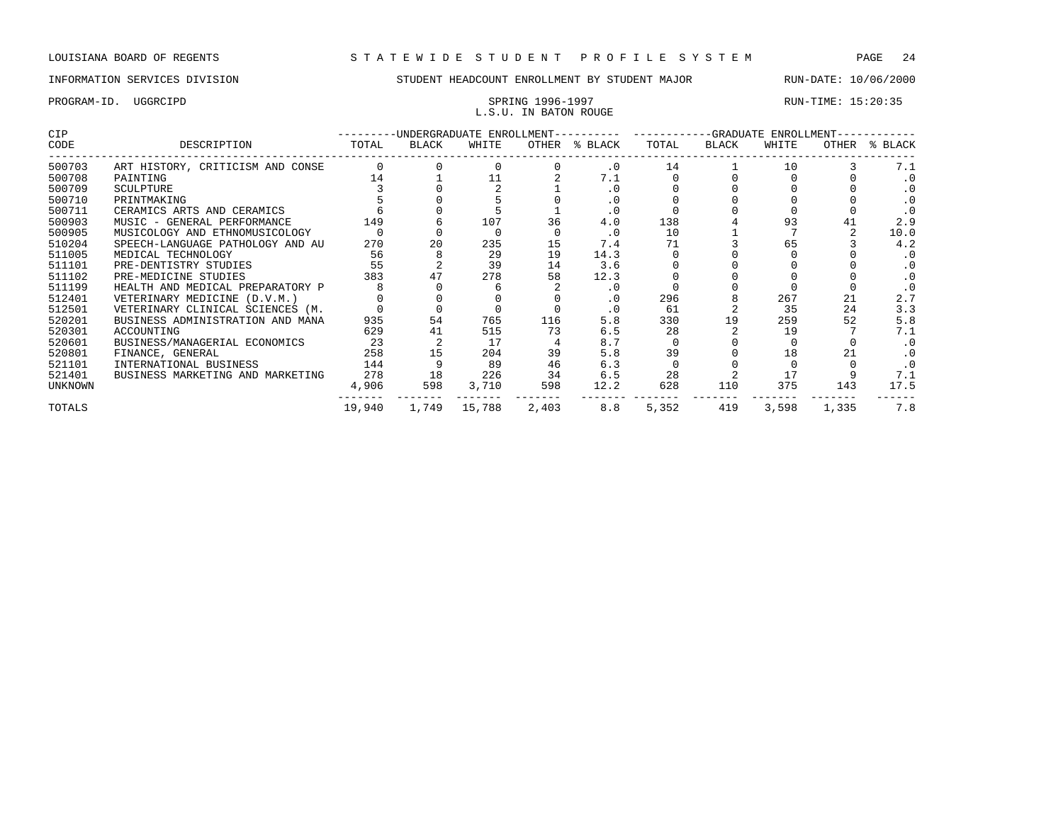### PROGRAM-ID. UGGRCIPD SPRING 1996-1997 SPRING 1996-1997 L.S.U. IN BATON ROUGE

| <b>CIP</b> |                                  |        |       | -UNDERGRADUATE ENROLLMENT---------- |       | -GRADUATE ENROLLMENT- |       |       |       |       |           |
|------------|----------------------------------|--------|-------|-------------------------------------|-------|-----------------------|-------|-------|-------|-------|-----------|
| CODE       | DESCRIPTION                      | TOTAL  | BLACK | WHITE                               | OTHER | % BLACK               | TOTAL | BLACK | WHITE | OTHER | % BLACK   |
| 500703     | ART HISTORY, CRITICISM AND CONSE |        |       |                                     |       | $\cdot$ 0             | 14    |       | 10    |       | 7.1       |
| 500708     | PAINTING                         | 14     |       |                                     |       | 7.1                   |       |       |       |       | . 0       |
| 500709     | <b>SCULPTURE</b>                 |        |       |                                     |       |                       |       |       |       |       |           |
| 500710     | PRINTMAKING                      |        |       |                                     |       | $\cdot$ 0             |       |       |       |       |           |
| 500711     | CERAMICS ARTS AND CERAMICS       |        |       |                                     |       |                       |       |       |       |       |           |
| 500903     | MUSIC - GENERAL PERFORMANCE      | 149    |       | 107                                 | 36    | 4.0                   | 138   |       | 93    |       | 2.9       |
| 500905     | MUSICOLOGY AND ETHNOMUSICOLOGY   |        |       |                                     |       | . 0                   | 10    |       |       |       | 10.0      |
| 510204     | SPEECH-LANGUAGE PATHOLOGY AND AU | 270    |       | 235                                 | 15    | 7.4                   |       |       | 65    |       | 4.2       |
| 511005     | MEDICAL TECHNOLOGY               | 56     |       | 29                                  | 19    | 14.3                  |       |       |       |       | . 0       |
| 511101     | PRE-DENTISTRY STUDIES            | 55     |       | 39                                  | 14    | 3.6                   |       |       |       |       |           |
| 511102     | PRE-MEDICINE STUDIES             | 383    |       | 278                                 | 58    | 12.3                  |       |       |       |       |           |
| 511199     | HEALTH AND MEDICAL PREPARATORY P |        |       |                                     |       | $\cdot$ 0             |       |       |       |       | .0        |
| 512401     | VETERINARY MEDICINE (D.V.M.)     |        |       |                                     |       | $\cdot$ 0             | 296   |       | 267   |       | 2.7       |
| 512501     | VETERINARY CLINICAL SCIENCES (M. |        |       |                                     |       |                       | 61    |       | 35    | 24    | 3.3       |
| 520201     | BUSINESS ADMINISTRATION AND MANA | 935    | 54    | 765                                 | 116   | 5.8                   | 330   | 19    | 259   | 52    | 5.8       |
| 520301     | ACCOUNTING                       | 629    | 41    | 515                                 | 73    | 6.5                   | 28    |       | 19    |       | 7.1       |
| 520601     | BUSINESS/MANAGERIAL ECONOMICS    | 23     |       | 17                                  |       | 8.7                   |       |       |       |       |           |
| 520801     | FINANCE, GENERAL                 | 258    |       | 204                                 | 39    | 5.8                   | 39    |       | 18    |       | $\cdot$ 0 |
| 521101     | INTERNATIONAL BUSINESS           | 144    |       | 89                                  | 46    | 6.3                   |       |       |       |       | .0        |
| 521401     | BUSINESS MARKETING AND MARKETING | 278    | 18    | 226                                 | 34    | 6.5                   | 28    |       |       |       | 7.1       |
| UNKNOWN    |                                  | 4,906  | 598   | 3,710                               | 598   | 12.2                  | 628   | 110   | 375   | 143   | 17.5      |
| TOTALS     |                                  | 19,940 | 1,749 | 15,788                              | 2,403 | 8.8                   | 5,352 | 419   | 3,598 | 1,335 | 7.8       |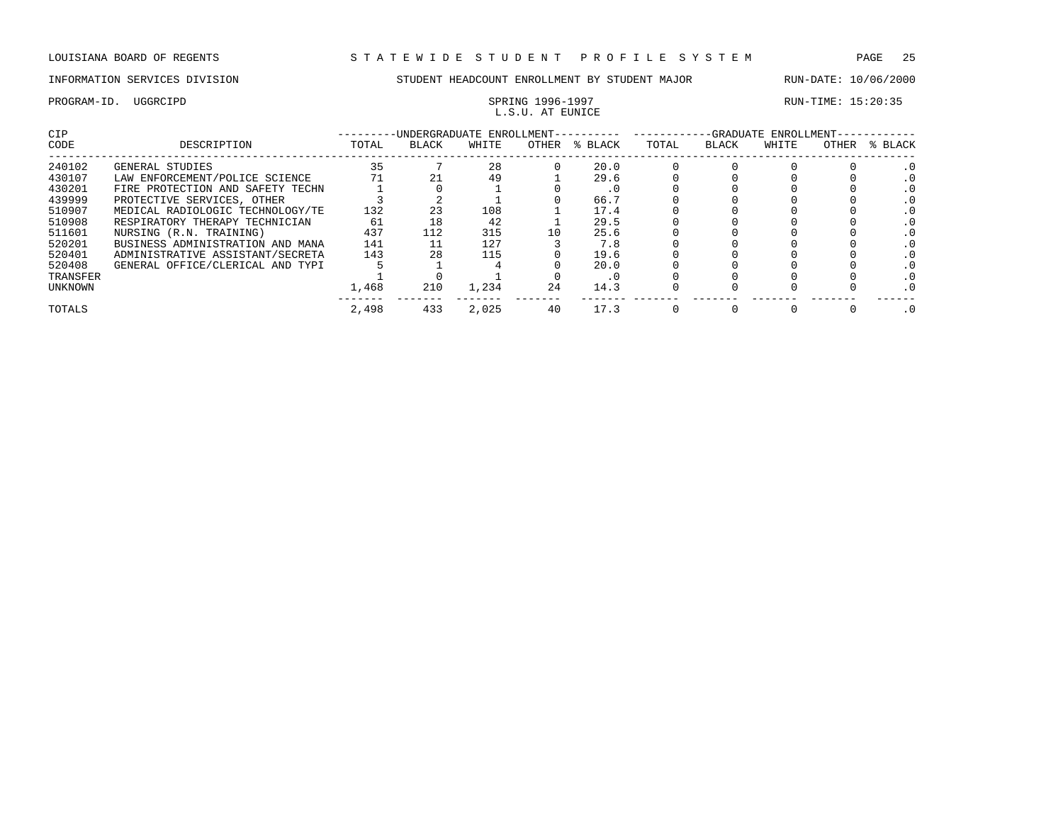### PROGRAM-ID. UGGRCIPD SPRING 1996-1997<br>
I.S. II.AT FUNICE L.S.U. AT EUNICE

| CIP      |                                  |       | -UNDERGRADUATE ENROLLMENT- |       |       |         | -GRADUATE ENROLLMENT- |       |       |       |         |  |
|----------|----------------------------------|-------|----------------------------|-------|-------|---------|-----------------------|-------|-------|-------|---------|--|
| CODE     | DESCRIPTION                      | TOTAL | <b>BLACK</b>               | WHITE | OTHER | % BLACK | TOTAL                 | BLACK | WHITE | OTHER | % BLACK |  |
| 240102   | GENERAL STUDIES                  | 35    |                            | 28    |       | 20.0    |                       |       |       |       |         |  |
| 430107   | LAW ENFORCEMENT/POLICE SCIENCE   |       | 21                         | 49    |       | 29.6    |                       |       |       |       |         |  |
| 430201   | FIRE PROTECTION AND SAFETY TECHN |       |                            |       |       | . U     |                       |       |       |       |         |  |
| 439999   | PROTECTIVE SERVICES, OTHER       |       |                            |       |       | 66.7    |                       |       |       |       |         |  |
| 510907   | MEDICAL RADIOLOGIC TECHNOLOGY/TE | 132   | 23                         | 108   |       | 17.4    |                       |       |       |       |         |  |
| 510908   | RESPIRATORY THERAPY TECHNICIAN   | 61    | 18                         | 42    |       | 29.5    |                       |       |       |       |         |  |
| 511601   | NURSING (R.N. TRAINING)          | 437   | 112                        | 315   | 10    | 25.6    |                       |       |       |       |         |  |
| 520201   | BUSINESS ADMINISTRATION AND MANA | 141   |                            | 127   |       | 7.8     |                       |       |       |       |         |  |
| 520401   | ADMINISTRATIVE ASSISTANT/SECRETA | 143   | 28                         | 115   |       | 19.6    |                       |       |       |       |         |  |
| 520408   | GENERAL OFFICE/CLERICAL AND TYPI |       |                            |       |       | 20.0    |                       |       |       |       |         |  |
| TRANSFER |                                  |       |                            |       |       | . U     |                       |       |       |       |         |  |
| UNKNOWN  |                                  | 1,468 | 210                        | 1,234 | 24    | 14.3    |                       |       |       |       |         |  |
| TOTALS   |                                  | 2,498 | 433                        | 2.025 | 40    | 17.3    |                       |       |       |       |         |  |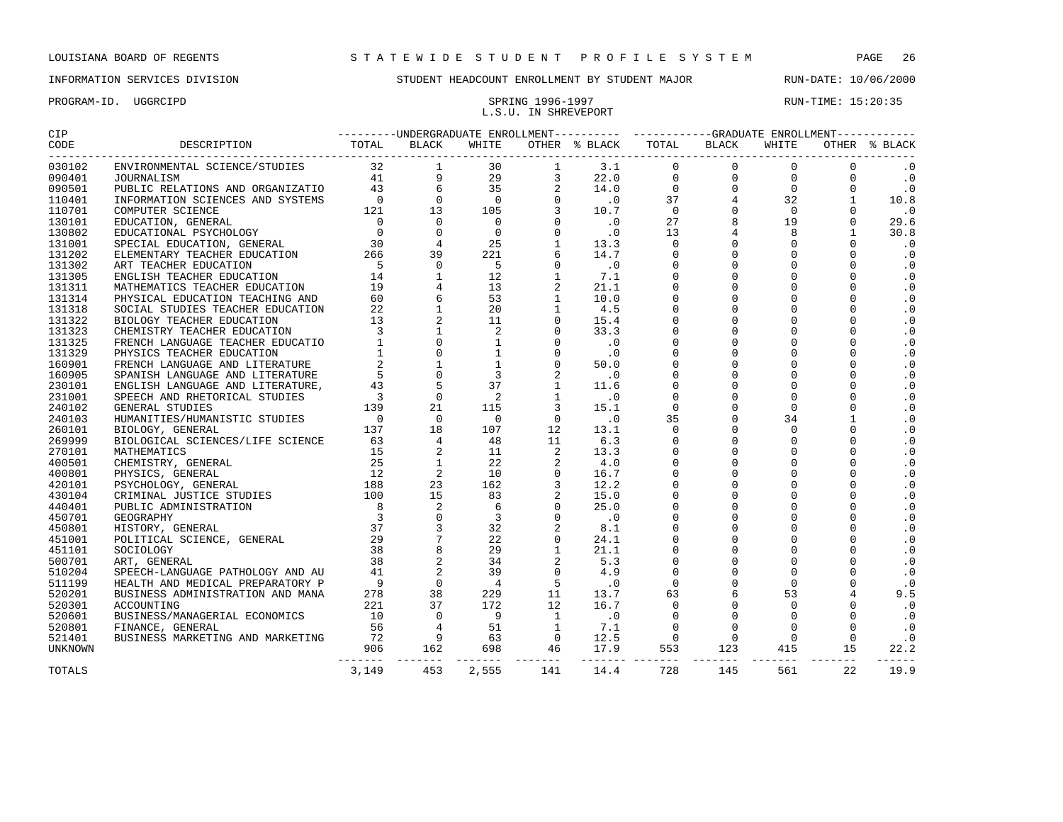### PROGRAM-ID. UGGRCIPD SPRING 1996-1997 SPRING 1996-1997 L.S.U. IN SHREVEPORT

| 030102  |       |     |       |  |          |     |     |     |    | $\cdot$ 0               |  |
|---------|-------|-----|-------|--|----------|-----|-----|-----|----|-------------------------|--|
| 090401  |       |     |       |  |          |     |     |     |    | $\cdot$ 0               |  |
| 090501  |       |     |       |  |          |     |     |     |    | $\cdot$ 0               |  |
| 110401  |       |     |       |  |          |     |     |     |    | 10.8                    |  |
| 110701  |       |     |       |  |          |     |     |     |    | $\cdot$ 0               |  |
| 130101  |       |     |       |  |          |     |     |     |    | 29.6                    |  |
| 130802  |       |     |       |  |          |     |     |     |    | 30.8                    |  |
| 131001  |       |     |       |  |          |     |     |     |    | $\cdot$ 0               |  |
| 131202  |       |     |       |  |          |     |     |     |    | $\cdot$ 0               |  |
| 131302  |       |     |       |  |          |     |     |     |    | $\cdot$ 0               |  |
| 131305  |       |     |       |  |          |     |     |     |    | $\cdot$ 0               |  |
| 131311  |       |     |       |  |          |     |     |     |    | $\cdot$ 0               |  |
| 131314  |       |     |       |  |          |     |     |     |    | $\cdot$ 0               |  |
| 131318  |       |     |       |  |          |     |     |     |    | $\cdot$ 0               |  |
| 131322  |       |     |       |  |          |     |     |     |    | $\cdot$ 0               |  |
| 131323  |       |     |       |  |          |     |     |     |    | .0                      |  |
| 131325  |       |     |       |  |          |     |     |     |    | $\cdot$ 0               |  |
| 131329  |       |     |       |  |          |     |     |     |    | .0                      |  |
| 160901  |       |     |       |  |          |     |     |     |    | $\cdot$ 0               |  |
| 160905  |       |     |       |  |          |     |     |     |    | $\cdot$ 0               |  |
| 230101  |       |     |       |  |          |     |     |     |    | $\cdot$ 0               |  |
| 231001  |       |     |       |  |          |     |     |     |    | $\cdot$ 0               |  |
| 240102  |       |     |       |  |          |     |     |     |    | $\cdot$ 0               |  |
| 240103  |       |     |       |  |          |     |     |     |    | $\cdot$ 0               |  |
| 260101  |       |     |       |  |          |     |     |     |    | $\cdot$ 0               |  |
| 269999  |       |     |       |  |          |     |     |     |    | $\cdot$ 0               |  |
| 270101  |       |     |       |  |          |     |     |     |    | $\cdot$ 0               |  |
| 400501  |       |     |       |  |          |     |     |     |    | $\cdot$ 0               |  |
| 400801  |       |     |       |  |          |     |     |     |    | $\cdot$ 0               |  |
| 420101  |       |     |       |  |          |     |     |     |    | $\cdot$ 0               |  |
| 430104  |       |     |       |  |          |     |     |     |    | $\cdot$ 0               |  |
| 440401  |       |     |       |  |          |     |     |     |    | $\cdot$ 0               |  |
| 450701  |       |     |       |  |          |     |     |     |    | $\cdot$ 0               |  |
| 450801  |       |     |       |  |          |     |     |     |    | $\cdot$ 0               |  |
| 451001  |       |     |       |  |          |     |     |     |    | $\cdot$ 0               |  |
| 451101  |       |     |       |  |          |     |     |     |    | $\cdot$ 0               |  |
| 500701  |       |     |       |  |          |     |     |     |    | $\cdot$ 0               |  |
| 510204  |       |     |       |  |          |     |     |     |    | $\cdot$ 0               |  |
| 511199  |       |     |       |  |          |     |     |     |    | $\cdot$ 0               |  |
| 520201  |       |     |       |  |          |     |     |     |    | 9.5                     |  |
| 520301  |       |     |       |  |          |     |     |     |    | $\cdot$ 0               |  |
| 520601  |       |     |       |  |          |     |     |     |    | $\cdot$ 0               |  |
| 520801  |       |     |       |  |          |     |     |     |    | $\cdot$ 0               |  |
| 521401  |       |     |       |  |          |     |     |     |    | $\cdot$ 0               |  |
| UNKNOWN |       |     |       |  |          |     |     |     |    | 22.2<br>$- - - - - - -$ |  |
| TOTALS  | 3,149 | 453 | 2,555 |  | 141 14.4 | 728 | 145 | 561 | 22 | 19.9                    |  |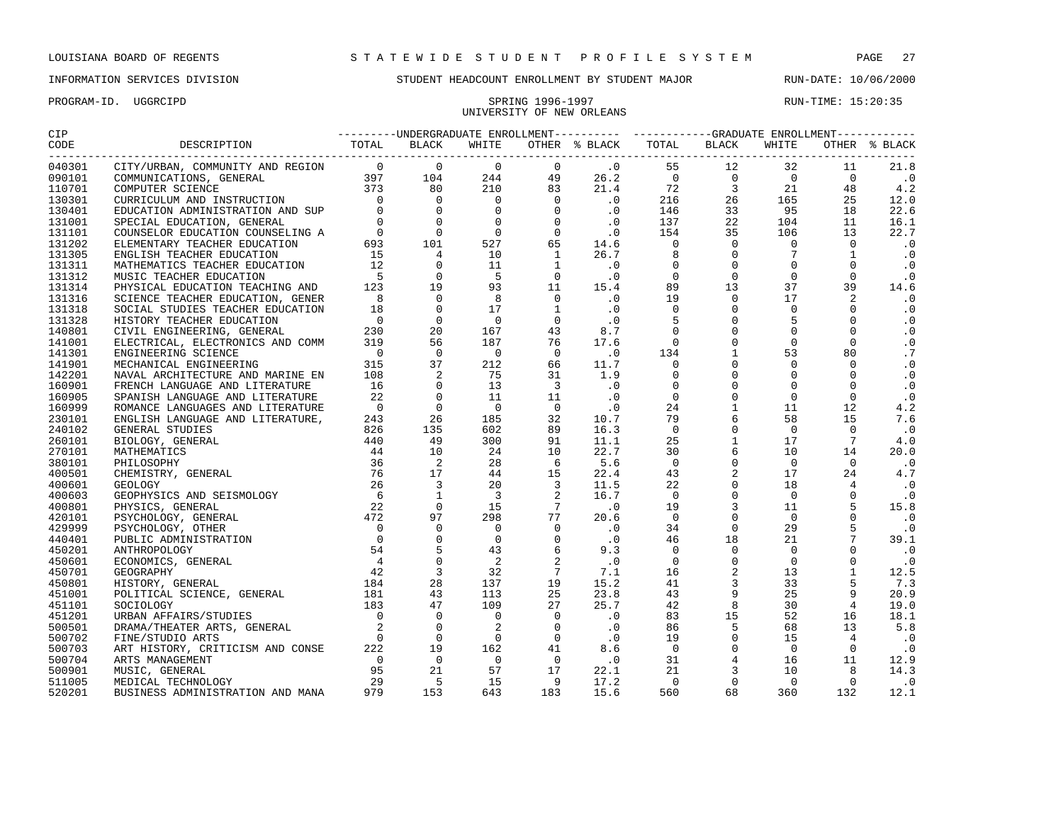PROGRAM-ID. UGGRCIPD SPRING 1996-1997 RUN-TIME: 15:20:35

### INFORMATION SERVICES DIVISION STUDENT HEADCOUNT ENROLLMENT BY STUDENT MAJOR RUN-DATE: 10/06/2000

## UNIVERSITY OF NEW ORLEANS

| CIP    |                                                                                                                                                                                                                                                                                                                                                                                               |  |       | ---------UNDERGRADUATE ENROLLMENT---------- ----------GRADUATE ENROLLMENT-----------                                                                                                         |                                                                                                                                                                                                                                                                                                                           |  |                                                                                                                                                                                                                                                                                                                               |                 |                             |
|--------|-----------------------------------------------------------------------------------------------------------------------------------------------------------------------------------------------------------------------------------------------------------------------------------------------------------------------------------------------------------------------------------------------|--|-------|----------------------------------------------------------------------------------------------------------------------------------------------------------------------------------------------|---------------------------------------------------------------------------------------------------------------------------------------------------------------------------------------------------------------------------------------------------------------------------------------------------------------------------|--|-------------------------------------------------------------------------------------------------------------------------------------------------------------------------------------------------------------------------------------------------------------------------------------------------------------------------------|-----------------|-----------------------------|
| CODE   | DESCRIPTION TOTAL BLACK                                                                                                                                                                                                                                                                                                                                                                       |  | WHITE |                                                                                                                                                                                              | OTHER % BLACK TOTAL BLACK                                                                                                                                                                                                                                                                                                 |  | WHITE                                                                                                                                                                                                                                                                                                                         |                 | OTHER % BLACK               |
| 040301 | $\begin{tabular}{cccccccc} \textbf{1.5} & \textbf{2.6} & \textbf{3.6} & \textbf{5.6} & \textbf{5.6} & \textbf{6.6} & \textbf{6.6} & \textbf{7.6} & \textbf{8.6} & \textbf{8.6} & \textbf{9.6} & \textbf{1.7} & \textbf{1.8} & \textbf{1.9} & \textbf{1.9} & \textbf{1.9} & \textbf{1.9} & \textbf{1.9} & \textbf{1.9} & \textbf{1.9} & \textbf{1.9} & \textbf{1.9} & \textbf{1.9} & \textbf{$ |  |       |                                                                                                                                                                                              | $26.2$ 0 55 12 32<br>$26.2$ 0 0 0<br>$21.4$ 72 3 21<br>$21.5$ 26 26 165                                                                                                                                                                                                                                                   |  |                                                                                                                                                                                                                                                                                                                               | 11              | 21.8                        |
| 090101 |                                                                                                                                                                                                                                                                                                                                                                                               |  |       |                                                                                                                                                                                              |                                                                                                                                                                                                                                                                                                                           |  |                                                                                                                                                                                                                                                                                                                               | $\overline{0}$  | $\cdot$ 0                   |
| 110701 |                                                                                                                                                                                                                                                                                                                                                                                               |  |       |                                                                                                                                                                                              |                                                                                                                                                                                                                                                                                                                           |  |                                                                                                                                                                                                                                                                                                                               | 48              | 4.2                         |
| 130301 |                                                                                                                                                                                                                                                                                                                                                                                               |  |       |                                                                                                                                                                                              |                                                                                                                                                                                                                                                                                                                           |  |                                                                                                                                                                                                                                                                                                                               | 25              | 12.0                        |
| 130401 |                                                                                                                                                                                                                                                                                                                                                                                               |  |       |                                                                                                                                                                                              |                                                                                                                                                                                                                                                                                                                           |  |                                                                                                                                                                                                                                                                                                                               | 18              | 22.6                        |
| 131001 |                                                                                                                                                                                                                                                                                                                                                                                               |  |       |                                                                                                                                                                                              |                                                                                                                                                                                                                                                                                                                           |  |                                                                                                                                                                                                                                                                                                                               | 11              | 16.1                        |
| 131101 |                                                                                                                                                                                                                                                                                                                                                                                               |  |       |                                                                                                                                                                                              |                                                                                                                                                                                                                                                                                                                           |  |                                                                                                                                                                                                                                                                                                                               | 13              | 22.7                        |
| 131202 |                                                                                                                                                                                                                                                                                                                                                                                               |  |       |                                                                                                                                                                                              |                                                                                                                                                                                                                                                                                                                           |  |                                                                                                                                                                                                                                                                                                                               | $\overline{0}$  | $\cdot$ 0                   |
| 131305 |                                                                                                                                                                                                                                                                                                                                                                                               |  |       |                                                                                                                                                                                              |                                                                                                                                                                                                                                                                                                                           |  |                                                                                                                                                                                                                                                                                                                               | $\mathbf{1}$    | $\cdot$ 0                   |
| 131311 |                                                                                                                                                                                                                                                                                                                                                                                               |  |       |                                                                                                                                                                                              |                                                                                                                                                                                                                                                                                                                           |  |                                                                                                                                                                                                                                                                                                                               | $\overline{0}$  | $\cdot$ 0                   |
| 131312 |                                                                                                                                                                                                                                                                                                                                                                                               |  |       |                                                                                                                                                                                              |                                                                                                                                                                                                                                                                                                                           |  |                                                                                                                                                                                                                                                                                                                               | $\overline{0}$  | $\cdot$ 0                   |
| 131314 |                                                                                                                                                                                                                                                                                                                                                                                               |  |       | $15.4$<br>.0                                                                                                                                                                                 |                                                                                                                                                                                                                                                                                                                           |  |                                                                                                                                                                                                                                                                                                                               | 39              | 14.6                        |
| 131316 |                                                                                                                                                                                                                                                                                                                                                                                               |  |       |                                                                                                                                                                                              |                                                                                                                                                                                                                                                                                                                           |  |                                                                                                                                                                                                                                                                                                                               | 2               | $\cdot$ 0                   |
| 131318 |                                                                                                                                                                                                                                                                                                                                                                                               |  |       |                                                                                                                                                                                              |                                                                                                                                                                                                                                                                                                                           |  |                                                                                                                                                                                                                                                                                                                               | $\overline{0}$  | $\cdot$ 0                   |
| 131328 |                                                                                                                                                                                                                                                                                                                                                                                               |  |       |                                                                                                                                                                                              |                                                                                                                                                                                                                                                                                                                           |  |                                                                                                                                                                                                                                                                                                                               | $\overline{0}$  | $\cdot$ 0                   |
| 140801 |                                                                                                                                                                                                                                                                                                                                                                                               |  |       |                                                                                                                                                                                              |                                                                                                                                                                                                                                                                                                                           |  |                                                                                                                                                                                                                                                                                                                               | $\overline{0}$  | $\cdot$ 0                   |
| 141001 |                                                                                                                                                                                                                                                                                                                                                                                               |  |       |                                                                                                                                                                                              |                                                                                                                                                                                                                                                                                                                           |  |                                                                                                                                                                                                                                                                                                                               | $\overline{0}$  | $\cdot$ 0                   |
| 141301 |                                                                                                                                                                                                                                                                                                                                                                                               |  |       |                                                                                                                                                                                              |                                                                                                                                                                                                                                                                                                                           |  |                                                                                                                                                                                                                                                                                                                               | 80              | $\cdot$ 7                   |
| 141901 |                                                                                                                                                                                                                                                                                                                                                                                               |  |       |                                                                                                                                                                                              |                                                                                                                                                                                                                                                                                                                           |  |                                                                                                                                                                                                                                                                                                                               | $\overline{0}$  | $\cdot$ 0                   |
| 142201 |                                                                                                                                                                                                                                                                                                                                                                                               |  |       |                                                                                                                                                                                              |                                                                                                                                                                                                                                                                                                                           |  |                                                                                                                                                                                                                                                                                                                               | $\overline{0}$  | $\cdot$ 0                   |
| 160901 |                                                                                                                                                                                                                                                                                                                                                                                               |  |       |                                                                                                                                                                                              |                                                                                                                                                                                                                                                                                                                           |  |                                                                                                                                                                                                                                                                                                                               | $\bigcirc$      | $\cdot$ 0                   |
| 160905 |                                                                                                                                                                                                                                                                                                                                                                                               |  |       |                                                                                                                                                                                              |                                                                                                                                                                                                                                                                                                                           |  | $\begin{array}{cccccc} 55 & 12 & 32 \\ 0 & 0 & 0 & 0 \\ 72 & 3 & 21 \\ 216 & 26 & 165 \\ 146 & 33 & 95 \\ 137 & 22 & 104 \\ 154 & 35 & 106 \\ 0 & 0 & 0 & 0 \\ 0 & 0 & 0 & 0 \\ 0 & 0 & 0 & 0 \\ 0 & 0 & 0 & 0 \\ 0 & 0 & 0 & 0 \\ 9 & 13 & 37 \\ 19 & 0 & 17 \\ 0 & 0 & 0 & 0 \\ 9 & 0 & 0 & 0 \\ 0 & 0 & 0 & 0 \\ 0 & $     | $\overline{0}$  | $\cdot$ 0                   |
| 160999 |                                                                                                                                                                                                                                                                                                                                                                                               |  |       |                                                                                                                                                                                              |                                                                                                                                                                                                                                                                                                                           |  |                                                                                                                                                                                                                                                                                                                               | 12              | 4.2                         |
| 230101 |                                                                                                                                                                                                                                                                                                                                                                                               |  |       | 10.7                                                                                                                                                                                         |                                                                                                                                                                                                                                                                                                                           |  |                                                                                                                                                                                                                                                                                                                               | 15              | 7.6                         |
| 240102 |                                                                                                                                                                                                                                                                                                                                                                                               |  |       | 16.3                                                                                                                                                                                         |                                                                                                                                                                                                                                                                                                                           |  |                                                                                                                                                                                                                                                                                                                               | $\bigcirc$      | $\cdot$ 0                   |
| 260101 |                                                                                                                                                                                                                                                                                                                                                                                               |  |       | 11.1                                                                                                                                                                                         |                                                                                                                                                                                                                                                                                                                           |  |                                                                                                                                                                                                                                                                                                                               | $7\overline{ }$ | 4.0                         |
| 270101 |                                                                                                                                                                                                                                                                                                                                                                                               |  |       | 22.7                                                                                                                                                                                         |                                                                                                                                                                                                                                                                                                                           |  |                                                                                                                                                                                                                                                                                                                               | 14              | 20.0                        |
| 380101 |                                                                                                                                                                                                                                                                                                                                                                                               |  |       | 5.6                                                                                                                                                                                          |                                                                                                                                                                                                                                                                                                                           |  | $\begin{bmatrix} 0 & 17 & 18 & 0 \\ 0 & 17 & 18 & 0 \\ 0 & 11 & 0 & 0 \\ 29 & 23 & 0 & 0 \\ 0 & 0 & 0 & 0 \\ 0 & 0 & 0 & 0 \\ 0 & 0 & 0 & 0 \\ 0 & 0 & 0 & 0 \\ 0 & 0 & 0 & 0 \\ 0 & 0 & 0 & 0 \\ 0 & 0 & 0 & 0 \\ 0 & 0 & 0 & 0 \\ 0 & 0 & 0 & 0 \\ 0 & 0 & 0 & 0 \\ 0 & 0 & 0 & 0 \\ 0 & 0 & 0 & 0 \\ 0 & 0 & 0 & 0 \\ 0 &$ | $\Omega$        | $\cdot$ 0                   |
| 400501 |                                                                                                                                                                                                                                                                                                                                                                                               |  |       | 22.4                                                                                                                                                                                         |                                                                                                                                                                                                                                                                                                                           |  |                                                                                                                                                                                                                                                                                                                               | 24              | 4.7                         |
| 400601 |                                                                                                                                                                                                                                                                                                                                                                                               |  |       | 11.5                                                                                                                                                                                         |                                                                                                                                                                                                                                                                                                                           |  |                                                                                                                                                                                                                                                                                                                               |                 | $\overline{\phantom{0}}$ .0 |
| 400603 |                                                                                                                                                                                                                                                                                                                                                                                               |  |       | 16.7                                                                                                                                                                                         |                                                                                                                                                                                                                                                                                                                           |  |                                                                                                                                                                                                                                                                                                                               | $\overline{0}$  | $\cdot$ 0                   |
| 400801 |                                                                                                                                                                                                                                                                                                                                                                                               |  |       | $\overline{\phantom{a}}$ .0                                                                                                                                                                  |                                                                                                                                                                                                                                                                                                                           |  |                                                                                                                                                                                                                                                                                                                               | 5               | 15.8                        |
| 420101 |                                                                                                                                                                                                                                                                                                                                                                                               |  |       | 20.6                                                                                                                                                                                         |                                                                                                                                                                                                                                                                                                                           |  |                                                                                                                                                                                                                                                                                                                               | $\overline{0}$  | $\cdot$ 0                   |
| 429999 |                                                                                                                                                                                                                                                                                                                                                                                               |  |       |                                                                                                                                                                                              |                                                                                                                                                                                                                                                                                                                           |  |                                                                                                                                                                                                                                                                                                                               | 5               | $\cdot$ 0                   |
| 440401 |                                                                                                                                                                                                                                                                                                                                                                                               |  |       | $\begin{array}{cccc} 298 & 77 & 20.6\ 0 & 0 & .0\ 43 & 6 & .3\ 2 & 2 & .0\ 32 & 7 & 7.1\ 137 & 19 & 15.2\ 109 & 27 & 25.7\ 0 & 0 & .0\ 2 & 0 & .0\ 162 & 41 & 8.6\ \end{array}$<br>$\cdot$ 0 |                                                                                                                                                                                                                                                                                                                           |  |                                                                                                                                                                                                                                                                                                                               | $7\overline{ }$ | 39.1                        |
| 450201 |                                                                                                                                                                                                                                                                                                                                                                                               |  |       |                                                                                                                                                                                              |                                                                                                                                                                                                                                                                                                                           |  |                                                                                                                                                                                                                                                                                                                               | $\Omega$        | $\cdot$ 0                   |
| 450601 |                                                                                                                                                                                                                                                                                                                                                                                               |  |       |                                                                                                                                                                                              |                                                                                                                                                                                                                                                                                                                           |  |                                                                                                                                                                                                                                                                                                                               | $\mathbf 0$     | $\cdot$ 0                   |
| 450701 |                                                                                                                                                                                                                                                                                                                                                                                               |  |       |                                                                                                                                                                                              |                                                                                                                                                                                                                                                                                                                           |  |                                                                                                                                                                                                                                                                                                                               | $\mathbf{1}$    | 12.5                        |
| 450801 |                                                                                                                                                                                                                                                                                                                                                                                               |  |       |                                                                                                                                                                                              |                                                                                                                                                                                                                                                                                                                           |  |                                                                                                                                                                                                                                                                                                                               | $-5$            | 7.3                         |
| 451001 |                                                                                                                                                                                                                                                                                                                                                                                               |  |       |                                                                                                                                                                                              |                                                                                                                                                                                                                                                                                                                           |  |                                                                                                                                                                                                                                                                                                                               | 9               | 20.9                        |
| 451101 |                                                                                                                                                                                                                                                                                                                                                                                               |  |       |                                                                                                                                                                                              |                                                                                                                                                                                                                                                                                                                           |  |                                                                                                                                                                                                                                                                                                                               | $\overline{4}$  | 19.0                        |
| 451201 |                                                                                                                                                                                                                                                                                                                                                                                               |  |       |                                                                                                                                                                                              |                                                                                                                                                                                                                                                                                                                           |  |                                                                                                                                                                                                                                                                                                                               | 16              | 18.1                        |
| 500501 |                                                                                                                                                                                                                                                                                                                                                                                               |  |       |                                                                                                                                                                                              |                                                                                                                                                                                                                                                                                                                           |  |                                                                                                                                                                                                                                                                                                                               | 13 <sup>7</sup> | 5.8                         |
| 500702 |                                                                                                                                                                                                                                                                                                                                                                                               |  |       | .0                                                                                                                                                                                           |                                                                                                                                                                                                                                                                                                                           |  |                                                                                                                                                                                                                                                                                                                               | $\overline{4}$  | $\cdot$ 0                   |
| 500703 |                                                                                                                                                                                                                                                                                                                                                                                               |  |       | $8.6$<br>$.0$                                                                                                                                                                                |                                                                                                                                                                                                                                                                                                                           |  |                                                                                                                                                                                                                                                                                                                               | $\Omega$        | $\ddot{\phantom{0}}$ .0     |
| 500704 |                                                                                                                                                                                                                                                                                                                                                                                               |  |       |                                                                                                                                                                                              |                                                                                                                                                                                                                                                                                                                           |  |                                                                                                                                                                                                                                                                                                                               | 11              | 12.9                        |
| 500901 |                                                                                                                                                                                                                                                                                                                                                                                               |  |       | 22.1                                                                                                                                                                                         |                                                                                                                                                                                                                                                                                                                           |  |                                                                                                                                                                                                                                                                                                                               | 8 <sup>8</sup>  | 14.3                        |
| 511005 |                                                                                                                                                                                                                                                                                                                                                                                               |  |       | 17.2                                                                                                                                                                                         |                                                                                                                                                                                                                                                                                                                           |  |                                                                                                                                                                                                                                                                                                                               | $\overline{0}$  | $\cdot$ 0                   |
| 520201 |                                                                                                                                                                                                                                                                                                                                                                                               |  |       | 15.6                                                                                                                                                                                         | $\begin{array}{cccc} 0 & 0 & 0 & 0 & 0 \\ 0 & 0 & 0 & 0 \\ 34 & 0 & 29 \\ 46 & 18 & 21 \\ 0 & 0 & 0 & 0 \\ 0 & 0 & 0 & 0 \\ 16 & 2 & 13 \\ 41 & 3 & 33 \\ 43 & 9 & 25 \\ 42 & 8 & 30 \\ 43 & 15 & 52 \\ 42 & 8 & 30 \\ 83 & 15 & 52 \\ 86 & 5 & 68 \\ 19 & 0 & 15 \\ 0 & 0 & 0 \\ 31 & 4 & 16 \\ 21 & 3 & 10 \\ 0 & 0 & $ |  |                                                                                                                                                                                                                                                                                                                               | 132             | 12.1                        |
|        |                                                                                                                                                                                                                                                                                                                                                                                               |  |       |                                                                                                                                                                                              |                                                                                                                                                                                                                                                                                                                           |  |                                                                                                                                                                                                                                                                                                                               |                 |                             |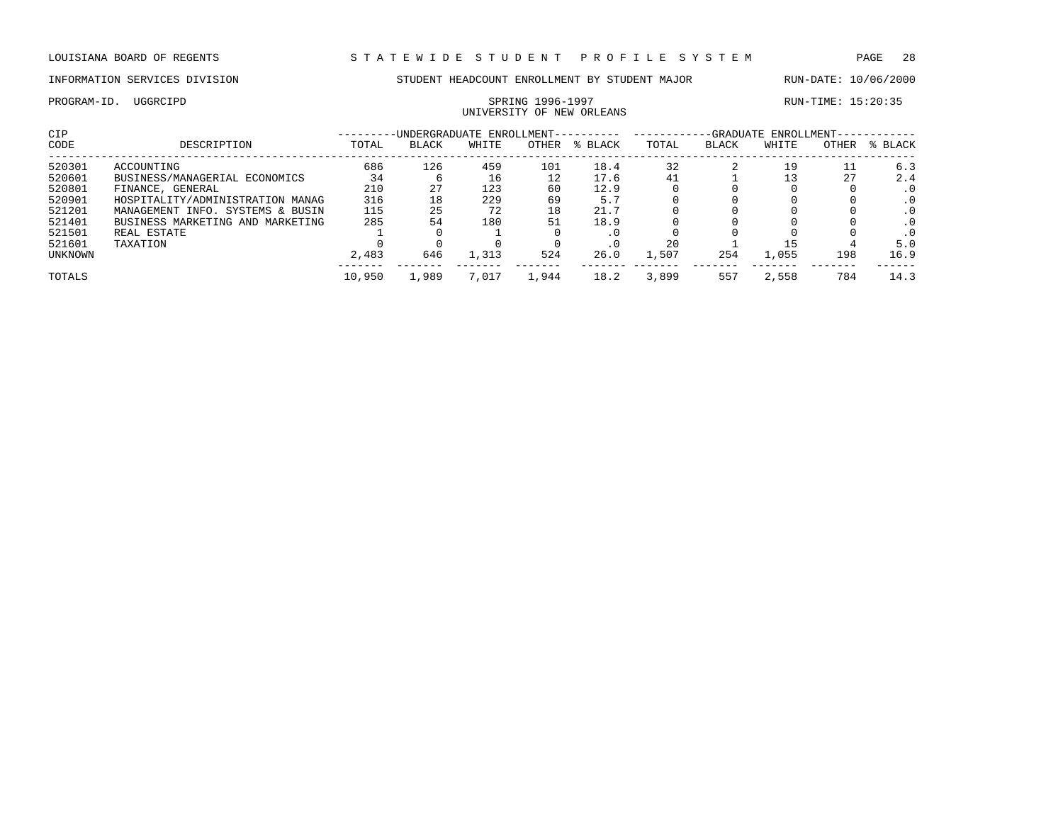UNIVERSITY OF NEW ORLEANS

PROGRAM-ID. UGGRCIPD SPRING 1996-1997 SPRING 1996-1997 RUN-TIME: 15:20:35

| CIP     |                                  | -UNDERGRADUATE ENROLLMENT- |       |       |       |         | -GRADUATE ENROLLMENT- |              |       |       |           |  |
|---------|----------------------------------|----------------------------|-------|-------|-------|---------|-----------------------|--------------|-------|-------|-----------|--|
| CODE    | DESCRIPTION                      | TOTAL                      | BLACK | WHITE | OTHER | % BLACK | TOTAL                 | <b>BLACK</b> | WHITE | OTHER | % BLACK   |  |
| 520301  | ACCOUNTING                       | 686                        | 126   | 459   | 101   | 18.4    | 32                    |              | 19    |       | 6.3       |  |
| 520601  | BUSINESS/MANAGERIAL ECONOMICS    | 34                         |       | 16    | 12    | 17.6    | 41                    |              |       | 27    | 2.4       |  |
| 520801  | FINANCE, GENERAL                 | 210                        | 27    | 123   | 60    | 12.9    |                       |              |       |       | $\cdot$ 0 |  |
| 520901  | HOSPITALITY/ADMINISTRATION MANAG | 316                        | 18    | 229   | 69    | 5.7     |                       |              |       |       | . 0       |  |
| 521201  | MANAGEMENT INFO. SYSTEMS & BUSIN | 115                        | 25    | 72    | 18    | 21.7    |                       |              |       |       | $\cdot$ 0 |  |
| 521401  | BUSINESS MARKETING AND MARKETING | 285                        | 54    | 180   | 51    | 18.9    |                       |              |       |       | $\cdot$ 0 |  |
| 521501  | REAL ESTATE                      |                            |       |       |       | . 0     |                       |              |       |       | $\cdot$ 0 |  |
| 521601  | TAXATION                         |                            |       |       |       | . 0     | 20                    |              |       |       | 5.0       |  |
| UNKNOWN |                                  | 2,483                      | 646   | 1,313 | 524   | 26.0    | 1,507                 | 254          | 1,055 | 198   | 16.9      |  |
| TOTALS  |                                  | 10,950                     | 1,989 | 7,017 | 1,944 | 18.2    | 3,899                 | 557          | 2,558 | 784   | 14.3      |  |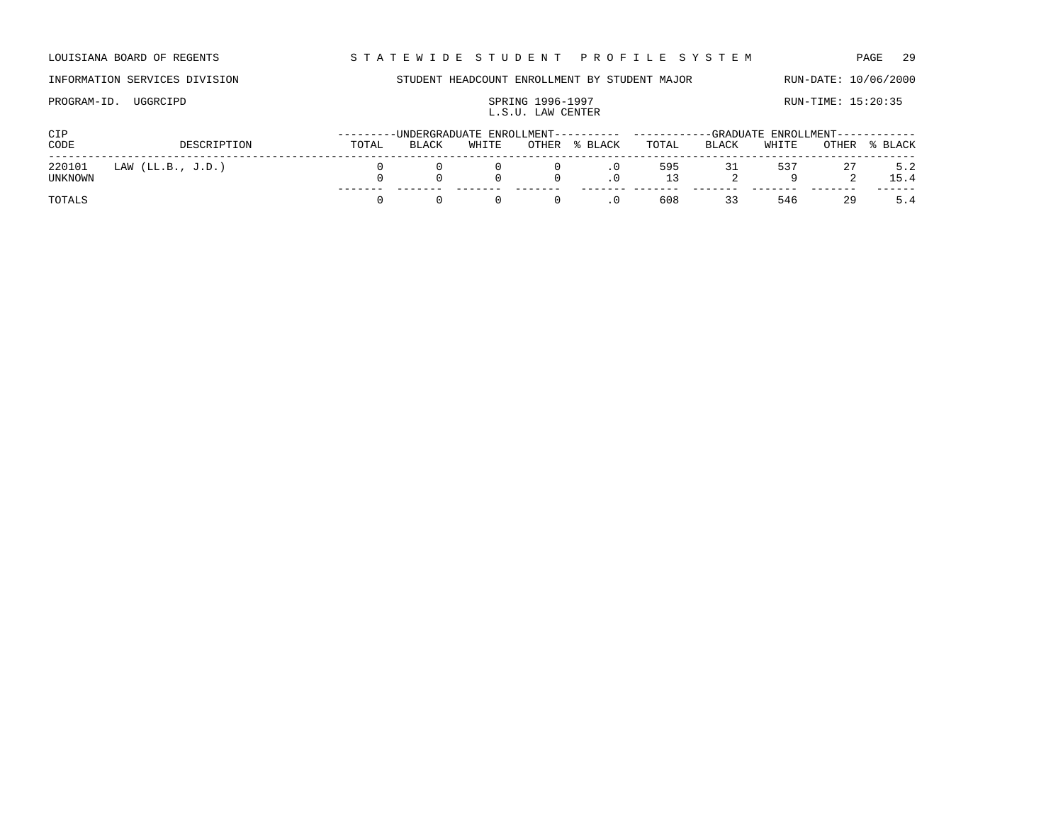LOUISIANA BOARD OF REGENTS STA TEWIDE STUDENT PROFILE SYSTEM PAGE 29

### INFORMATION SERVICES DIVISION STUDENT HEADCOUNT ENROLLMENT BY STUDENT MAJOR RUN-DATE: 10/06/2000

### PROGRAM-ID. UGGRCIPD SPRING 1996-1997<br>
I. S. II LAM CENTER<br>
I. S. II LAM CENTER L.S.U. LAW CENTER

| CIP               |                     |       |       |       |                          | --------UNDERGRADUATE ENROLLMENT---------- -----------GRADUATE ENROLLMENT----------- |           |       |        |    |               |
|-------------------|---------------------|-------|-------|-------|--------------------------|--------------------------------------------------------------------------------------|-----------|-------|--------|----|---------------|
| CODE              | DESCRIPTION         | TOTAL | BLACK | WHITE |                          | OTHER % BLACK                                                                        | TOTAL     | BLACK | WHITE  |    | OTHER % BLACK |
| 220101<br>UNKNOWN | LAW $(LL.B., J.D.)$ |       |       |       | $\overline{0}$<br>$\cap$ | $\cdot$ 0                                                                            | 595<br>13 |       | 31 537 | 27 | 5.2<br>15.4   |
| TOTALS            |                     |       |       |       | $\Omega$                 | .0                                                                                   | 608       | 33    | 546    | 29 | 5.4           |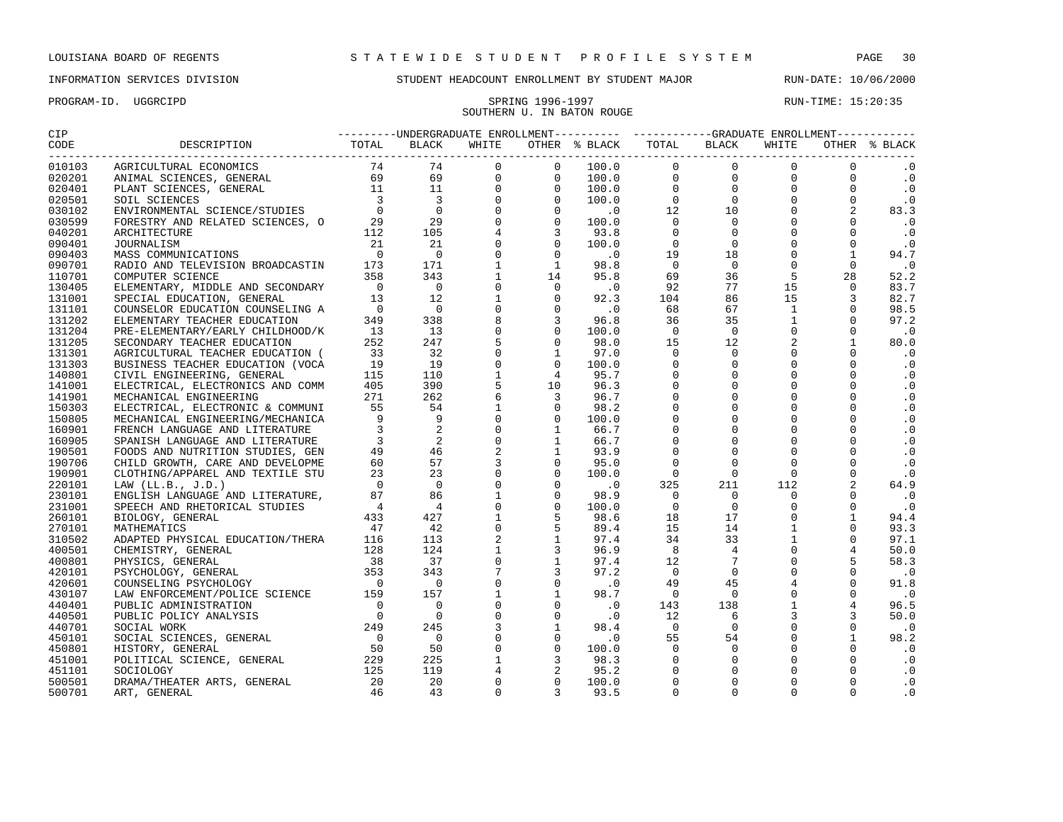PROGRAM-ID. UGGRCIPD SPRING 1996-1997 SPRING 1996-1997 RUN-TIME: 15:20:35

### INFORMATION SERVICES DIVISION STUDENT HEADCOUNT ENROLLMENT BY STUDENT MAJOR RUN-DATE: 10/06/2000

# SOUTHERN U. IN BATON ROUGE

| CODE<br>-----------------------------<br>$\begin{tabular}{l cccc} \multicolumn{1}{c}{\textbf{16.45} \begin{tabular}{l cccc} \multicolumn{1}{c}{\textbf{16.45} \begin{tabular}{l cccc} \multicolumn{1}{c}{\textbf{16.45} \begin{tabular}{l cccc} \multicolumn{1}{c}{\textbf{16.45} \begin{tabular}{l cccc} \multicolumn{1}{c}{\textbf{16.45} \begin{tabular}{l cccc} \multicolumn{1}{c}{\textbf{16.45} \begin{tabular}{l cccc} \multicolumn{1}{c}{\textbf{16.45} \begin{tabular}{l cccc} \multicolumn{1}{$<br>BLACK TOTAL BLACK with and the control of the control of the control of the control of the control of the control of the control of the control of the control of the control of the control of the control of the control of<br>010103<br>$\cdot$ 0<br>020201<br>$\overline{\phantom{0}}$ .<br>$\overline{0}$ .<br>020401<br>020501<br>$\cdot$ 0<br>83.3<br>030102<br>$\cdot$ 0<br>030599<br>$\cdot$ 0<br>040201<br>090401<br>$\cdot$ 0<br>94.7<br>090403<br>1<br>$\cdot$ 0<br>090701<br>52.2<br>110701<br>83.7<br>130405<br>92.3<br>$\begin{array}{c}\n\downarrow \\ \downarrow \\ \downarrow \\ \uparrow\n\end{array}$<br>$\overline{3}$<br>131001<br>82.7<br>$\overline{0}$<br>67<br>$\Omega$<br>131101<br>68<br>98.5<br>$\mathbf{1}$<br>96.8<br>35<br>$\Omega$<br>97.2<br>131202<br>36<br>$\begin{array}{c}\n\frac{1}{2} \\ \frac{1}{2} \\ \frac{1}{2} \\ \frac{1}{2} \\ \frac{1}{2} \\ \frac{1}{2} \\ \frac{1}{2} \\ \frac{1}{2} \\ \frac{1}{2} \\ \frac{1}{2} \\ \frac{1}{2} \\ \frac{1}{2} \\ \frac{1}{2} \\ \frac{1}{2} \\ \frac{1}{2} \\ \frac{1}{2} \\ \frac{1}{2} \\ \frac{1}{2} \\ \frac{1}{2} \\ \frac{1}{2} \\ \frac{1}{2} \\ \frac{1}{2} \\ \frac{1}{2} \\ \frac{1}{2} \\ \frac{1}{2} \\ \frac{1}{2} \\ \frac{1$<br>$\overline{\phantom{0}}$<br>$\Omega$<br>$\Omega$<br>$\Omega$<br>131204<br>100.0<br>$\cdot$ 0<br>2<br>$\mathbf{1}$<br>98.0<br>12<br>131205<br>80.0<br>$\begin{array}{c} 15 \\ 0 \\ 0 \\ 0 \\ 0 \\ 0 \\ 0 \\ 0 \\ 0 \\ \end{array}$<br>$\Omega$<br>$\Omega$<br>$\Omega$<br>131301<br>97.0<br>$\cdot$ 0<br>$\overline{0}$<br>$\mathbf 0$<br>$\Omega$<br>$\cdot$ 0<br>131303<br>100.0<br>$\overline{0}$<br>$\overline{0}$<br>$\Omega$<br>$\cdot$ 0<br>140801<br>95.7<br>$\overline{0}$<br>$\overline{0}$<br>$\Omega$<br>.0<br>141001<br>96.3<br>$\overline{0}$<br>$\Omega$<br>$\mathbf 0$<br>.0<br>96.7<br>141901<br>ELECTRICAL, ELECTRONICS AND COMM 405<br>BECHARICAL, ENGINEERING AND COMMUNI 55<br>ELECTRICAL, ENGINEERING (200MUNI 55<br>MECHANICAL ENGINEERING MECHANICA 9 9<br>SPANISH LANGUAGE AND LITERATURE 3 2 2<br>SPANISH LANGUAGE AND LITERATUR<br>$\Omega$<br>$\Omega$<br>$\Omega$<br>$\cdot$ 0<br>98.2<br>150303<br>$\Omega$<br>$\Omega$<br>$\Omega$<br>$\Omega$<br>$\cdot$ 0<br>150805<br>100.0<br>$\overline{0}$<br>$\cdot$ 0<br>$\Omega$<br>$\Omega$<br>$\Omega$<br>160901<br>66.7<br>$\overline{0}$<br>$\mathbf 0$<br>$\mathbf 0$<br>$\Omega$<br>$\cdot$ 0<br>160905<br>66.7<br>$\overline{0}$<br>$\overline{0}$<br>$\mathbf 0$<br>$\Omega$<br>$\cdot$ 0<br>190501<br>93.9<br>$\Omega$<br>$\Omega$<br>$\Omega$<br>$\Omega$<br>$\cdot$ 0<br>190706<br>95.0<br>$\Omega$<br>190901<br>$\overline{0}$<br>$\Omega$<br>$\Omega$<br>$\cdot$ 0<br>100.0<br>$\overline{a}$<br>$\overline{0}$ .<br>325<br>211<br>112<br>64.9<br>220101<br>98.9<br>$\overline{0}$<br>$\Omega$<br>$\Omega$<br>$\Omega$<br>$\ddotsc 0$<br>230101<br>$\Omega$<br>$\Omega$<br>$\overline{0}$<br>$\cdot$ 0<br>231001<br>100.0<br>$0$<br>$0$<br>$17$<br>$14$<br>$33$<br>$4$<br>$7$<br>$0$<br>$45$<br>$0$<br>$6$<br>$6$<br>$6$<br>$0$<br>$0$<br>$0$<br>$\Omega$<br>$\mathbf{1}$<br>98.6<br>18<br>94.4<br>260101<br>$\begin{array}{c} 17 \\ 14 \\ 33 \\ 4 \\ 7 \\ 0 \end{array}$<br>$\mathbf{1}$<br>$\Omega$<br>89.4<br>15<br>93.3<br>270101<br>$\mathbf{1}$<br>34<br>$\Omega$<br>97.4<br>97.1<br>310502<br>$96.9$ $8$<br>$97.4$ $12$<br>$97.2$ 0<br>$\mathbf{0}$<br>$\overline{4}$<br>50.0<br>400501<br>5<br>$\mathbf 0$<br>58.3<br>400801<br>$\Omega$<br>$\Omega$<br>$\cdot$ 0<br>420101<br>$\overline{0}$ .<br>$\overline{4}$<br>$\Omega$<br>91.8<br>49<br>420601<br>$\Omega$<br>$\Omega$<br>$\overline{0}$<br>430107<br>98.7<br>$\cdot$ 0<br>$\begin{array}{r} 138 \\ 138 \\ 6 \\ 0 \\ 54 \\ 0 \\ 0 \\ 0 \\ \end{array}$<br>$\Omega$<br>$\overline{\phantom{a}}$ .0<br>$\mathbf{1}$<br>$\overline{4}$<br>143<br>96.5<br>440401<br>$\mathbf 0$<br>$\overline{3}$<br>$\mathbf 0$<br>$\overline{3}$<br>12<br>50.0<br>$\cdot$ 0<br>440501<br>3<br>$\mathbf{1}$<br>$\Omega$<br>$\begin{array}{cccc} 98.4 & & & 0 \\ & .0 & & 55 \\ 100.0 & & & 0 \\ 98.3 & & & 0 \end{array}$<br>$\Omega$<br>$\cdot$ 0<br>440701<br>$\mathbf 0$<br>$\mathbf{0}$<br>$\Omega$<br>$\mathbf{1}$<br>98.2<br>450101<br>$\begin{bmatrix} 0 \\ 1 \\ 4 \\ 0 \\ 0 \\ 0 \end{bmatrix}$<br>$\Omega$<br>$\Omega$<br>$\cdot$ 0<br>450801<br>$\Omega$<br>$\Omega$<br>$\cdot$ 0<br>451001<br>$\Omega$<br>NOCIOLOGY 125<br>DRAMA/THEATER ARTS, GENERAL 20<br>ART, GENERAL 46<br>95.2<br>$\Omega$<br>$\Omega$<br>$\cdot$ 0<br>451101<br>$\Omega$<br>20<br>$\Omega$<br>$\Omega$<br>$\cdot$ 0<br>100.0<br>500501<br>$\Omega$<br>$\Omega$<br>$\cdot$ 0<br>$\Omega$<br>$\Omega$<br>43<br>93.5<br>500701 | CIP |  |  |  |  |  |  |  |  |  |  |  |
|------------------------------------------------------------------------------------------------------------------------------------------------------------------------------------------------------------------------------------------------------------------------------------------------------------------------------------------------------------------------------------------------------------------------------------------------------------------------------------------------------------------------------------------------------------------------------------------------------------------------------------------------------------------------------------------------------------------------------------------------------------------------------------------------------------------------------------------------------------------------------------------------------------------------------------------------------------------------------------------------------------------------------------------------------------------------------------------------------------------------------------------------------------------------------------------------------------------------------------------------------------------------------------------------------------------------------------------------------------------------------------------------------------------------------------------------------------------------------------------------------------------------------------------------------------------------------------------------------------------------------------------------------------------------------------------------------------------------------------------------------------------------------------------------------------------------------------------------------------------------------------------------------------------------------------------------------------------------------------------------------------------------------------------------------------------------------------------------------------------------------------------------------------------------------------------------------------------------------------------------------------------------------------------------------------------------------------------------------------------------------------------------------------------------------------------------------------------------------------------------------------------------------------------------------------------------------------------------------------------------------------------------------------------------------------------------------------------------------------------------------------------------------------------------------------------------------------------------------------------------------------------------------------------------------------------------------------------------------------------------------------------------------------------------------------------------------------------------------------------------------------------------------------------------------------------------------------------------------------------------------------------------------------------------------------------------------------------------------------------------------------------------------------------------------------------------------------------------------------------------------------------------------------------------------------------------------------------------------------------------------------------------------------------------------------------------------------------------------------------------------------------------------------------------------------------------------------------------------------------------------------------------------------------------------------------------------------------------------------------------------------------------------------------------------------------------------------------------------------------------------------------------------------------------------------------------------------------------------------------------------------------------------------------------------------------------------------------------------------------------------------------------------------------------------------------------------------------------------------------------------------------------------------------------------------------------------------------------------------------------------------------------------------------------------------------------------------------------------------------------------------------------------------------------------------------------------------------------------------------------------------------------------------------------------------------------------------------------------------------------------------------------------------------------------------------------------------------------------------------------------------------------------------------------------------------------|-----|--|--|--|--|--|--|--|--|--|--|--|
|                                                                                                                                                                                                                                                                                                                                                                                                                                                                                                                                                                                                                                                                                                                                                                                                                                                                                                                                                                                                                                                                                                                                                                                                                                                                                                                                                                                                                                                                                                                                                                                                                                                                                                                                                                                                                                                                                                                                                                                                                                                                                                                                                                                                                                                                                                                                                                                                                                                                                                                                                                                                                                                                                                                                                                                                                                                                                                                                                                                                                                                                                                                                                                                                                                                                                                                                                                                                                                                                                                                                                                                                                                                                                                                                                                                                                                                                                                                                                                                                                                                                                                                                                                                                                                                                                                                                                                                                                                                                                                                                                                                                                                                                                                                                                                                                                                                                                                                                                                                                                                                                                                                                                                                                |     |  |  |  |  |  |  |  |  |  |  |  |
|                                                                                                                                                                                                                                                                                                                                                                                                                                                                                                                                                                                                                                                                                                                                                                                                                                                                                                                                                                                                                                                                                                                                                                                                                                                                                                                                                                                                                                                                                                                                                                                                                                                                                                                                                                                                                                                                                                                                                                                                                                                                                                                                                                                                                                                                                                                                                                                                                                                                                                                                                                                                                                                                                                                                                                                                                                                                                                                                                                                                                                                                                                                                                                                                                                                                                                                                                                                                                                                                                                                                                                                                                                                                                                                                                                                                                                                                                                                                                                                                                                                                                                                                                                                                                                                                                                                                                                                                                                                                                                                                                                                                                                                                                                                                                                                                                                                                                                                                                                                                                                                                                                                                                                                                |     |  |  |  |  |  |  |  |  |  |  |  |
|                                                                                                                                                                                                                                                                                                                                                                                                                                                                                                                                                                                                                                                                                                                                                                                                                                                                                                                                                                                                                                                                                                                                                                                                                                                                                                                                                                                                                                                                                                                                                                                                                                                                                                                                                                                                                                                                                                                                                                                                                                                                                                                                                                                                                                                                                                                                                                                                                                                                                                                                                                                                                                                                                                                                                                                                                                                                                                                                                                                                                                                                                                                                                                                                                                                                                                                                                                                                                                                                                                                                                                                                                                                                                                                                                                                                                                                                                                                                                                                                                                                                                                                                                                                                                                                                                                                                                                                                                                                                                                                                                                                                                                                                                                                                                                                                                                                                                                                                                                                                                                                                                                                                                                                                |     |  |  |  |  |  |  |  |  |  |  |  |
|                                                                                                                                                                                                                                                                                                                                                                                                                                                                                                                                                                                                                                                                                                                                                                                                                                                                                                                                                                                                                                                                                                                                                                                                                                                                                                                                                                                                                                                                                                                                                                                                                                                                                                                                                                                                                                                                                                                                                                                                                                                                                                                                                                                                                                                                                                                                                                                                                                                                                                                                                                                                                                                                                                                                                                                                                                                                                                                                                                                                                                                                                                                                                                                                                                                                                                                                                                                                                                                                                                                                                                                                                                                                                                                                                                                                                                                                                                                                                                                                                                                                                                                                                                                                                                                                                                                                                                                                                                                                                                                                                                                                                                                                                                                                                                                                                                                                                                                                                                                                                                                                                                                                                                                                |     |  |  |  |  |  |  |  |  |  |  |  |
|                                                                                                                                                                                                                                                                                                                                                                                                                                                                                                                                                                                                                                                                                                                                                                                                                                                                                                                                                                                                                                                                                                                                                                                                                                                                                                                                                                                                                                                                                                                                                                                                                                                                                                                                                                                                                                                                                                                                                                                                                                                                                                                                                                                                                                                                                                                                                                                                                                                                                                                                                                                                                                                                                                                                                                                                                                                                                                                                                                                                                                                                                                                                                                                                                                                                                                                                                                                                                                                                                                                                                                                                                                                                                                                                                                                                                                                                                                                                                                                                                                                                                                                                                                                                                                                                                                                                                                                                                                                                                                                                                                                                                                                                                                                                                                                                                                                                                                                                                                                                                                                                                                                                                                                                |     |  |  |  |  |  |  |  |  |  |  |  |
|                                                                                                                                                                                                                                                                                                                                                                                                                                                                                                                                                                                                                                                                                                                                                                                                                                                                                                                                                                                                                                                                                                                                                                                                                                                                                                                                                                                                                                                                                                                                                                                                                                                                                                                                                                                                                                                                                                                                                                                                                                                                                                                                                                                                                                                                                                                                                                                                                                                                                                                                                                                                                                                                                                                                                                                                                                                                                                                                                                                                                                                                                                                                                                                                                                                                                                                                                                                                                                                                                                                                                                                                                                                                                                                                                                                                                                                                                                                                                                                                                                                                                                                                                                                                                                                                                                                                                                                                                                                                                                                                                                                                                                                                                                                                                                                                                                                                                                                                                                                                                                                                                                                                                                                                |     |  |  |  |  |  |  |  |  |  |  |  |
|                                                                                                                                                                                                                                                                                                                                                                                                                                                                                                                                                                                                                                                                                                                                                                                                                                                                                                                                                                                                                                                                                                                                                                                                                                                                                                                                                                                                                                                                                                                                                                                                                                                                                                                                                                                                                                                                                                                                                                                                                                                                                                                                                                                                                                                                                                                                                                                                                                                                                                                                                                                                                                                                                                                                                                                                                                                                                                                                                                                                                                                                                                                                                                                                                                                                                                                                                                                                                                                                                                                                                                                                                                                                                                                                                                                                                                                                                                                                                                                                                                                                                                                                                                                                                                                                                                                                                                                                                                                                                                                                                                                                                                                                                                                                                                                                                                                                                                                                                                                                                                                                                                                                                                                                |     |  |  |  |  |  |  |  |  |  |  |  |
|                                                                                                                                                                                                                                                                                                                                                                                                                                                                                                                                                                                                                                                                                                                                                                                                                                                                                                                                                                                                                                                                                                                                                                                                                                                                                                                                                                                                                                                                                                                                                                                                                                                                                                                                                                                                                                                                                                                                                                                                                                                                                                                                                                                                                                                                                                                                                                                                                                                                                                                                                                                                                                                                                                                                                                                                                                                                                                                                                                                                                                                                                                                                                                                                                                                                                                                                                                                                                                                                                                                                                                                                                                                                                                                                                                                                                                                                                                                                                                                                                                                                                                                                                                                                                                                                                                                                                                                                                                                                                                                                                                                                                                                                                                                                                                                                                                                                                                                                                                                                                                                                                                                                                                                                |     |  |  |  |  |  |  |  |  |  |  |  |
|                                                                                                                                                                                                                                                                                                                                                                                                                                                                                                                                                                                                                                                                                                                                                                                                                                                                                                                                                                                                                                                                                                                                                                                                                                                                                                                                                                                                                                                                                                                                                                                                                                                                                                                                                                                                                                                                                                                                                                                                                                                                                                                                                                                                                                                                                                                                                                                                                                                                                                                                                                                                                                                                                                                                                                                                                                                                                                                                                                                                                                                                                                                                                                                                                                                                                                                                                                                                                                                                                                                                                                                                                                                                                                                                                                                                                                                                                                                                                                                                                                                                                                                                                                                                                                                                                                                                                                                                                                                                                                                                                                                                                                                                                                                                                                                                                                                                                                                                                                                                                                                                                                                                                                                                |     |  |  |  |  |  |  |  |  |  |  |  |
|                                                                                                                                                                                                                                                                                                                                                                                                                                                                                                                                                                                                                                                                                                                                                                                                                                                                                                                                                                                                                                                                                                                                                                                                                                                                                                                                                                                                                                                                                                                                                                                                                                                                                                                                                                                                                                                                                                                                                                                                                                                                                                                                                                                                                                                                                                                                                                                                                                                                                                                                                                                                                                                                                                                                                                                                                                                                                                                                                                                                                                                                                                                                                                                                                                                                                                                                                                                                                                                                                                                                                                                                                                                                                                                                                                                                                                                                                                                                                                                                                                                                                                                                                                                                                                                                                                                                                                                                                                                                                                                                                                                                                                                                                                                                                                                                                                                                                                                                                                                                                                                                                                                                                                                                |     |  |  |  |  |  |  |  |  |  |  |  |
|                                                                                                                                                                                                                                                                                                                                                                                                                                                                                                                                                                                                                                                                                                                                                                                                                                                                                                                                                                                                                                                                                                                                                                                                                                                                                                                                                                                                                                                                                                                                                                                                                                                                                                                                                                                                                                                                                                                                                                                                                                                                                                                                                                                                                                                                                                                                                                                                                                                                                                                                                                                                                                                                                                                                                                                                                                                                                                                                                                                                                                                                                                                                                                                                                                                                                                                                                                                                                                                                                                                                                                                                                                                                                                                                                                                                                                                                                                                                                                                                                                                                                                                                                                                                                                                                                                                                                                                                                                                                                                                                                                                                                                                                                                                                                                                                                                                                                                                                                                                                                                                                                                                                                                                                |     |  |  |  |  |  |  |  |  |  |  |  |
|                                                                                                                                                                                                                                                                                                                                                                                                                                                                                                                                                                                                                                                                                                                                                                                                                                                                                                                                                                                                                                                                                                                                                                                                                                                                                                                                                                                                                                                                                                                                                                                                                                                                                                                                                                                                                                                                                                                                                                                                                                                                                                                                                                                                                                                                                                                                                                                                                                                                                                                                                                                                                                                                                                                                                                                                                                                                                                                                                                                                                                                                                                                                                                                                                                                                                                                                                                                                                                                                                                                                                                                                                                                                                                                                                                                                                                                                                                                                                                                                                                                                                                                                                                                                                                                                                                                                                                                                                                                                                                                                                                                                                                                                                                                                                                                                                                                                                                                                                                                                                                                                                                                                                                                                |     |  |  |  |  |  |  |  |  |  |  |  |
|                                                                                                                                                                                                                                                                                                                                                                                                                                                                                                                                                                                                                                                                                                                                                                                                                                                                                                                                                                                                                                                                                                                                                                                                                                                                                                                                                                                                                                                                                                                                                                                                                                                                                                                                                                                                                                                                                                                                                                                                                                                                                                                                                                                                                                                                                                                                                                                                                                                                                                                                                                                                                                                                                                                                                                                                                                                                                                                                                                                                                                                                                                                                                                                                                                                                                                                                                                                                                                                                                                                                                                                                                                                                                                                                                                                                                                                                                                                                                                                                                                                                                                                                                                                                                                                                                                                                                                                                                                                                                                                                                                                                                                                                                                                                                                                                                                                                                                                                                                                                                                                                                                                                                                                                |     |  |  |  |  |  |  |  |  |  |  |  |
|                                                                                                                                                                                                                                                                                                                                                                                                                                                                                                                                                                                                                                                                                                                                                                                                                                                                                                                                                                                                                                                                                                                                                                                                                                                                                                                                                                                                                                                                                                                                                                                                                                                                                                                                                                                                                                                                                                                                                                                                                                                                                                                                                                                                                                                                                                                                                                                                                                                                                                                                                                                                                                                                                                                                                                                                                                                                                                                                                                                                                                                                                                                                                                                                                                                                                                                                                                                                                                                                                                                                                                                                                                                                                                                                                                                                                                                                                                                                                                                                                                                                                                                                                                                                                                                                                                                                                                                                                                                                                                                                                                                                                                                                                                                                                                                                                                                                                                                                                                                                                                                                                                                                                                                                |     |  |  |  |  |  |  |  |  |  |  |  |
|                                                                                                                                                                                                                                                                                                                                                                                                                                                                                                                                                                                                                                                                                                                                                                                                                                                                                                                                                                                                                                                                                                                                                                                                                                                                                                                                                                                                                                                                                                                                                                                                                                                                                                                                                                                                                                                                                                                                                                                                                                                                                                                                                                                                                                                                                                                                                                                                                                                                                                                                                                                                                                                                                                                                                                                                                                                                                                                                                                                                                                                                                                                                                                                                                                                                                                                                                                                                                                                                                                                                                                                                                                                                                                                                                                                                                                                                                                                                                                                                                                                                                                                                                                                                                                                                                                                                                                                                                                                                                                                                                                                                                                                                                                                                                                                                                                                                                                                                                                                                                                                                                                                                                                                                |     |  |  |  |  |  |  |  |  |  |  |  |
|                                                                                                                                                                                                                                                                                                                                                                                                                                                                                                                                                                                                                                                                                                                                                                                                                                                                                                                                                                                                                                                                                                                                                                                                                                                                                                                                                                                                                                                                                                                                                                                                                                                                                                                                                                                                                                                                                                                                                                                                                                                                                                                                                                                                                                                                                                                                                                                                                                                                                                                                                                                                                                                                                                                                                                                                                                                                                                                                                                                                                                                                                                                                                                                                                                                                                                                                                                                                                                                                                                                                                                                                                                                                                                                                                                                                                                                                                                                                                                                                                                                                                                                                                                                                                                                                                                                                                                                                                                                                                                                                                                                                                                                                                                                                                                                                                                                                                                                                                                                                                                                                                                                                                                                                |     |  |  |  |  |  |  |  |  |  |  |  |
|                                                                                                                                                                                                                                                                                                                                                                                                                                                                                                                                                                                                                                                                                                                                                                                                                                                                                                                                                                                                                                                                                                                                                                                                                                                                                                                                                                                                                                                                                                                                                                                                                                                                                                                                                                                                                                                                                                                                                                                                                                                                                                                                                                                                                                                                                                                                                                                                                                                                                                                                                                                                                                                                                                                                                                                                                                                                                                                                                                                                                                                                                                                                                                                                                                                                                                                                                                                                                                                                                                                                                                                                                                                                                                                                                                                                                                                                                                                                                                                                                                                                                                                                                                                                                                                                                                                                                                                                                                                                                                                                                                                                                                                                                                                                                                                                                                                                                                                                                                                                                                                                                                                                                                                                |     |  |  |  |  |  |  |  |  |  |  |  |
|                                                                                                                                                                                                                                                                                                                                                                                                                                                                                                                                                                                                                                                                                                                                                                                                                                                                                                                                                                                                                                                                                                                                                                                                                                                                                                                                                                                                                                                                                                                                                                                                                                                                                                                                                                                                                                                                                                                                                                                                                                                                                                                                                                                                                                                                                                                                                                                                                                                                                                                                                                                                                                                                                                                                                                                                                                                                                                                                                                                                                                                                                                                                                                                                                                                                                                                                                                                                                                                                                                                                                                                                                                                                                                                                                                                                                                                                                                                                                                                                                                                                                                                                                                                                                                                                                                                                                                                                                                                                                                                                                                                                                                                                                                                                                                                                                                                                                                                                                                                                                                                                                                                                                                                                |     |  |  |  |  |  |  |  |  |  |  |  |
|                                                                                                                                                                                                                                                                                                                                                                                                                                                                                                                                                                                                                                                                                                                                                                                                                                                                                                                                                                                                                                                                                                                                                                                                                                                                                                                                                                                                                                                                                                                                                                                                                                                                                                                                                                                                                                                                                                                                                                                                                                                                                                                                                                                                                                                                                                                                                                                                                                                                                                                                                                                                                                                                                                                                                                                                                                                                                                                                                                                                                                                                                                                                                                                                                                                                                                                                                                                                                                                                                                                                                                                                                                                                                                                                                                                                                                                                                                                                                                                                                                                                                                                                                                                                                                                                                                                                                                                                                                                                                                                                                                                                                                                                                                                                                                                                                                                                                                                                                                                                                                                                                                                                                                                                |     |  |  |  |  |  |  |  |  |  |  |  |
|                                                                                                                                                                                                                                                                                                                                                                                                                                                                                                                                                                                                                                                                                                                                                                                                                                                                                                                                                                                                                                                                                                                                                                                                                                                                                                                                                                                                                                                                                                                                                                                                                                                                                                                                                                                                                                                                                                                                                                                                                                                                                                                                                                                                                                                                                                                                                                                                                                                                                                                                                                                                                                                                                                                                                                                                                                                                                                                                                                                                                                                                                                                                                                                                                                                                                                                                                                                                                                                                                                                                                                                                                                                                                                                                                                                                                                                                                                                                                                                                                                                                                                                                                                                                                                                                                                                                                                                                                                                                                                                                                                                                                                                                                                                                                                                                                                                                                                                                                                                                                                                                                                                                                                                                |     |  |  |  |  |  |  |  |  |  |  |  |
|                                                                                                                                                                                                                                                                                                                                                                                                                                                                                                                                                                                                                                                                                                                                                                                                                                                                                                                                                                                                                                                                                                                                                                                                                                                                                                                                                                                                                                                                                                                                                                                                                                                                                                                                                                                                                                                                                                                                                                                                                                                                                                                                                                                                                                                                                                                                                                                                                                                                                                                                                                                                                                                                                                                                                                                                                                                                                                                                                                                                                                                                                                                                                                                                                                                                                                                                                                                                                                                                                                                                                                                                                                                                                                                                                                                                                                                                                                                                                                                                                                                                                                                                                                                                                                                                                                                                                                                                                                                                                                                                                                                                                                                                                                                                                                                                                                                                                                                                                                                                                                                                                                                                                                                                |     |  |  |  |  |  |  |  |  |  |  |  |
|                                                                                                                                                                                                                                                                                                                                                                                                                                                                                                                                                                                                                                                                                                                                                                                                                                                                                                                                                                                                                                                                                                                                                                                                                                                                                                                                                                                                                                                                                                                                                                                                                                                                                                                                                                                                                                                                                                                                                                                                                                                                                                                                                                                                                                                                                                                                                                                                                                                                                                                                                                                                                                                                                                                                                                                                                                                                                                                                                                                                                                                                                                                                                                                                                                                                                                                                                                                                                                                                                                                                                                                                                                                                                                                                                                                                                                                                                                                                                                                                                                                                                                                                                                                                                                                                                                                                                                                                                                                                                                                                                                                                                                                                                                                                                                                                                                                                                                                                                                                                                                                                                                                                                                                                |     |  |  |  |  |  |  |  |  |  |  |  |
|                                                                                                                                                                                                                                                                                                                                                                                                                                                                                                                                                                                                                                                                                                                                                                                                                                                                                                                                                                                                                                                                                                                                                                                                                                                                                                                                                                                                                                                                                                                                                                                                                                                                                                                                                                                                                                                                                                                                                                                                                                                                                                                                                                                                                                                                                                                                                                                                                                                                                                                                                                                                                                                                                                                                                                                                                                                                                                                                                                                                                                                                                                                                                                                                                                                                                                                                                                                                                                                                                                                                                                                                                                                                                                                                                                                                                                                                                                                                                                                                                                                                                                                                                                                                                                                                                                                                                                                                                                                                                                                                                                                                                                                                                                                                                                                                                                                                                                                                                                                                                                                                                                                                                                                                |     |  |  |  |  |  |  |  |  |  |  |  |
|                                                                                                                                                                                                                                                                                                                                                                                                                                                                                                                                                                                                                                                                                                                                                                                                                                                                                                                                                                                                                                                                                                                                                                                                                                                                                                                                                                                                                                                                                                                                                                                                                                                                                                                                                                                                                                                                                                                                                                                                                                                                                                                                                                                                                                                                                                                                                                                                                                                                                                                                                                                                                                                                                                                                                                                                                                                                                                                                                                                                                                                                                                                                                                                                                                                                                                                                                                                                                                                                                                                                                                                                                                                                                                                                                                                                                                                                                                                                                                                                                                                                                                                                                                                                                                                                                                                                                                                                                                                                                                                                                                                                                                                                                                                                                                                                                                                                                                                                                                                                                                                                                                                                                                                                |     |  |  |  |  |  |  |  |  |  |  |  |
|                                                                                                                                                                                                                                                                                                                                                                                                                                                                                                                                                                                                                                                                                                                                                                                                                                                                                                                                                                                                                                                                                                                                                                                                                                                                                                                                                                                                                                                                                                                                                                                                                                                                                                                                                                                                                                                                                                                                                                                                                                                                                                                                                                                                                                                                                                                                                                                                                                                                                                                                                                                                                                                                                                                                                                                                                                                                                                                                                                                                                                                                                                                                                                                                                                                                                                                                                                                                                                                                                                                                                                                                                                                                                                                                                                                                                                                                                                                                                                                                                                                                                                                                                                                                                                                                                                                                                                                                                                                                                                                                                                                                                                                                                                                                                                                                                                                                                                                                                                                                                                                                                                                                                                                                |     |  |  |  |  |  |  |  |  |  |  |  |
|                                                                                                                                                                                                                                                                                                                                                                                                                                                                                                                                                                                                                                                                                                                                                                                                                                                                                                                                                                                                                                                                                                                                                                                                                                                                                                                                                                                                                                                                                                                                                                                                                                                                                                                                                                                                                                                                                                                                                                                                                                                                                                                                                                                                                                                                                                                                                                                                                                                                                                                                                                                                                                                                                                                                                                                                                                                                                                                                                                                                                                                                                                                                                                                                                                                                                                                                                                                                                                                                                                                                                                                                                                                                                                                                                                                                                                                                                                                                                                                                                                                                                                                                                                                                                                                                                                                                                                                                                                                                                                                                                                                                                                                                                                                                                                                                                                                                                                                                                                                                                                                                                                                                                                                                |     |  |  |  |  |  |  |  |  |  |  |  |
|                                                                                                                                                                                                                                                                                                                                                                                                                                                                                                                                                                                                                                                                                                                                                                                                                                                                                                                                                                                                                                                                                                                                                                                                                                                                                                                                                                                                                                                                                                                                                                                                                                                                                                                                                                                                                                                                                                                                                                                                                                                                                                                                                                                                                                                                                                                                                                                                                                                                                                                                                                                                                                                                                                                                                                                                                                                                                                                                                                                                                                                                                                                                                                                                                                                                                                                                                                                                                                                                                                                                                                                                                                                                                                                                                                                                                                                                                                                                                                                                                                                                                                                                                                                                                                                                                                                                                                                                                                                                                                                                                                                                                                                                                                                                                                                                                                                                                                                                                                                                                                                                                                                                                                                                |     |  |  |  |  |  |  |  |  |  |  |  |
|                                                                                                                                                                                                                                                                                                                                                                                                                                                                                                                                                                                                                                                                                                                                                                                                                                                                                                                                                                                                                                                                                                                                                                                                                                                                                                                                                                                                                                                                                                                                                                                                                                                                                                                                                                                                                                                                                                                                                                                                                                                                                                                                                                                                                                                                                                                                                                                                                                                                                                                                                                                                                                                                                                                                                                                                                                                                                                                                                                                                                                                                                                                                                                                                                                                                                                                                                                                                                                                                                                                                                                                                                                                                                                                                                                                                                                                                                                                                                                                                                                                                                                                                                                                                                                                                                                                                                                                                                                                                                                                                                                                                                                                                                                                                                                                                                                                                                                                                                                                                                                                                                                                                                                                                |     |  |  |  |  |  |  |  |  |  |  |  |
|                                                                                                                                                                                                                                                                                                                                                                                                                                                                                                                                                                                                                                                                                                                                                                                                                                                                                                                                                                                                                                                                                                                                                                                                                                                                                                                                                                                                                                                                                                                                                                                                                                                                                                                                                                                                                                                                                                                                                                                                                                                                                                                                                                                                                                                                                                                                                                                                                                                                                                                                                                                                                                                                                                                                                                                                                                                                                                                                                                                                                                                                                                                                                                                                                                                                                                                                                                                                                                                                                                                                                                                                                                                                                                                                                                                                                                                                                                                                                                                                                                                                                                                                                                                                                                                                                                                                                                                                                                                                                                                                                                                                                                                                                                                                                                                                                                                                                                                                                                                                                                                                                                                                                                                                |     |  |  |  |  |  |  |  |  |  |  |  |
|                                                                                                                                                                                                                                                                                                                                                                                                                                                                                                                                                                                                                                                                                                                                                                                                                                                                                                                                                                                                                                                                                                                                                                                                                                                                                                                                                                                                                                                                                                                                                                                                                                                                                                                                                                                                                                                                                                                                                                                                                                                                                                                                                                                                                                                                                                                                                                                                                                                                                                                                                                                                                                                                                                                                                                                                                                                                                                                                                                                                                                                                                                                                                                                                                                                                                                                                                                                                                                                                                                                                                                                                                                                                                                                                                                                                                                                                                                                                                                                                                                                                                                                                                                                                                                                                                                                                                                                                                                                                                                                                                                                                                                                                                                                                                                                                                                                                                                                                                                                                                                                                                                                                                                                                |     |  |  |  |  |  |  |  |  |  |  |  |
|                                                                                                                                                                                                                                                                                                                                                                                                                                                                                                                                                                                                                                                                                                                                                                                                                                                                                                                                                                                                                                                                                                                                                                                                                                                                                                                                                                                                                                                                                                                                                                                                                                                                                                                                                                                                                                                                                                                                                                                                                                                                                                                                                                                                                                                                                                                                                                                                                                                                                                                                                                                                                                                                                                                                                                                                                                                                                                                                                                                                                                                                                                                                                                                                                                                                                                                                                                                                                                                                                                                                                                                                                                                                                                                                                                                                                                                                                                                                                                                                                                                                                                                                                                                                                                                                                                                                                                                                                                                                                                                                                                                                                                                                                                                                                                                                                                                                                                                                                                                                                                                                                                                                                                                                |     |  |  |  |  |  |  |  |  |  |  |  |
|                                                                                                                                                                                                                                                                                                                                                                                                                                                                                                                                                                                                                                                                                                                                                                                                                                                                                                                                                                                                                                                                                                                                                                                                                                                                                                                                                                                                                                                                                                                                                                                                                                                                                                                                                                                                                                                                                                                                                                                                                                                                                                                                                                                                                                                                                                                                                                                                                                                                                                                                                                                                                                                                                                                                                                                                                                                                                                                                                                                                                                                                                                                                                                                                                                                                                                                                                                                                                                                                                                                                                                                                                                                                                                                                                                                                                                                                                                                                                                                                                                                                                                                                                                                                                                                                                                                                                                                                                                                                                                                                                                                                                                                                                                                                                                                                                                                                                                                                                                                                                                                                                                                                                                                                |     |  |  |  |  |  |  |  |  |  |  |  |
|                                                                                                                                                                                                                                                                                                                                                                                                                                                                                                                                                                                                                                                                                                                                                                                                                                                                                                                                                                                                                                                                                                                                                                                                                                                                                                                                                                                                                                                                                                                                                                                                                                                                                                                                                                                                                                                                                                                                                                                                                                                                                                                                                                                                                                                                                                                                                                                                                                                                                                                                                                                                                                                                                                                                                                                                                                                                                                                                                                                                                                                                                                                                                                                                                                                                                                                                                                                                                                                                                                                                                                                                                                                                                                                                                                                                                                                                                                                                                                                                                                                                                                                                                                                                                                                                                                                                                                                                                                                                                                                                                                                                                                                                                                                                                                                                                                                                                                                                                                                                                                                                                                                                                                                                |     |  |  |  |  |  |  |  |  |  |  |  |
|                                                                                                                                                                                                                                                                                                                                                                                                                                                                                                                                                                                                                                                                                                                                                                                                                                                                                                                                                                                                                                                                                                                                                                                                                                                                                                                                                                                                                                                                                                                                                                                                                                                                                                                                                                                                                                                                                                                                                                                                                                                                                                                                                                                                                                                                                                                                                                                                                                                                                                                                                                                                                                                                                                                                                                                                                                                                                                                                                                                                                                                                                                                                                                                                                                                                                                                                                                                                                                                                                                                                                                                                                                                                                                                                                                                                                                                                                                                                                                                                                                                                                                                                                                                                                                                                                                                                                                                                                                                                                                                                                                                                                                                                                                                                                                                                                                                                                                                                                                                                                                                                                                                                                                                                |     |  |  |  |  |  |  |  |  |  |  |  |
|                                                                                                                                                                                                                                                                                                                                                                                                                                                                                                                                                                                                                                                                                                                                                                                                                                                                                                                                                                                                                                                                                                                                                                                                                                                                                                                                                                                                                                                                                                                                                                                                                                                                                                                                                                                                                                                                                                                                                                                                                                                                                                                                                                                                                                                                                                                                                                                                                                                                                                                                                                                                                                                                                                                                                                                                                                                                                                                                                                                                                                                                                                                                                                                                                                                                                                                                                                                                                                                                                                                                                                                                                                                                                                                                                                                                                                                                                                                                                                                                                                                                                                                                                                                                                                                                                                                                                                                                                                                                                                                                                                                                                                                                                                                                                                                                                                                                                                                                                                                                                                                                                                                                                                                                |     |  |  |  |  |  |  |  |  |  |  |  |
|                                                                                                                                                                                                                                                                                                                                                                                                                                                                                                                                                                                                                                                                                                                                                                                                                                                                                                                                                                                                                                                                                                                                                                                                                                                                                                                                                                                                                                                                                                                                                                                                                                                                                                                                                                                                                                                                                                                                                                                                                                                                                                                                                                                                                                                                                                                                                                                                                                                                                                                                                                                                                                                                                                                                                                                                                                                                                                                                                                                                                                                                                                                                                                                                                                                                                                                                                                                                                                                                                                                                                                                                                                                                                                                                                                                                                                                                                                                                                                                                                                                                                                                                                                                                                                                                                                                                                                                                                                                                                                                                                                                                                                                                                                                                                                                                                                                                                                                                                                                                                                                                                                                                                                                                |     |  |  |  |  |  |  |  |  |  |  |  |
|                                                                                                                                                                                                                                                                                                                                                                                                                                                                                                                                                                                                                                                                                                                                                                                                                                                                                                                                                                                                                                                                                                                                                                                                                                                                                                                                                                                                                                                                                                                                                                                                                                                                                                                                                                                                                                                                                                                                                                                                                                                                                                                                                                                                                                                                                                                                                                                                                                                                                                                                                                                                                                                                                                                                                                                                                                                                                                                                                                                                                                                                                                                                                                                                                                                                                                                                                                                                                                                                                                                                                                                                                                                                                                                                                                                                                                                                                                                                                                                                                                                                                                                                                                                                                                                                                                                                                                                                                                                                                                                                                                                                                                                                                                                                                                                                                                                                                                                                                                                                                                                                                                                                                                                                |     |  |  |  |  |  |  |  |  |  |  |  |
|                                                                                                                                                                                                                                                                                                                                                                                                                                                                                                                                                                                                                                                                                                                                                                                                                                                                                                                                                                                                                                                                                                                                                                                                                                                                                                                                                                                                                                                                                                                                                                                                                                                                                                                                                                                                                                                                                                                                                                                                                                                                                                                                                                                                                                                                                                                                                                                                                                                                                                                                                                                                                                                                                                                                                                                                                                                                                                                                                                                                                                                                                                                                                                                                                                                                                                                                                                                                                                                                                                                                                                                                                                                                                                                                                                                                                                                                                                                                                                                                                                                                                                                                                                                                                                                                                                                                                                                                                                                                                                                                                                                                                                                                                                                                                                                                                                                                                                                                                                                                                                                                                                                                                                                                |     |  |  |  |  |  |  |  |  |  |  |  |
|                                                                                                                                                                                                                                                                                                                                                                                                                                                                                                                                                                                                                                                                                                                                                                                                                                                                                                                                                                                                                                                                                                                                                                                                                                                                                                                                                                                                                                                                                                                                                                                                                                                                                                                                                                                                                                                                                                                                                                                                                                                                                                                                                                                                                                                                                                                                                                                                                                                                                                                                                                                                                                                                                                                                                                                                                                                                                                                                                                                                                                                                                                                                                                                                                                                                                                                                                                                                                                                                                                                                                                                                                                                                                                                                                                                                                                                                                                                                                                                                                                                                                                                                                                                                                                                                                                                                                                                                                                                                                                                                                                                                                                                                                                                                                                                                                                                                                                                                                                                                                                                                                                                                                                                                |     |  |  |  |  |  |  |  |  |  |  |  |
|                                                                                                                                                                                                                                                                                                                                                                                                                                                                                                                                                                                                                                                                                                                                                                                                                                                                                                                                                                                                                                                                                                                                                                                                                                                                                                                                                                                                                                                                                                                                                                                                                                                                                                                                                                                                                                                                                                                                                                                                                                                                                                                                                                                                                                                                                                                                                                                                                                                                                                                                                                                                                                                                                                                                                                                                                                                                                                                                                                                                                                                                                                                                                                                                                                                                                                                                                                                                                                                                                                                                                                                                                                                                                                                                                                                                                                                                                                                                                                                                                                                                                                                                                                                                                                                                                                                                                                                                                                                                                                                                                                                                                                                                                                                                                                                                                                                                                                                                                                                                                                                                                                                                                                                                |     |  |  |  |  |  |  |  |  |  |  |  |
|                                                                                                                                                                                                                                                                                                                                                                                                                                                                                                                                                                                                                                                                                                                                                                                                                                                                                                                                                                                                                                                                                                                                                                                                                                                                                                                                                                                                                                                                                                                                                                                                                                                                                                                                                                                                                                                                                                                                                                                                                                                                                                                                                                                                                                                                                                                                                                                                                                                                                                                                                                                                                                                                                                                                                                                                                                                                                                                                                                                                                                                                                                                                                                                                                                                                                                                                                                                                                                                                                                                                                                                                                                                                                                                                                                                                                                                                                                                                                                                                                                                                                                                                                                                                                                                                                                                                                                                                                                                                                                                                                                                                                                                                                                                                                                                                                                                                                                                                                                                                                                                                                                                                                                                                |     |  |  |  |  |  |  |  |  |  |  |  |
|                                                                                                                                                                                                                                                                                                                                                                                                                                                                                                                                                                                                                                                                                                                                                                                                                                                                                                                                                                                                                                                                                                                                                                                                                                                                                                                                                                                                                                                                                                                                                                                                                                                                                                                                                                                                                                                                                                                                                                                                                                                                                                                                                                                                                                                                                                                                                                                                                                                                                                                                                                                                                                                                                                                                                                                                                                                                                                                                                                                                                                                                                                                                                                                                                                                                                                                                                                                                                                                                                                                                                                                                                                                                                                                                                                                                                                                                                                                                                                                                                                                                                                                                                                                                                                                                                                                                                                                                                                                                                                                                                                                                                                                                                                                                                                                                                                                                                                                                                                                                                                                                                                                                                                                                |     |  |  |  |  |  |  |  |  |  |  |  |
|                                                                                                                                                                                                                                                                                                                                                                                                                                                                                                                                                                                                                                                                                                                                                                                                                                                                                                                                                                                                                                                                                                                                                                                                                                                                                                                                                                                                                                                                                                                                                                                                                                                                                                                                                                                                                                                                                                                                                                                                                                                                                                                                                                                                                                                                                                                                                                                                                                                                                                                                                                                                                                                                                                                                                                                                                                                                                                                                                                                                                                                                                                                                                                                                                                                                                                                                                                                                                                                                                                                                                                                                                                                                                                                                                                                                                                                                                                                                                                                                                                                                                                                                                                                                                                                                                                                                                                                                                                                                                                                                                                                                                                                                                                                                                                                                                                                                                                                                                                                                                                                                                                                                                                                                |     |  |  |  |  |  |  |  |  |  |  |  |
|                                                                                                                                                                                                                                                                                                                                                                                                                                                                                                                                                                                                                                                                                                                                                                                                                                                                                                                                                                                                                                                                                                                                                                                                                                                                                                                                                                                                                                                                                                                                                                                                                                                                                                                                                                                                                                                                                                                                                                                                                                                                                                                                                                                                                                                                                                                                                                                                                                                                                                                                                                                                                                                                                                                                                                                                                                                                                                                                                                                                                                                                                                                                                                                                                                                                                                                                                                                                                                                                                                                                                                                                                                                                                                                                                                                                                                                                                                                                                                                                                                                                                                                                                                                                                                                                                                                                                                                                                                                                                                                                                                                                                                                                                                                                                                                                                                                                                                                                                                                                                                                                                                                                                                                                |     |  |  |  |  |  |  |  |  |  |  |  |
|                                                                                                                                                                                                                                                                                                                                                                                                                                                                                                                                                                                                                                                                                                                                                                                                                                                                                                                                                                                                                                                                                                                                                                                                                                                                                                                                                                                                                                                                                                                                                                                                                                                                                                                                                                                                                                                                                                                                                                                                                                                                                                                                                                                                                                                                                                                                                                                                                                                                                                                                                                                                                                                                                                                                                                                                                                                                                                                                                                                                                                                                                                                                                                                                                                                                                                                                                                                                                                                                                                                                                                                                                                                                                                                                                                                                                                                                                                                                                                                                                                                                                                                                                                                                                                                                                                                                                                                                                                                                                                                                                                                                                                                                                                                                                                                                                                                                                                                                                                                                                                                                                                                                                                                                |     |  |  |  |  |  |  |  |  |  |  |  |
|                                                                                                                                                                                                                                                                                                                                                                                                                                                                                                                                                                                                                                                                                                                                                                                                                                                                                                                                                                                                                                                                                                                                                                                                                                                                                                                                                                                                                                                                                                                                                                                                                                                                                                                                                                                                                                                                                                                                                                                                                                                                                                                                                                                                                                                                                                                                                                                                                                                                                                                                                                                                                                                                                                                                                                                                                                                                                                                                                                                                                                                                                                                                                                                                                                                                                                                                                                                                                                                                                                                                                                                                                                                                                                                                                                                                                                                                                                                                                                                                                                                                                                                                                                                                                                                                                                                                                                                                                                                                                                                                                                                                                                                                                                                                                                                                                                                                                                                                                                                                                                                                                                                                                                                                |     |  |  |  |  |  |  |  |  |  |  |  |
|                                                                                                                                                                                                                                                                                                                                                                                                                                                                                                                                                                                                                                                                                                                                                                                                                                                                                                                                                                                                                                                                                                                                                                                                                                                                                                                                                                                                                                                                                                                                                                                                                                                                                                                                                                                                                                                                                                                                                                                                                                                                                                                                                                                                                                                                                                                                                                                                                                                                                                                                                                                                                                                                                                                                                                                                                                                                                                                                                                                                                                                                                                                                                                                                                                                                                                                                                                                                                                                                                                                                                                                                                                                                                                                                                                                                                                                                                                                                                                                                                                                                                                                                                                                                                                                                                                                                                                                                                                                                                                                                                                                                                                                                                                                                                                                                                                                                                                                                                                                                                                                                                                                                                                                                |     |  |  |  |  |  |  |  |  |  |  |  |
|                                                                                                                                                                                                                                                                                                                                                                                                                                                                                                                                                                                                                                                                                                                                                                                                                                                                                                                                                                                                                                                                                                                                                                                                                                                                                                                                                                                                                                                                                                                                                                                                                                                                                                                                                                                                                                                                                                                                                                                                                                                                                                                                                                                                                                                                                                                                                                                                                                                                                                                                                                                                                                                                                                                                                                                                                                                                                                                                                                                                                                                                                                                                                                                                                                                                                                                                                                                                                                                                                                                                                                                                                                                                                                                                                                                                                                                                                                                                                                                                                                                                                                                                                                                                                                                                                                                                                                                                                                                                                                                                                                                                                                                                                                                                                                                                                                                                                                                                                                                                                                                                                                                                                                                                |     |  |  |  |  |  |  |  |  |  |  |  |
|                                                                                                                                                                                                                                                                                                                                                                                                                                                                                                                                                                                                                                                                                                                                                                                                                                                                                                                                                                                                                                                                                                                                                                                                                                                                                                                                                                                                                                                                                                                                                                                                                                                                                                                                                                                                                                                                                                                                                                                                                                                                                                                                                                                                                                                                                                                                                                                                                                                                                                                                                                                                                                                                                                                                                                                                                                                                                                                                                                                                                                                                                                                                                                                                                                                                                                                                                                                                                                                                                                                                                                                                                                                                                                                                                                                                                                                                                                                                                                                                                                                                                                                                                                                                                                                                                                                                                                                                                                                                                                                                                                                                                                                                                                                                                                                                                                                                                                                                                                                                                                                                                                                                                                                                |     |  |  |  |  |  |  |  |  |  |  |  |
|                                                                                                                                                                                                                                                                                                                                                                                                                                                                                                                                                                                                                                                                                                                                                                                                                                                                                                                                                                                                                                                                                                                                                                                                                                                                                                                                                                                                                                                                                                                                                                                                                                                                                                                                                                                                                                                                                                                                                                                                                                                                                                                                                                                                                                                                                                                                                                                                                                                                                                                                                                                                                                                                                                                                                                                                                                                                                                                                                                                                                                                                                                                                                                                                                                                                                                                                                                                                                                                                                                                                                                                                                                                                                                                                                                                                                                                                                                                                                                                                                                                                                                                                                                                                                                                                                                                                                                                                                                                                                                                                                                                                                                                                                                                                                                                                                                                                                                                                                                                                                                                                                                                                                                                                |     |  |  |  |  |  |  |  |  |  |  |  |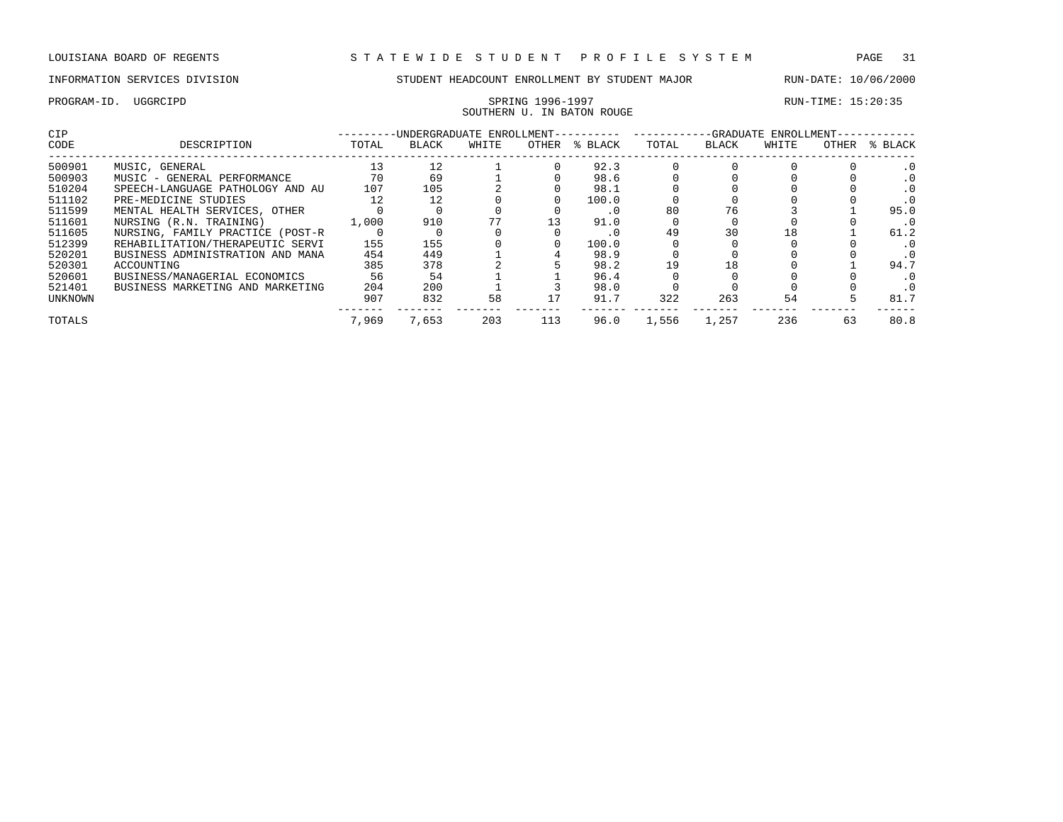## PROGRAM-ID. UGGRCIPD SPRING 1996-1997 SPRING 1996-1997 SOUTHERN U. IN BATON ROUGE

| <b>CIP</b> |                                  | -UNDERGRADUATE ENROLLMENT-- | -GRADUATE<br>ENROLLMENT- |       |       |         |       |              |       |       |         |
|------------|----------------------------------|-----------------------------|--------------------------|-------|-------|---------|-------|--------------|-------|-------|---------|
| CODE       | DESCRIPTION                      | TOTAL                       | <b>BLACK</b>             | WHITE | OTHER | % BLACK | TOTAL | <b>BLACK</b> | WHITE | OTHER | % BLACK |
| 500901     | MUSIC, GENERAL                   | 13                          | 12                       |       |       | 92.3    |       |              |       |       |         |
| 500903     | MUSIC - GENERAL PERFORMANCE      | 70                          | 69                       |       |       | 98.6    |       |              |       |       |         |
| 510204     | SPEECH-LANGUAGE PATHOLOGY AND AU | 107                         | 105                      |       |       | 98.1    |       |              |       |       |         |
| 511102     | PRE-MEDICINE STUDIES             | 12                          | 12                       |       |       | 100.0   |       |              |       |       |         |
| 511599     | MENTAL HEALTH SERVICES, OTHER    |                             |                          |       |       | . 0     | 80    | 76           |       |       | 95.0    |
| 511601     | NURSING (R.N. TRAINING)          | 1,000                       | 910                      |       | 13    | 91.0    |       |              |       |       | . 0     |
| 511605     | NURSING, FAMILY PRACTICE (POST-R |                             |                          |       |       |         | 49    | 30           |       |       | 61.2    |
| 512399     | REHABILITATION/THERAPEUTIC SERVI | 155                         | 155                      |       |       | 100.0   |       |              |       |       | . 0     |
| 520201     | BUSINESS ADMINISTRATION AND MANA | 454                         | 449                      |       |       | 98.9    |       |              |       |       |         |
| 520301     | ACCOUNTING                       | 385                         | 378                      |       |       | 98.2    | 19    | 18           |       |       | 94.7    |
| 520601     | BUSINESS/MANAGERIAL ECONOMICS    | 56                          | 54                       |       |       | 96.4    |       |              |       |       |         |
| 521401     | BUSINESS MARKETING AND MARKETING | 204                         | 200                      |       |       | 98.0    |       |              |       |       |         |
| UNKNOWN    |                                  | 907                         | 832                      | 58    |       | 91.7    | 322   | 263          | 54    |       | 81.7    |
| TOTALS     |                                  | 7,969                       | 7,653                    | 203   | 113   | 96.0    | 1,556 | 1,257        | 236   | 63    | 80.8    |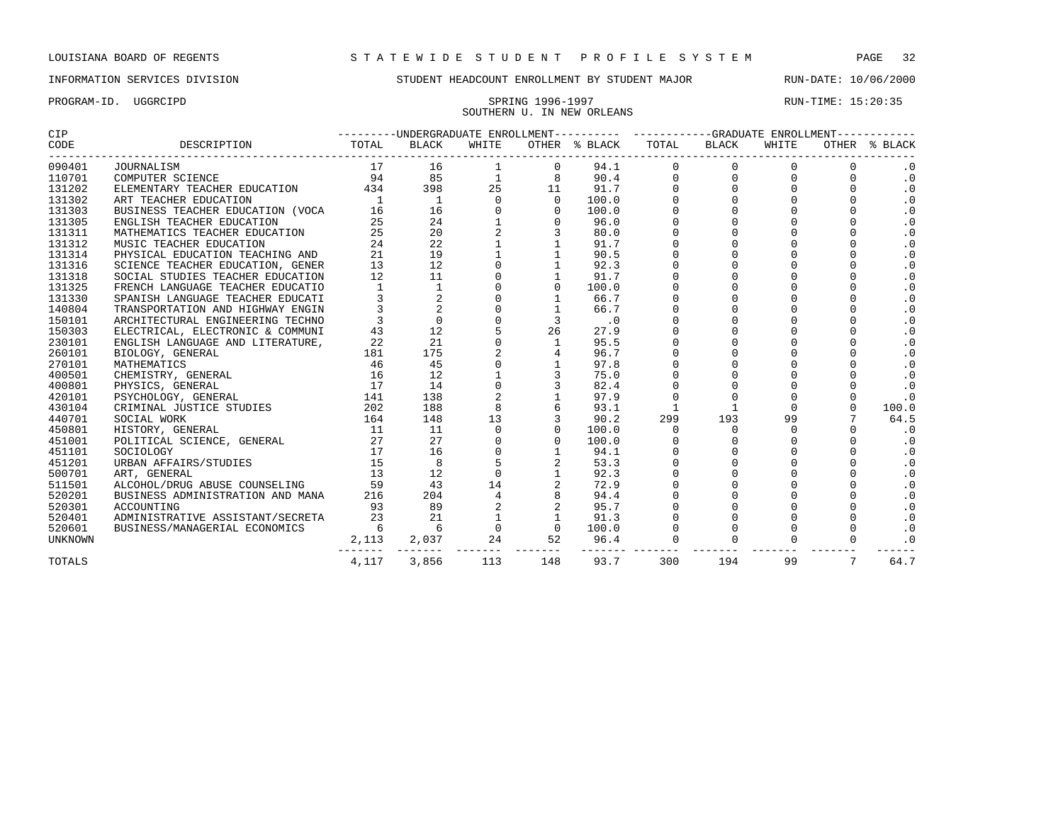PROGRAM-ID. UGGRCIPD SPRING 1996-1997 RUN-TIME: 15:20:35

### INFORMATION SERVICES DIVISION STUDENT HEADCOUNT ENROLLMENT BY STUDENT MAJOR RUN-DATE: 10/06/2000

# SOUTHERN U. IN NEW ORLEANS

| <b>CIP</b> |                                                                      |                |                                                                                                               |                              |                               |                             | ---------UNDERGRADUATE ENROLLMENT---------- ----------GRADUATE ENROLLMENT----------- |                   |             |                 |                                                     |  |
|------------|----------------------------------------------------------------------|----------------|---------------------------------------------------------------------------------------------------------------|------------------------------|-------------------------------|-----------------------------|--------------------------------------------------------------------------------------|-------------------|-------------|-----------------|-----------------------------------------------------|--|
| CODE       | DESCRIPTION                                                          | TOTAL          | BLACK                                                                                                         | WHITE                        |                               | OTHER % BLACK TOTAL         |                                                                                      | BLACK             | WHITE       |                 | OTHER % BLACK                                       |  |
| 090401     | JOURNALISM                                                           | 17             | 16                                                                                                            | 1                            | $\mathbf{0}$                  | 94.1                        | 0                                                                                    | $\Omega$          | $\Omega$    |                 | $\cdot$ 0                                           |  |
| 110701     | COMPUTER SCIENCE                                                     | 94             | 85                                                                                                            | 1                            | 8                             | 90.4                        | $\mathbf 0$                                                                          | $\mathbf 0$       | $\mathbf 0$ |                 | $\cdot$ 0                                           |  |
| 131202     | ELEMENTARY TEACHER EDUCATION                                         | 434            | 398                                                                                                           | 25                           | 11                            | 91.7                        | $\mathbf 0$                                                                          | $\overline{0}$    | $\Omega$    |                 | $\begin{smallmatrix} 0 \\ 0 \\ 0 \end{smallmatrix}$ |  |
| 131302     | ART TEACHER EDUCATION                                                | $\overline{1}$ | $\overline{1}$                                                                                                | $\mathbf{0}$                 | $\overline{0}$                | 100.0                       | $\mathbf 0$                                                                          | $0 \qquad \qquad$ |             | $\Omega$        |                                                     |  |
| 131303     | BUSINESS TEACHER EDUCATION (VOCA                                     | 16             | 16                                                                                                            |                              | $\mathbf 0$                   | 100.0                       | $\mathsf{O}\xspace$                                                                  | $\mathbf 0$       |             |                 | $\boldsymbol{\cdot}$ 0                              |  |
| 131305     | ENGLISH TEACHER EDUCATION                                            | 25             | 24                                                                                                            |                              | 0                             | 96.0                        | $\mathsf 0$                                                                          |                   |             |                 | $\boldsymbol{\cdot}$ 0                              |  |
| 131311     | MATHEMATICS TEACHER EDUCATION                                        | 25             |                                                                                                               | $24$<br>$20$<br>$22$<br>$19$ | 3                             | 80.0                        | $\mathsf 0$                                                                          | $\mathbf 0$       |             |                 | $\cdot$ 0                                           |  |
| 131312     | MUSIC TEACHER EDUCATION                                              | 24             |                                                                                                               |                              |                               | 91.7                        | $\begin{smallmatrix}0\0\0\end{smallmatrix}$                                          | $\mathbf 0$       |             |                 | $\cdot$ 0                                           |  |
| 131314     | PHYSICAL EDUCATION TEACHING AND                                      | 21             |                                                                                                               |                              |                               | 90.5                        |                                                                                      | $\Omega$          |             |                 | $\cdot$ 0                                           |  |
| 131316     | SCIENCE TEACHER EDUCATION, GENER                                     | 13             | 12                                                                                                            |                              |                               | 92.3                        | $\mathsf{O}\xspace$                                                                  | $\Omega$          |             |                 | $\cdot$ 0                                           |  |
| 131318     | SOCIAL STUDIES TEACHER EDUCATION                                     | 12             | 11                                                                                                            |                              |                               | 91.7                        | $\mathbf 0$                                                                          | $\Omega$          | $\Omega$    | $\Omega$        | $\boldsymbol{\cdot}$ 0                              |  |
| 131325     | FRENCH LANGUAGE TEACHER EDUCATIO                                     | 1              | 1                                                                                                             |                              | $\Omega$                      | 100.0                       | $\mathbf 0$                                                                          | $\Omega$          |             | $\Omega$        | $\cdot$ 0                                           |  |
| 131330     | SPANISH LANGUAGE TEACHER EDUCATI                                     |                |                                                                                                               |                              |                               | 66.7                        | $\mathsf{O}\xspace$                                                                  | $\mathbf 0$       |             |                 | $\boldsymbol{\cdot}$ 0                              |  |
| 140804     | TRANSPORTATION AND HIGHWAY ENGIN                                     |                |                                                                                                               |                              |                               | 66.7                        | $\mathsf 0$                                                                          | $\mathbf 0$       |             |                 | $\boldsymbol{\cdot}$ 0                              |  |
| 150101     | ARCHITECTURAL ENGINEERING TECHNO                                     |                |                                                                                                               |                              | 3                             | $\overline{\phantom{0}}$ .0 | $\pmb{0}$                                                                            | $\Omega$          |             |                 | $\cdot$ 0                                           |  |
| 150303     | ELECTRICAL, ELECTRONIC & COMMUNI                                     |                | $\begin{array}{ccc} 1 & & & & \\ 3 & & & 2 \\ 3 & & & 2 \\ 3 & & & 0 \\ 43 & & & 12 \end{array}$<br>$43$ $12$ |                              | 26                            | 27.9                        | $\mathsf{O}\xspace$                                                                  | $\Omega$          |             |                 | $\cdot$ 0                                           |  |
| 230101     | ENGLISH LANGUAGE AND LITERATURE,                                     | 22             | 21                                                                                                            |                              | $\mathbf{1}$                  | 95.5                        | $\overline{0}$                                                                       |                   |             |                 | $\cdot$ 0                                           |  |
| 260101     | BIOLOGY, GENERAL                                                     | 181            | 175                                                                                                           |                              |                               | 96.7                        | $\Omega$                                                                             |                   | $\Omega$    |                 | .0                                                  |  |
| 270101     | $\frac{46}{16}$<br>MATHEMATICS                                       |                | 45                                                                                                            |                              |                               | 97.8                        | $\mathbf 0$                                                                          | $\Omega$          | $\Omega$    |                 | $\cdot$ 0                                           |  |
| 400501     | CHEMISTRY, GENERAL                                                   |                | 12                                                                                                            |                              |                               | 75.0                        | $\mathsf{O}\xspace$                                                                  | $\mathbf 0$       |             |                 | $\cdot$ 0                                           |  |
| 400801     | PHYSICS, GENERAL<br>$\begin{array}{c}\n \perp \\  141\n \end{array}$ |                | 14                                                                                                            |                              |                               | 82.4                        | $\mathsf 0$                                                                          | $\mathsf 0$       |             |                 | $\cdot$ 0                                           |  |
| 420101     | PSYCHOLOGY, GENERAL                                                  |                | 138                                                                                                           | 2                            |                               | 97.9                        | $\mathsf 0$                                                                          | $\mathbf 0$       | $\Omega$    | $\mathbf 0$     | $\cdot$ 0                                           |  |
| 430104     | $\frac{211}{202}$<br>CRIMINAL JUSTICE STUDIES                        |                | 188                                                                                                           | 8                            |                               | 93.1                        | 1                                                                                    | 1                 | $\Omega$    | $\Omega$        | 100.0                                               |  |
| 440701     | SOCIAL WORK                                                          | 164            | 148                                                                                                           | 13                           |                               | 90.2                        | 299                                                                                  | 193               | 99          |                 | 64.5                                                |  |
| 450801     | HISTORY, GENERAL                                                     | 11             | 11                                                                                                            | $\mathbf{0}$                 |                               | 100.0                       | $\Omega$                                                                             | $\mathbf 0$       | $\Omega$    |                 | $\cdot$ 0                                           |  |
| 451001     | POLITICAL SCIENCE, GENERAL 27                                        |                | 27                                                                                                            |                              | $\Omega$                      | 100.0                       | $\Omega$                                                                             | $\Omega$          | $\Omega$    |                 | $\cdot$ 0                                           |  |
| 451101     | SOCIOLOGY                                                            | 17             | 16                                                                                                            |                              |                               | 94.1                        | $\mathbf 0$                                                                          | $\Omega$          | $\Omega$    | $\Omega$        | $\cdot$ 0                                           |  |
| 451201     | $\frac{15}{13}$<br>URBAN AFFAIRS/STUDIES                             |                | 8                                                                                                             | $5\phantom{.}$               | 2                             | 53.3                        | $\mathsf{O}\xspace$                                                                  | $\mathbf 0$       |             |                 | $\cdot$ 0                                           |  |
| 500701     | ART, GENERAL                                                         |                | 12                                                                                                            | $\mathbf 0$                  |                               | 92.3                        | $\mathsf 0$                                                                          | 0                 |             |                 | $\cdot$ 0                                           |  |
| 511501     | ALCOHOL/DRUG ABUSE COUNSELING                                        | 59             | 43                                                                                                            | 14                           |                               | 72.9                        | $\mathsf 0$                                                                          | $\mathbf 0$       |             |                 | $\cdot$ 0                                           |  |
| 520201     | BUSINESS ADMINISTRATION AND MANA                                     | 216            | 204                                                                                                           | $\overline{4}$               |                               | 94.4                        |                                                                                      | $\Omega$          |             |                 | $\cdot$ 0                                           |  |
| 520301     | ACCOUNTING                                                           | 93             | 89                                                                                                            |                              |                               | 95.7                        | $\begin{smallmatrix}0\0\0\end{smallmatrix}$                                          |                   |             |                 | $\cdot$ 0                                           |  |
| 520401     | ADMINISTRATIVE ASSISTANT/SECRETA                                     | 23             | 21                                                                                                            |                              |                               | 91.3                        | $\mathbf 0$                                                                          |                   |             |                 | $\cdot$ 0                                           |  |
| 520601     | BUSINESS/MANAGERIAL ECONOMICS                                        | 6              | $6\overline{6}$                                                                                               |                              | $0 \qquad \qquad$<br>$\Omega$ | 100.0                       |                                                                                      |                   |             |                 | $\cdot$ 0                                           |  |
| UNKNOWN    |                                                                      | 2,113          | 2,037                                                                                                         | 24                           | 52                            | 96.4                        | $\overline{0}$                                                                       | $\mathbf 0$       |             | $\Omega$        | $\cdot$ 0                                           |  |
| TOTALS     |                                                                      | 4,117          | 3,856                                                                                                         | 113                          | 148                           | 93.7                        | 300                                                                                  | 194               | 99          | $7\overline{ }$ | 64.7                                                |  |